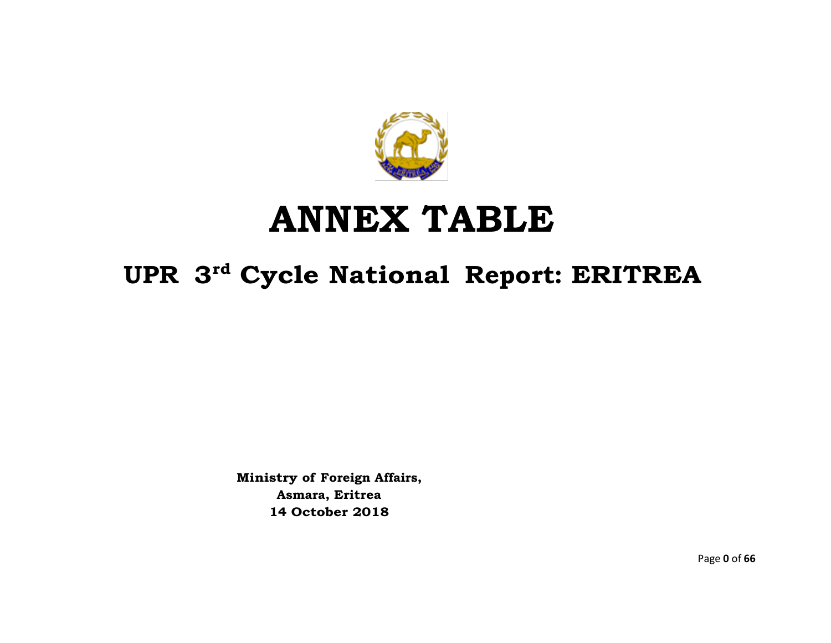

## **ANNEX TABLE**

## **UPR 3 rd Cycle National Report: ERITREA**

**Ministry of Foreign Affairs, Asmara, Eritrea 14 October 2018**

Page **0** of **66**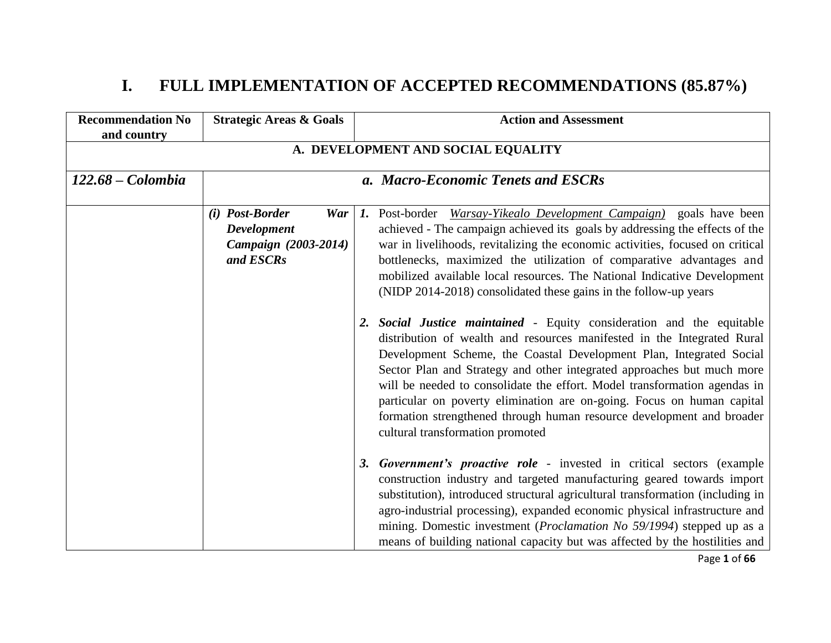## **I. FULL IMPLEMENTATION OF ACCEPTED RECOMMENDATIONS (85.87%)**

| <b>Recommendation No</b><br>and country | <b>Strategic Areas &amp; Goals</b>                                                | <b>Action and Assessment</b>                                                                                                                                                                                                                                                                                                                                                                                                                                                                                                                 |  |  |  |
|-----------------------------------------|-----------------------------------------------------------------------------------|----------------------------------------------------------------------------------------------------------------------------------------------------------------------------------------------------------------------------------------------------------------------------------------------------------------------------------------------------------------------------------------------------------------------------------------------------------------------------------------------------------------------------------------------|--|--|--|
|                                         | A. DEVELOPMENT AND SOCIAL EQUALITY                                                |                                                                                                                                                                                                                                                                                                                                                                                                                                                                                                                                              |  |  |  |
| $122.68 - Colombia$                     |                                                                                   | a. Macro-Economic Tenets and ESCRs                                                                                                                                                                                                                                                                                                                                                                                                                                                                                                           |  |  |  |
|                                         | (i) Post-Border<br>War<br><b>Development</b><br>Campaign (2003-2014)<br>and ESCRs | 1. Post-border <i>Warsay-Yikealo Development Campaign</i> ) goals have been<br>achieved - The campaign achieved its goals by addressing the effects of the<br>war in livelihoods, revitalizing the economic activities, focused on critical<br>bottlenecks, maximized the utilization of comparative advantages and<br>mobilized available local resources. The National Indicative Development<br>(NIDP 2014-2018) consolidated these gains in the follow-up years<br>2. Social Justice maintained - Equity consideration and the equitable |  |  |  |
|                                         |                                                                                   | distribution of wealth and resources manifested in the Integrated Rural<br>Development Scheme, the Coastal Development Plan, Integrated Social<br>Sector Plan and Strategy and other integrated approaches but much more<br>will be needed to consolidate the effort. Model transformation agendas in<br>particular on poverty elimination are on-going. Focus on human capital<br>formation strengthened through human resource development and broader<br>cultural transformation promoted                                                 |  |  |  |
|                                         |                                                                                   | 3. Government's proactive role - invested in critical sectors (example<br>construction industry and targeted manufacturing geared towards import<br>substitution), introduced structural agricultural transformation (including in<br>agro-industrial processing), expanded economic physical infrastructure and<br>mining. Domestic investment ( <i>Proclamation No 59/1994</i> ) stepped up as a<br>means of building national capacity but was affected by the hostilities and                                                            |  |  |  |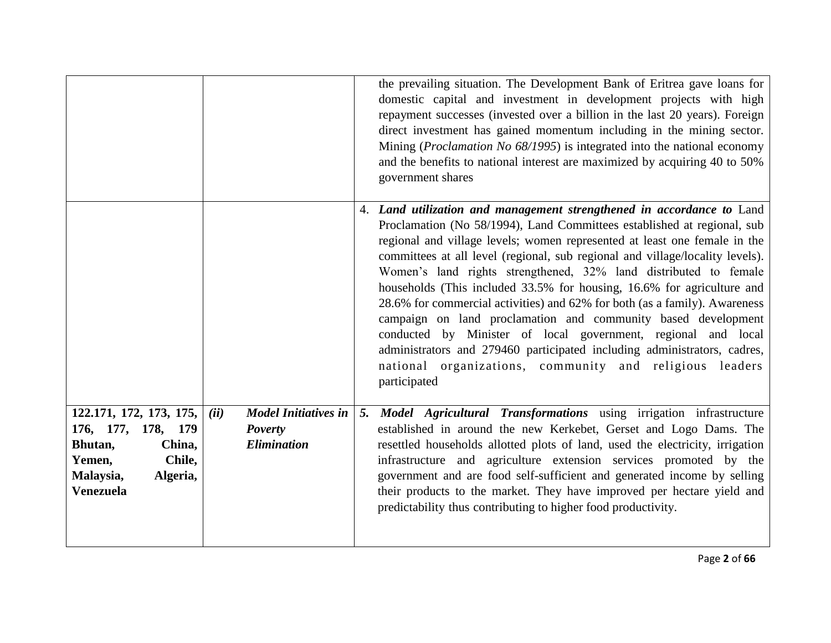|                                                                                                                                     |                                                                             | the prevailing situation. The Development Bank of Eritrea gave loans for<br>domestic capital and investment in development projects with high<br>repayment successes (invested over a billion in the last 20 years). Foreign<br>direct investment has gained momentum including in the mining sector.<br>Mining ( <i>Proclamation No 68/1995</i> ) is integrated into the national economy<br>and the benefits to national interest are maximized by acquiring 40 to 50%<br>government shares                                                                                                                                                                                                                                                                                                                                       |
|-------------------------------------------------------------------------------------------------------------------------------------|-----------------------------------------------------------------------------|-------------------------------------------------------------------------------------------------------------------------------------------------------------------------------------------------------------------------------------------------------------------------------------------------------------------------------------------------------------------------------------------------------------------------------------------------------------------------------------------------------------------------------------------------------------------------------------------------------------------------------------------------------------------------------------------------------------------------------------------------------------------------------------------------------------------------------------|
|                                                                                                                                     |                                                                             | 4. Land utilization and management strengthened in accordance to Land<br>Proclamation (No 58/1994), Land Committees established at regional, sub<br>regional and village levels; women represented at least one female in the<br>committees at all level (regional, sub regional and village/locality levels).<br>Women's land rights strengthened, 32% land distributed to female<br>households (This included 33.5% for housing, 16.6% for agriculture and<br>28.6% for commercial activities) and 62% for both (as a family). Awareness<br>campaign on land proclamation and community based development<br>conducted by Minister of local government, regional and local<br>administrators and 279460 participated including administrators, cadres,<br>national organizations, community and religious leaders<br>participated |
| 122.171, 172, 173, 175,<br>176, 177, 178, 179<br>China,<br>Bhutan,<br>Chile,<br>Yemen,<br>Malaysia,<br>Algeria,<br><b>Venezuela</b> | <b>Model Initiatives in</b><br>(ii)<br><b>Poverty</b><br><b>Elimination</b> | 5. Model Agricultural Transformations using irrigation infrastructure<br>established in around the new Kerkebet, Gerset and Logo Dams. The<br>resettled households allotted plots of land, used the electricity, irrigation<br>infrastructure and agriculture extension services promoted by the<br>government and are food self-sufficient and generated income by selling<br>their products to the market. They have improved per hectare yield and<br>predictability thus contributing to higher food productivity.                                                                                                                                                                                                                                                                                                              |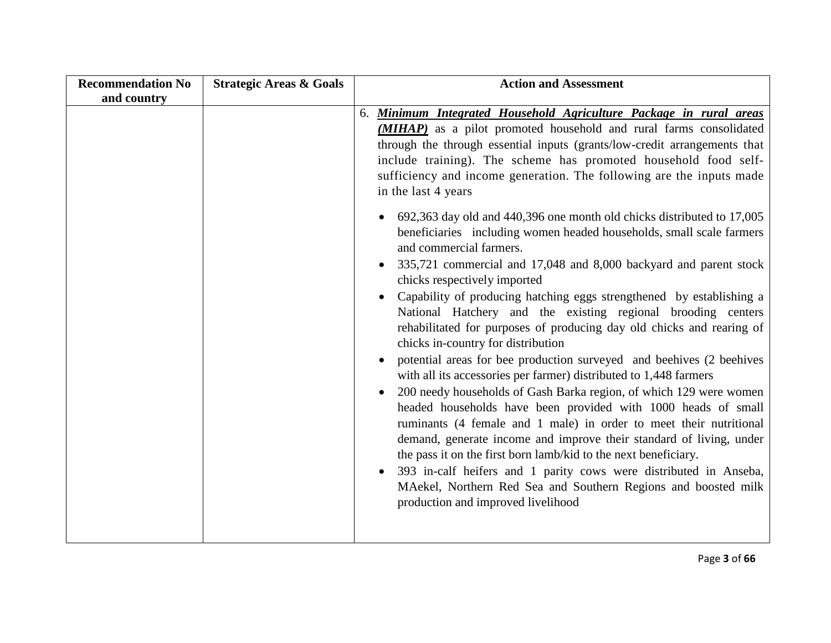| <b>Recommendation No</b> | <b>Strategic Areas &amp; Goals</b> | <b>Action and Assessment</b>                                                                                                                                                                                                                                                                                                                                                                                                                                                                                                                                                                                                                                                                                                                                                                                                                                                                                                                                                                                                                                                                                                                                                                                                                                                                                                                                                                                                                                                                                                                                                                                                            |
|--------------------------|------------------------------------|-----------------------------------------------------------------------------------------------------------------------------------------------------------------------------------------------------------------------------------------------------------------------------------------------------------------------------------------------------------------------------------------------------------------------------------------------------------------------------------------------------------------------------------------------------------------------------------------------------------------------------------------------------------------------------------------------------------------------------------------------------------------------------------------------------------------------------------------------------------------------------------------------------------------------------------------------------------------------------------------------------------------------------------------------------------------------------------------------------------------------------------------------------------------------------------------------------------------------------------------------------------------------------------------------------------------------------------------------------------------------------------------------------------------------------------------------------------------------------------------------------------------------------------------------------------------------------------------------------------------------------------------|
| and country              |                                    |                                                                                                                                                                                                                                                                                                                                                                                                                                                                                                                                                                                                                                                                                                                                                                                                                                                                                                                                                                                                                                                                                                                                                                                                                                                                                                                                                                                                                                                                                                                                                                                                                                         |
|                          |                                    | 6. Minimum Integrated Household Agriculture Package in rural areas<br>( <b>MIHAP</b> ) as a pilot promoted household and rural farms consolidated<br>through the through essential inputs (grants/low-credit arrangements that<br>include training). The scheme has promoted household food self-<br>sufficiency and income generation. The following are the inputs made<br>in the last 4 years<br>692,363 day old and 440,396 one month old chicks distributed to 17,005<br>beneficiaries including women headed households, small scale farmers<br>and commercial farmers.<br>335,721 commercial and 17,048 and 8,000 backyard and parent stock<br>$\bullet$<br>chicks respectively imported<br>Capability of producing hatching eggs strengthened by establishing a<br>National Hatchery and the existing regional brooding centers<br>rehabilitated for purposes of producing day old chicks and rearing of<br>chicks in-country for distribution<br>potential areas for bee production surveyed and beehives (2 beehives<br>with all its accessories per farmer) distributed to 1,448 farmers<br>200 needy households of Gash Barka region, of which 129 were women<br>headed households have been provided with 1000 heads of small<br>ruminants (4 female and 1 male) in order to meet their nutritional<br>demand, generate income and improve their standard of living, under<br>the pass it on the first born lamb/kid to the next beneficiary.<br>393 in-calf heifers and 1 parity cows were distributed in Anseba,<br>MAekel, Northern Red Sea and Southern Regions and boosted milk<br>production and improved livelihood |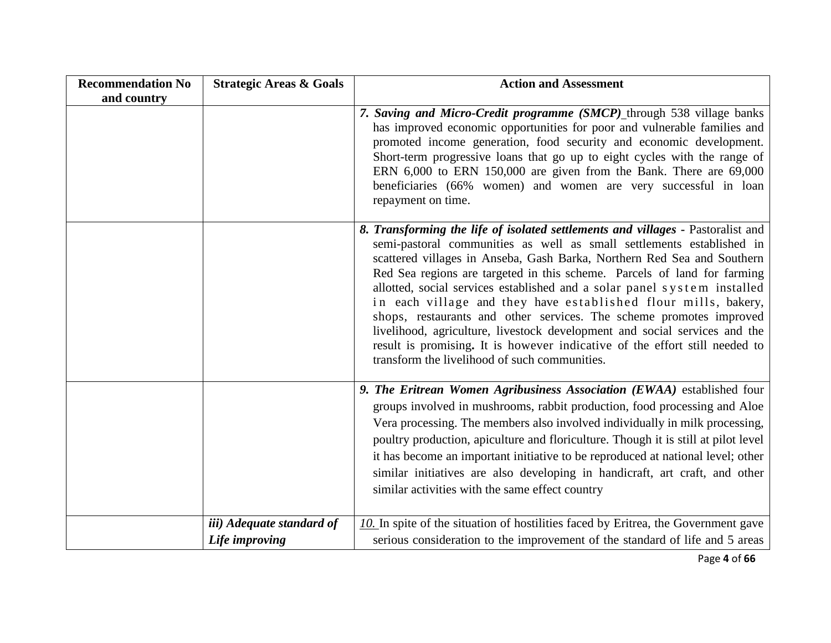| <b>Recommendation No</b> | <b>Strategic Areas &amp; Goals</b>          | <b>Action and Assessment</b>                                                                                                                                                                                                                                                                                                                                                                                                                                                                                                                                                                                                                                                                                                                       |
|--------------------------|---------------------------------------------|----------------------------------------------------------------------------------------------------------------------------------------------------------------------------------------------------------------------------------------------------------------------------------------------------------------------------------------------------------------------------------------------------------------------------------------------------------------------------------------------------------------------------------------------------------------------------------------------------------------------------------------------------------------------------------------------------------------------------------------------------|
| and country              |                                             | 7. Saving and Micro-Credit programme (SMCP) through 538 village banks<br>has improved economic opportunities for poor and vulnerable families and<br>promoted income generation, food security and economic development.<br>Short-term progressive loans that go up to eight cycles with the range of<br>ERN $6,000$ to ERN 150,000 are given from the Bank. There are $69,000$<br>beneficiaries (66% women) and women are very successful in loan<br>repayment on time.                                                                                                                                                                                                                                                                           |
|                          |                                             | 8. Transforming the life of isolated settlements and villages - Pastoralist and<br>semi-pastoral communities as well as small settlements established in<br>scattered villages in Anseba, Gash Barka, Northern Red Sea and Southern<br>Red Sea regions are targeted in this scheme. Parcels of land for farming<br>allotted, social services established and a solar panel system installed<br>in each village and they have established flour mills, bakery,<br>shops, restaurants and other services. The scheme promotes improved<br>livelihood, agriculture, livestock development and social services and the<br>result is promising. It is however indicative of the effort still needed to<br>transform the livelihood of such communities. |
|                          |                                             | 9. The Eritrean Women Agribusiness Association (EWAA) established four<br>groups involved in mushrooms, rabbit production, food processing and Aloe<br>Vera processing. The members also involved individually in milk processing,<br>poultry production, apiculture and floriculture. Though it is still at pilot level<br>it has become an important initiative to be reproduced at national level; other<br>similar initiatives are also developing in handicraft, art craft, and other<br>similar activities with the same effect country                                                                                                                                                                                                      |
|                          | iii) Adequate standard of<br>Life improving | $10$ . In spite of the situation of hostilities faced by Eritrea, the Government gave<br>serious consideration to the improvement of the standard of life and 5 areas                                                                                                                                                                                                                                                                                                                                                                                                                                                                                                                                                                              |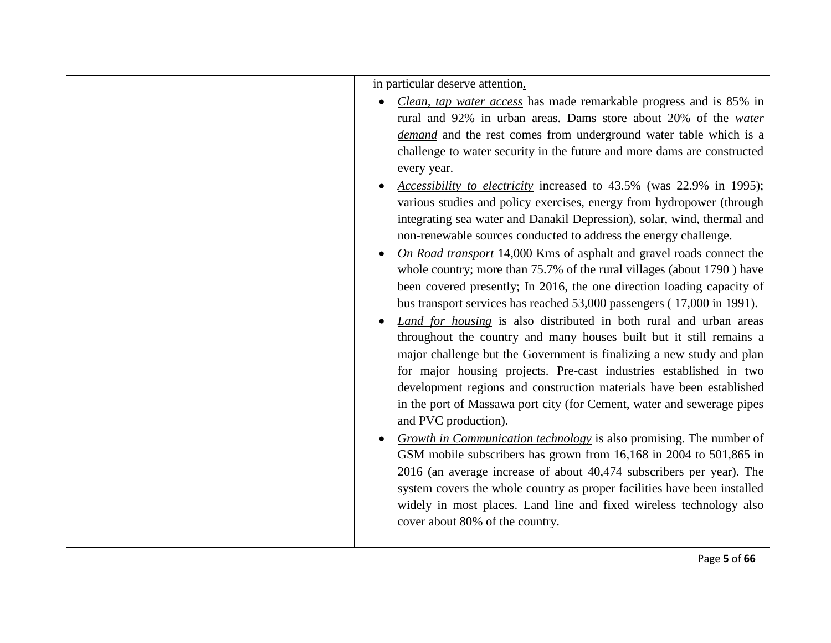|  | in particular deserve attention.<br><i>Clean, tap water access</i> has made remarkable progress and is 85% in<br>rural and 92% in urban areas. Dams store about 20% of the water<br>demand and the rest comes from underground water table which is a<br>challenge to water security in the future and more dams are constructed<br>every year.<br>Accessibility to electricity increased to 43.5% (was 22.9% in 1995);<br>various studies and policy exercises, energy from hydropower (through<br>integrating sea water and Danakil Depression), solar, wind, thermal and<br>non-renewable sources conducted to address the energy challenge.<br>On Road transport 14,000 Kms of asphalt and gravel roads connect the<br>whole country; more than 75.7% of the rural villages (about 1790) have<br>been covered presently; In 2016, the one direction loading capacity of<br>bus transport services has reached 53,000 passengers (17,000 in 1991).<br><i>Land for housing</i> is also distributed in both rural and urban areas<br>throughout the country and many houses built but it still remains a<br>major challenge but the Government is finalizing a new study and plan<br>for major housing projects. Pre-cast industries established in two<br>development regions and construction materials have been established<br>in the port of Massawa port city (for Cement, water and sewerage pipes<br>and PVC production).<br><i>Growth in Communication technology</i> is also promising. The number of<br>GSM mobile subscribers has grown from 16,168 in 2004 to 501,865 in<br>2016 (an average increase of about 40,474 subscribers per year). The<br>system covers the whole country as proper facilities have been installed<br>widely in most places. Land line and fixed wireless technology also<br>cover about 80% of the country. |
|--|------------------------------------------------------------------------------------------------------------------------------------------------------------------------------------------------------------------------------------------------------------------------------------------------------------------------------------------------------------------------------------------------------------------------------------------------------------------------------------------------------------------------------------------------------------------------------------------------------------------------------------------------------------------------------------------------------------------------------------------------------------------------------------------------------------------------------------------------------------------------------------------------------------------------------------------------------------------------------------------------------------------------------------------------------------------------------------------------------------------------------------------------------------------------------------------------------------------------------------------------------------------------------------------------------------------------------------------------------------------------------------------------------------------------------------------------------------------------------------------------------------------------------------------------------------------------------------------------------------------------------------------------------------------------------------------------------------------------------------------------------------------------------------------------------------------------------------------------------|
|  |                                                                                                                                                                                                                                                                                                                                                                                                                                                                                                                                                                                                                                                                                                                                                                                                                                                                                                                                                                                                                                                                                                                                                                                                                                                                                                                                                                                                                                                                                                                                                                                                                                                                                                                                                                                                                                                      |
|  |                                                                                                                                                                                                                                                                                                                                                                                                                                                                                                                                                                                                                                                                                                                                                                                                                                                                                                                                                                                                                                                                                                                                                                                                                                                                                                                                                                                                                                                                                                                                                                                                                                                                                                                                                                                                                                                      |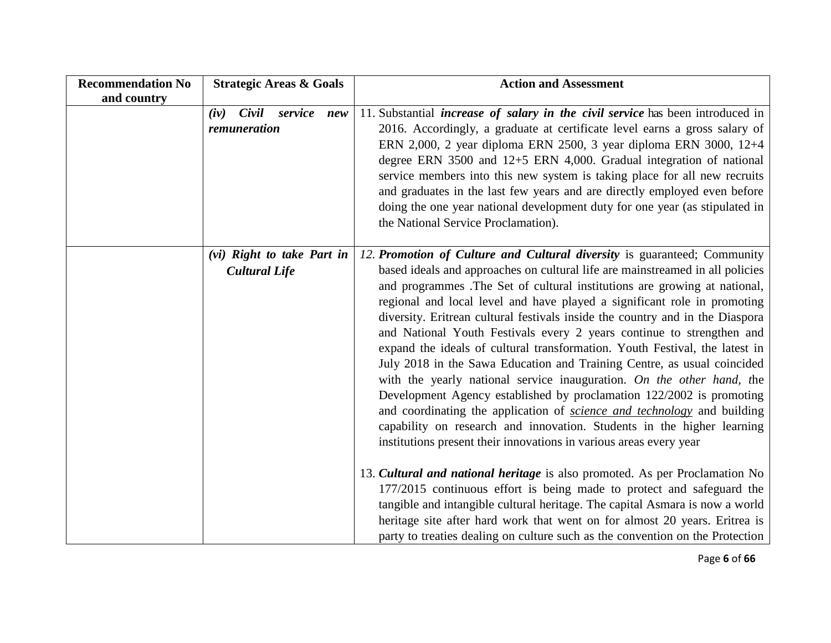| <b>Recommendation No</b> | <b>Strategic Areas &amp; Goals</b>                 | <b>Action and Assessment</b>                                                                                                                                                                                                                                                                                                                                                                                                                                                                                                                                                                                                                                                                                                                                                                                                                                                                                                                                                                                       |
|--------------------------|----------------------------------------------------|--------------------------------------------------------------------------------------------------------------------------------------------------------------------------------------------------------------------------------------------------------------------------------------------------------------------------------------------------------------------------------------------------------------------------------------------------------------------------------------------------------------------------------------------------------------------------------------------------------------------------------------------------------------------------------------------------------------------------------------------------------------------------------------------------------------------------------------------------------------------------------------------------------------------------------------------------------------------------------------------------------------------|
| and country              | $(iv)$ Civil<br>service new<br>remuneration        | 11. Substantial <i>increase of salary in the civil service</i> has been introduced in<br>2016. Accordingly, a graduate at certificate level earns a gross salary of<br>ERN 2,000, 2 year diploma ERN 2500, 3 year diploma ERN 3000, 12+4<br>degree ERN 3500 and $12+5$ ERN 4,000. Gradual integration of national<br>service members into this new system is taking place for all new recruits<br>and graduates in the last few years and are directly employed even before<br>doing the one year national development duty for one year (as stipulated in<br>the National Service Proclamation).                                                                                                                                                                                                                                                                                                                                                                                                                  |
|                          | (vi) Right to take Part in<br><b>Cultural Life</b> | 12. Promotion of Culture and Cultural diversity is guaranteed; Community<br>based ideals and approaches on cultural life are mainstreamed in all policies<br>and programmes. The Set of cultural institutions are growing at national,<br>regional and local level and have played a significant role in promoting<br>diversity. Eritrean cultural festivals inside the country and in the Diaspora<br>and National Youth Festivals every 2 years continue to strengthen and<br>expand the ideals of cultural transformation. Youth Festival, the latest in<br>July 2018 in the Sawa Education and Training Centre, as usual coincided<br>with the yearly national service inauguration. On the other hand, the<br>Development Agency established by proclamation 122/2002 is promoting<br>and coordinating the application of science and technology and building<br>capability on research and innovation. Students in the higher learning<br>institutions present their innovations in various areas every year |
|                          |                                                    | 13. Cultural and national heritage is also promoted. As per Proclamation No<br>177/2015 continuous effort is being made to protect and safeguard the<br>tangible and intangible cultural heritage. The capital Asmara is now a world<br>heritage site after hard work that went on for almost 20 years. Eritrea is<br>party to treaties dealing on culture such as the convention on the Protection                                                                                                                                                                                                                                                                                                                                                                                                                                                                                                                                                                                                                |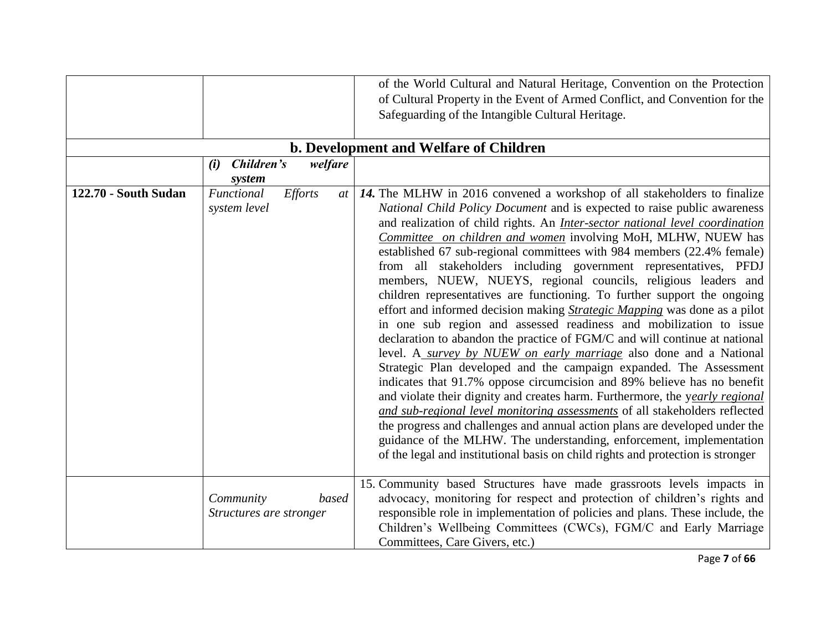|                             |                                               | of the World Cultural and Natural Heritage, Convention on the Protection<br>of Cultural Property in the Event of Armed Conflict, and Convention for the<br>Safeguarding of the Intangible Cultural Heritage.<br>b. Development and Welfare of Children                                                                                                                                                                                                                                                                                                                                                                                                                                                                                                                                                                                                                                                                                                                                                                                                                                                                                                                                                                                                                                                                                                                                                                                                                                       |
|-----------------------------|-----------------------------------------------|----------------------------------------------------------------------------------------------------------------------------------------------------------------------------------------------------------------------------------------------------------------------------------------------------------------------------------------------------------------------------------------------------------------------------------------------------------------------------------------------------------------------------------------------------------------------------------------------------------------------------------------------------------------------------------------------------------------------------------------------------------------------------------------------------------------------------------------------------------------------------------------------------------------------------------------------------------------------------------------------------------------------------------------------------------------------------------------------------------------------------------------------------------------------------------------------------------------------------------------------------------------------------------------------------------------------------------------------------------------------------------------------------------------------------------------------------------------------------------------------|
|                             | Children's<br>welfare<br>(i)<br>system        |                                                                                                                                                                                                                                                                                                                                                                                                                                                                                                                                                                                                                                                                                                                                                                                                                                                                                                                                                                                                                                                                                                                                                                                                                                                                                                                                                                                                                                                                                              |
| <b>122.70 - South Sudan</b> | Functional<br>Efforts<br>system level         | at   14. The MLHW in 2016 convened a workshop of all stakeholders to finalize<br>National Child Policy Document and is expected to raise public awareness<br>and realization of child rights. An <i>Inter-sector national level coordination</i><br>Committee on children and women involving MoH, MLHW, NUEW has<br>established 67 sub-regional committees with 984 members (22.4% female)<br>from all stakeholders including government representatives, PFDJ<br>members, NUEW, NUEYS, regional councils, religious leaders and<br>children representatives are functioning. To further support the ongoing<br>effort and informed decision making <i>Strategic Mapping</i> was done as a pilot<br>in one sub region and assessed readiness and mobilization to issue<br>declaration to abandon the practice of FGM/C and will continue at national<br>level. A <i>survey by NUEW on early marriage</i> also done and a National<br>Strategic Plan developed and the campaign expanded. The Assessment<br>indicates that 91.7% oppose circumcision and 89% believe has no benefit<br>and violate their dignity and creates harm. Furthermore, the yearly regional<br>and sub-regional level monitoring assessments of all stakeholders reflected<br>the progress and challenges and annual action plans are developed under the<br>guidance of the MLHW. The understanding, enforcement, implementation<br>of the legal and institutional basis on child rights and protection is stronger |
|                             | Community<br>based<br>Structures are stronger | 15. Community based Structures have made grassroots levels impacts in<br>advocacy, monitoring for respect and protection of children's rights and<br>responsible role in implementation of policies and plans. These include, the<br>Children's Wellbeing Committees (CWCs), FGM/C and Early Marriage<br>Committees, Care Givers, etc.)                                                                                                                                                                                                                                                                                                                                                                                                                                                                                                                                                                                                                                                                                                                                                                                                                                                                                                                                                                                                                                                                                                                                                      |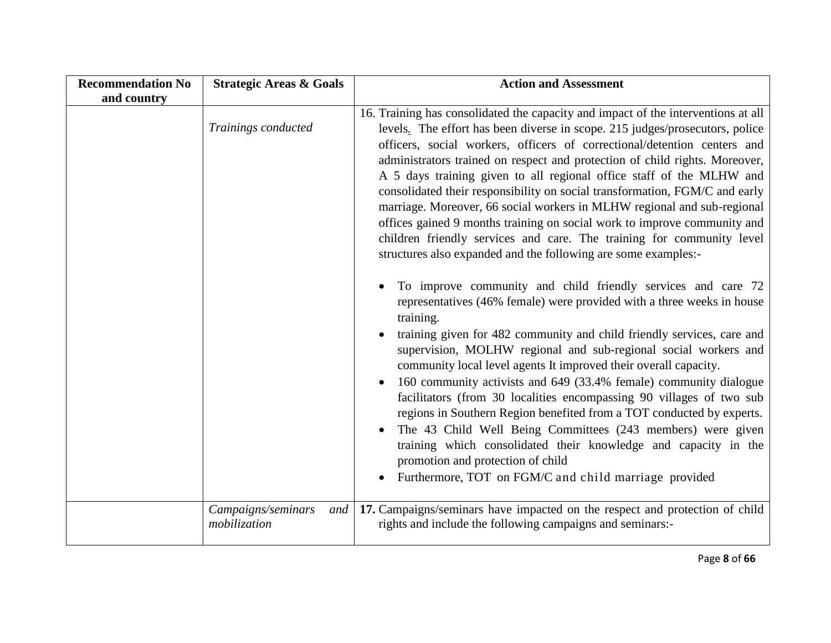| <b>Recommendation No</b> | <b>Strategic Areas &amp; Goals</b>        | <b>Action and Assessment</b>                                                                                                                                                                                                                                                                                                                                                                                                                                                                                                                                                                                                                                                                                                                                                                                               |
|--------------------------|-------------------------------------------|----------------------------------------------------------------------------------------------------------------------------------------------------------------------------------------------------------------------------------------------------------------------------------------------------------------------------------------------------------------------------------------------------------------------------------------------------------------------------------------------------------------------------------------------------------------------------------------------------------------------------------------------------------------------------------------------------------------------------------------------------------------------------------------------------------------------------|
| and country              |                                           |                                                                                                                                                                                                                                                                                                                                                                                                                                                                                                                                                                                                                                                                                                                                                                                                                            |
|                          | Trainings conducted                       | 16. Training has consolidated the capacity and impact of the interventions at all<br>levels. The effort has been diverse in scope. 215 judges/prosecutors, police<br>officers, social workers, officers of correctional/detention centers and<br>administrators trained on respect and protection of child rights. Moreover,<br>A 5 days training given to all regional office staff of the MLHW and<br>consolidated their responsibility on social transformation, FGM/C and early<br>marriage. Moreover, 66 social workers in MLHW regional and sub-regional<br>offices gained 9 months training on social work to improve community and<br>children friendly services and care. The training for community level<br>structures also expanded and the following are some examples:-                                      |
|                          |                                           | To improve community and child friendly services and care 72<br>representatives (46% female) were provided with a three weeks in house<br>training.<br>training given for 482 community and child friendly services, care and<br>supervision, MOLHW regional and sub-regional social workers and<br>community local level agents It improved their overall capacity.<br>160 community activists and 649 (33.4% female) community dialogue<br>facilitators (from 30 localities encompassing 90 villages of two sub<br>regions in Southern Region benefited from a TOT conducted by experts.<br>The 43 Child Well Being Committees (243 members) were given<br>training which consolidated their knowledge and capacity in the<br>promotion and protection of child<br>Furthermore, TOT on FGM/C and child marriage provided |
|                          | Campaigns/seminars<br>and<br>mobilization | 17. Campaigns/seminars have impacted on the respect and protection of child<br>rights and include the following campaigns and seminars:-                                                                                                                                                                                                                                                                                                                                                                                                                                                                                                                                                                                                                                                                                   |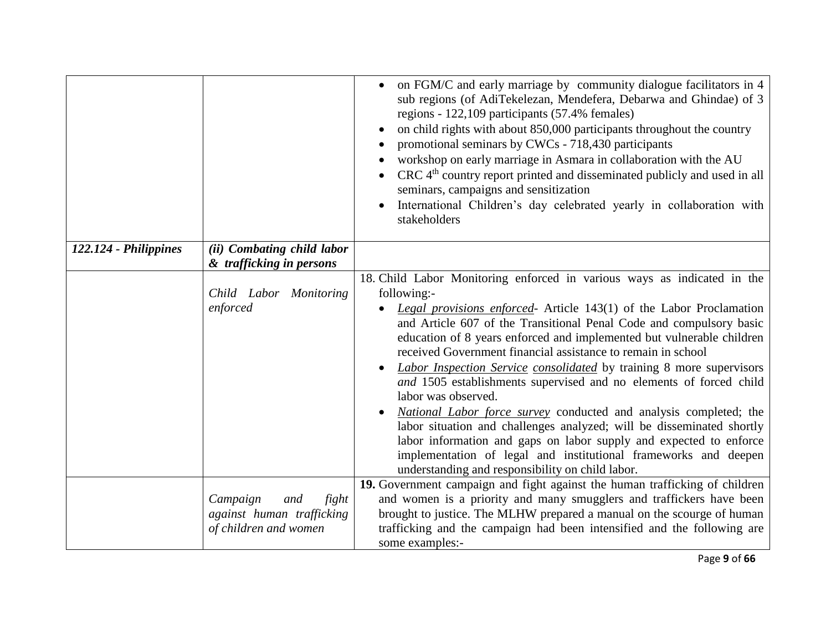|                       |                                                                                | on FGM/C and early marriage by community dialogue facilitators in 4<br>sub regions (of AdiTekelezan, Mendefera, Debarwa and Ghindae) of 3<br>regions - 122,109 participants (57.4% females)<br>on child rights with about 850,000 participants throughout the country<br>$\bullet$<br>promotional seminars by CWCs - 718,430 participants<br>workshop on early marriage in Asmara in collaboration with the AU<br>CRC 4 <sup>th</sup> country report printed and disseminated publicly and used in all<br>seminars, campaigns and sensitization<br>International Children's day celebrated yearly in collaboration with<br>$\bullet$<br>stakeholders                                                                                                                                                                                                                                                 |
|-----------------------|--------------------------------------------------------------------------------|------------------------------------------------------------------------------------------------------------------------------------------------------------------------------------------------------------------------------------------------------------------------------------------------------------------------------------------------------------------------------------------------------------------------------------------------------------------------------------------------------------------------------------------------------------------------------------------------------------------------------------------------------------------------------------------------------------------------------------------------------------------------------------------------------------------------------------------------------------------------------------------------------|
| 122.124 - Philippines | (ii) Combating child labor                                                     |                                                                                                                                                                                                                                                                                                                                                                                                                                                                                                                                                                                                                                                                                                                                                                                                                                                                                                      |
|                       | & trafficking in persons<br>Child Labor Monitoring<br>enforced                 | 18. Child Labor Monitoring enforced in various ways as indicated in the<br>following:-<br>Legal provisions enforced- Article 143(1) of the Labor Proclamation<br>and Article 607 of the Transitional Penal Code and compulsory basic<br>education of 8 years enforced and implemented but vulnerable children<br>received Government financial assistance to remain in school<br><b>Labor Inspection Service consolidated</b> by training 8 more supervisors<br>and 1505 establishments supervised and no elements of forced child<br>labor was observed.<br>National Labor force survey conducted and analysis completed; the<br>labor situation and challenges analyzed; will be disseminated shortly<br>labor information and gaps on labor supply and expected to enforce<br>implementation of legal and institutional frameworks and deepen<br>understanding and responsibility on child labor. |
|                       | fight<br>Campaign<br>and<br>against human trafficking<br>of children and women | 19. Government campaign and fight against the human trafficking of children<br>and women is a priority and many smugglers and traffickers have been<br>brought to justice. The MLHW prepared a manual on the scourge of human<br>trafficking and the campaign had been intensified and the following are<br>some examples:-                                                                                                                                                                                                                                                                                                                                                                                                                                                                                                                                                                          |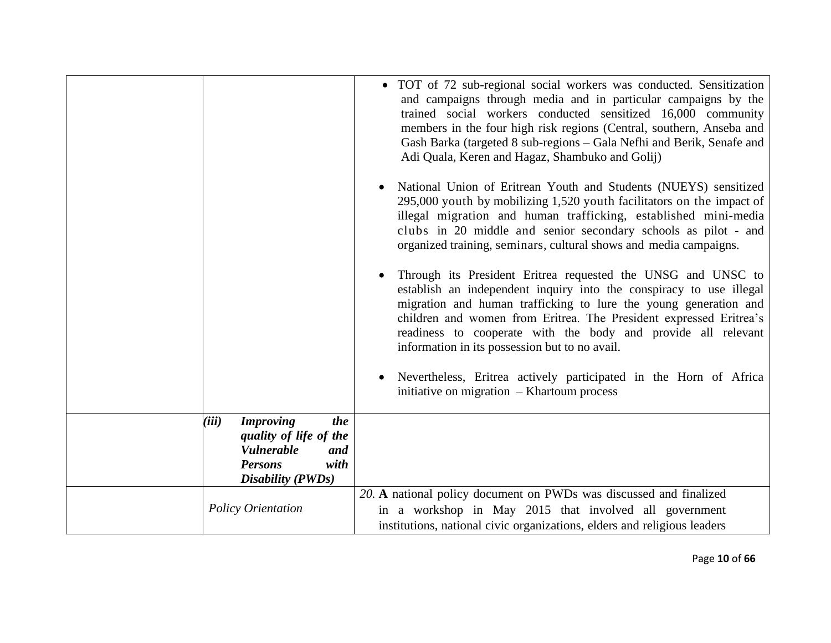|                                                                                       |                                              |           | • TOT of 72 sub-regional social workers was conducted. Sensitization<br>and campaigns through media and in particular campaigns by the<br>trained social workers conducted sensitized 16,000 community<br>members in the four high risk regions (Central, southern, Anseba and<br>Gash Barka (targeted 8 sub-regions – Gala Nefhi and Berik, Senafe and<br>Adi Quala, Keren and Hagaz, Shambuko and Golij) |
|---------------------------------------------------------------------------------------|----------------------------------------------|-----------|------------------------------------------------------------------------------------------------------------------------------------------------------------------------------------------------------------------------------------------------------------------------------------------------------------------------------------------------------------------------------------------------------------|
|                                                                                       |                                              | $\bullet$ | National Union of Eritrean Youth and Students (NUEYS) sensitized<br>295,000 youth by mobilizing 1,520 youth facilitators on the impact of<br>illegal migration and human trafficking, established mini-media<br>clubs in 20 middle and senior secondary schools as pilot - and<br>organized training, seminars, cultural shows and media campaigns.                                                        |
|                                                                                       |                                              | $\bullet$ | Through its President Eritrea requested the UNSG and UNSC to<br>establish an independent inquiry into the conspiracy to use illegal<br>migration and human trafficking to lure the young generation and<br>children and women from Eritrea. The President expressed Eritrea's<br>readiness to cooperate with the body and provide all relevant<br>information in its possession but to no avail.           |
|                                                                                       |                                              |           | Nevertheless, Eritrea actively participated in the Horn of Africa<br>initiative on migration $-$ Khartoum process                                                                                                                                                                                                                                                                                          |
| (iii)<br><b>Improving</b><br><b>Vulnerable</b><br><b>Persons</b><br>Disability (PWDs) | the<br>quality of life of the<br>and<br>with |           |                                                                                                                                                                                                                                                                                                                                                                                                            |
| <b>Policy Orientation</b>                                                             |                                              |           | 20. A national policy document on PWDs was discussed and finalized<br>in a workshop in May 2015 that involved all government<br>institutions, national civic organizations, elders and religious leaders                                                                                                                                                                                                   |

Page **10** of **66**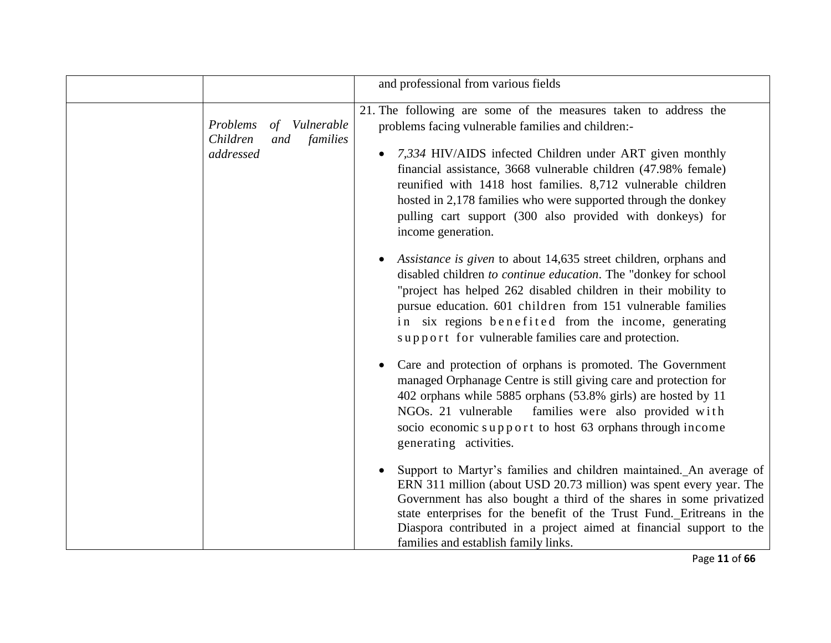|                                                |                        | and professional from various fields                                                                                                                                                                                                                                                                                                                                                                                                                                                                                                                                                                                                                                                                                                                                                                                                                                                                                                                                                                                                                                                                                                                                                                                                                                                                                                                                                                                                                 |
|------------------------------------------------|------------------------|------------------------------------------------------------------------------------------------------------------------------------------------------------------------------------------------------------------------------------------------------------------------------------------------------------------------------------------------------------------------------------------------------------------------------------------------------------------------------------------------------------------------------------------------------------------------------------------------------------------------------------------------------------------------------------------------------------------------------------------------------------------------------------------------------------------------------------------------------------------------------------------------------------------------------------------------------------------------------------------------------------------------------------------------------------------------------------------------------------------------------------------------------------------------------------------------------------------------------------------------------------------------------------------------------------------------------------------------------------------------------------------------------------------------------------------------------|
| Problems<br>οf<br>Children<br>and<br>addressed | Vulnerable<br>families | 21. The following are some of the measures taken to address the<br>problems facing vulnerable families and children:-<br>7,334 HIV/AIDS infected Children under ART given monthly<br>$\bullet$<br>financial assistance, 3668 vulnerable children (47.98% female)<br>reunified with 1418 host families. 8,712 vulnerable children<br>hosted in 2,178 families who were supported through the donkey<br>pulling cart support (300 also provided with donkeys) for<br>income generation.<br>Assistance is given to about 14,635 street children, orphans and<br>disabled children to continue education. The "donkey for school"<br>"project has helped 262 disabled children in their mobility to<br>pursue education. 601 children from 151 vulnerable families<br>in six regions benefited from the income, generating<br>support for vulnerable families care and protection.<br>Care and protection of orphans is promoted. The Government<br>managed Orphanage Centre is still giving care and protection for<br>402 orphans while 5885 orphans (53.8% girls) are hosted by 11<br>NGOs. 21 vulnerable families were also provided with<br>socio economic support to host 63 orphans through income<br>generating activities.<br>Support to Martyr's families and children maintained. An average of<br>ERN 311 million (about USD 20.73 million) was spent every year. The<br>Government has also bought a third of the shares in some privatized |
|                                                |                        | state enterprises for the benefit of the Trust Fund. Eritreans in the<br>Diaspora contributed in a project aimed at financial support to the<br>families and establish family links.                                                                                                                                                                                                                                                                                                                                                                                                                                                                                                                                                                                                                                                                                                                                                                                                                                                                                                                                                                                                                                                                                                                                                                                                                                                                 |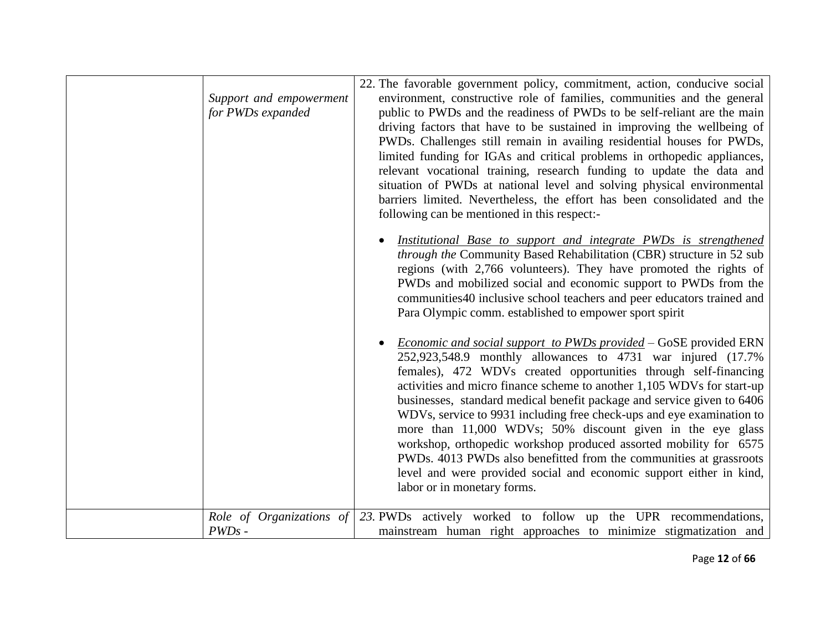| Support and empowerment<br>for PWDs expanded | 22. The favorable government policy, commitment, action, conducive social<br>environment, constructive role of families, communities and the general<br>public to PWDs and the readiness of PWDs to be self-reliant are the main<br>driving factors that have to be sustained in improving the wellbeing of<br>PWDs. Challenges still remain in availing residential houses for PWDs,<br>limited funding for IGAs and critical problems in orthopedic appliances,<br>relevant vocational training, research funding to update the data and<br>situation of PWDs at national level and solving physical environmental<br>barriers limited. Nevertheless, the effort has been consolidated and the<br>following can be mentioned in this respect:-       |
|----------------------------------------------|--------------------------------------------------------------------------------------------------------------------------------------------------------------------------------------------------------------------------------------------------------------------------------------------------------------------------------------------------------------------------------------------------------------------------------------------------------------------------------------------------------------------------------------------------------------------------------------------------------------------------------------------------------------------------------------------------------------------------------------------------------|
|                                              | Institutional Base to support and integrate PWDs is strengthened<br>through the Community Based Rehabilitation (CBR) structure in 52 sub<br>regions (with 2,766 volunteers). They have promoted the rights of<br>PWDs and mobilized social and economic support to PWDs from the<br>communities 40 inclusive school teachers and peer educators trained and<br>Para Olympic comm. established to empower sport spirit                                                                                                                                                                                                                                                                                                                                  |
|                                              | <i>Economic and social support to PWDs provided</i> – GoSE provided ERN<br>252,923,548.9 monthly allowances to 4731 war injured (17.7%)<br>females), 472 WDVs created opportunities through self-financing<br>activities and micro finance scheme to another 1,105 WDVs for start-up<br>businesses, standard medical benefit package and service given to 6406<br>WDVs, service to 9931 including free check-ups and eye examination to<br>more than 11,000 WDVs; 50% discount given in the eye glass<br>workshop, orthopedic workshop produced assorted mobility for 6575<br>PWDs. 4013 PWDs also benefitted from the communities at grassroots<br>level and were provided social and economic support either in kind,<br>labor or in monetary forms. |
| Role of Organizations of<br>$PWDs$ -         | 23. PWDs actively worked to follow up the UPR recommendations,<br>mainstream human right approaches to minimize stigmatization and                                                                                                                                                                                                                                                                                                                                                                                                                                                                                                                                                                                                                     |
|                                              |                                                                                                                                                                                                                                                                                                                                                                                                                                                                                                                                                                                                                                                                                                                                                        |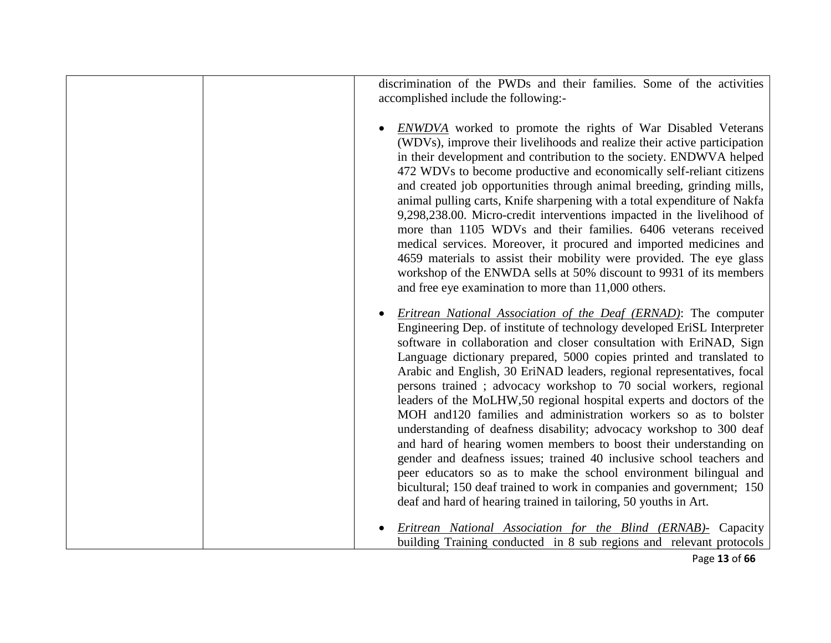discrimination of the PWDs and their families. Some of the activities accomplished include the following:- • *ENWDVA* worked to promote the rights of War Disabled Veterans (WDVs), improve their livelihoods and realize their active participation in their development and contribution to the society. ENDWVA helped 472 WDVs to become productive and economically self-reliant citizens and created job opportunities through animal breeding, grinding mills, animal pulling carts, Knife sharpening with a total expenditure of Nakfa 9,298,238.00. Micro-credit interventions impacted in the livelihood of more than 1105 WDVs and their families. 6406 veterans received medical services. Moreover, it procured and imported medicines and 4659 materials to assist their mobility were provided. The eye glass workshop of the ENWDA sells at 50% discount to 9931 of its members and free eye examination to more than 11,000 others. • *Eritrean National Association of the Deaf (ERNAD)*: The computer Engineering Dep. of institute of technology developed EriSL Interpreter software in collaboration and closer consultation with EriNAD, Sign Language dictionary prepared, 5000 copies printed and translated to Arabic and English*,* 30 EriNAD leaders, regional representatives, focal persons trained ; advocacy workshop to 70 social workers, regional leaders of the MoLHW,50 regional hospital experts and doctors of the MOH and120 families and administration workers so as to bolster understanding of deafness disability; advocacy workshop to 300 deaf and hard of hearing women members to boost their understanding on gender and deafness issues; trained 40 inclusive school teachers and peer educators so as to make the school environment bilingual and bicultural; 150 deaf trained to work in companies and government; 150 deaf and hard of hearing trained in tailoring, 50 youths in Art. • *Eritrean National Association for the Blind (ERNAB)-* Capacity building Training conducted in 8 sub regions and relevant protocols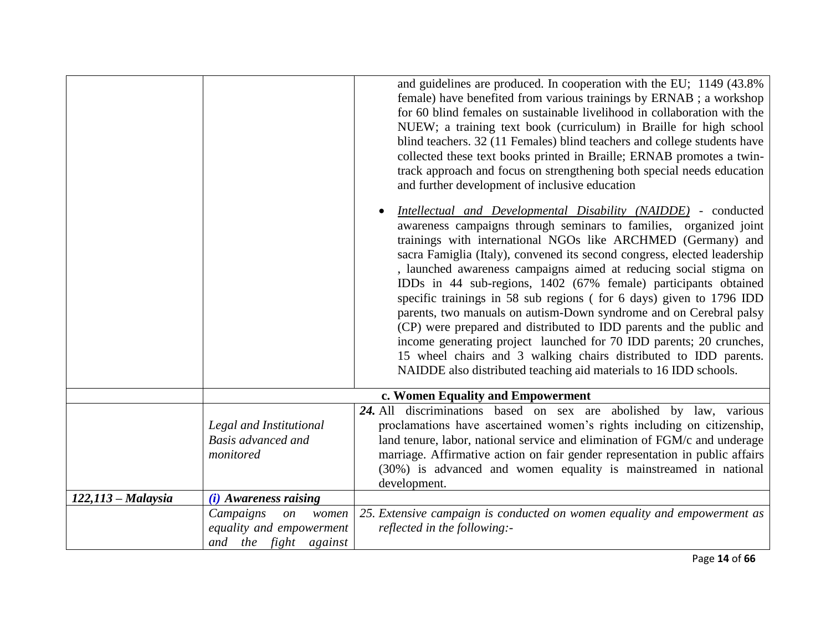|                    |                                                                                  | and guidelines are produced. In cooperation with the EU; 1149 (43.8%)<br>female) have benefited from various trainings by ERNAB; a workshop<br>for 60 blind females on sustainable livelihood in collaboration with the<br>NUEW; a training text book (curriculum) in Braille for high school<br>blind teachers. 32 (11 Females) blind teachers and college students have<br>collected these text books printed in Braille; ERNAB promotes a twin-<br>track approach and focus on strengthening both special needs education<br>and further development of inclusive education<br>Intellectual and Developmental Disability (NAIDDE) - conducted<br>awareness campaigns through seminars to families, organized joint<br>trainings with international NGOs like ARCHMED (Germany) and<br>sacra Famiglia (Italy), convened its second congress, elected leadership<br>, launched awareness campaigns aimed at reducing social stigma on<br>IDDs in 44 sub-regions, 1402 (67% female) participants obtained<br>specific trainings in 58 sub regions (for 6 days) given to 1796 IDD<br>parents, two manuals on autism-Down syndrome and on Cerebral palsy<br>(CP) were prepared and distributed to IDD parents and the public and<br>income generating project launched for 70 IDD parents; 20 crunches,<br>15 wheel chairs and 3 walking chairs distributed to IDD parents.<br>NAIDDE also distributed teaching aid materials to 16 IDD schools. |
|--------------------|----------------------------------------------------------------------------------|------------------------------------------------------------------------------------------------------------------------------------------------------------------------------------------------------------------------------------------------------------------------------------------------------------------------------------------------------------------------------------------------------------------------------------------------------------------------------------------------------------------------------------------------------------------------------------------------------------------------------------------------------------------------------------------------------------------------------------------------------------------------------------------------------------------------------------------------------------------------------------------------------------------------------------------------------------------------------------------------------------------------------------------------------------------------------------------------------------------------------------------------------------------------------------------------------------------------------------------------------------------------------------------------------------------------------------------------------------------------------------------------------------------------------------------------|
|                    |                                                                                  | c. Women Equality and Empowerment                                                                                                                                                                                                                                                                                                                                                                                                                                                                                                                                                                                                                                                                                                                                                                                                                                                                                                                                                                                                                                                                                                                                                                                                                                                                                                                                                                                                              |
|                    | Legal and Institutional<br>Basis advanced and<br>monitored                       | 24. All discriminations based on sex are abolished by law, various<br>proclamations have ascertained women's rights including on citizenship,<br>land tenure, labor, national service and elimination of FGM/c and underage<br>marriage. Affirmative action on fair gender representation in public affairs<br>(30%) is advanced and women equality is mainstreamed in national<br>development.                                                                                                                                                                                                                                                                                                                                                                                                                                                                                                                                                                                                                                                                                                                                                                                                                                                                                                                                                                                                                                                |
| $122,113-Malaysia$ | $(i)$ Awareness raising                                                          |                                                                                                                                                                                                                                                                                                                                                                                                                                                                                                                                                                                                                                                                                                                                                                                                                                                                                                                                                                                                                                                                                                                                                                                                                                                                                                                                                                                                                                                |
|                    | Campaigns<br>women<br>on<br>equality and empowerment<br>the fight against<br>and | 25. Extensive campaign is conducted on women equality and empowerment as<br>reflected in the following:-                                                                                                                                                                                                                                                                                                                                                                                                                                                                                                                                                                                                                                                                                                                                                                                                                                                                                                                                                                                                                                                                                                                                                                                                                                                                                                                                       |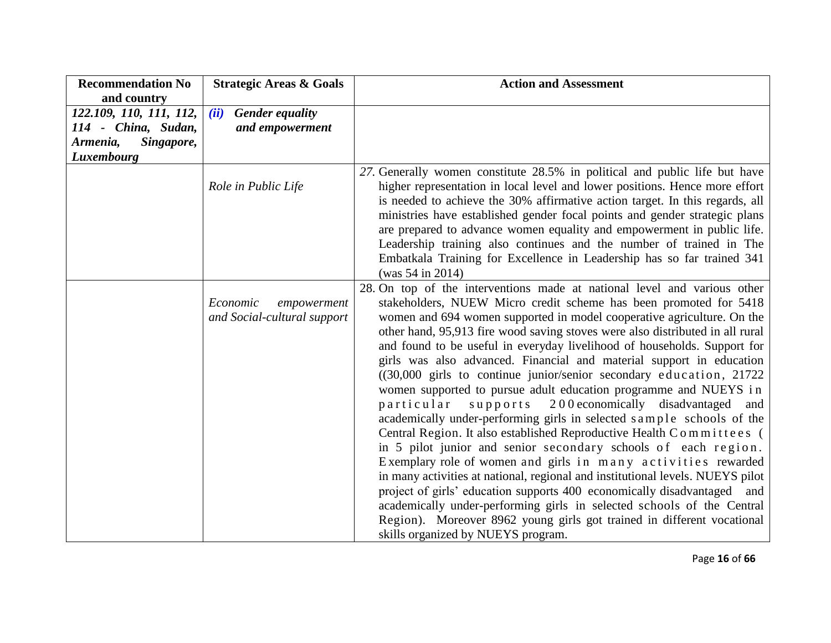| <b>Recommendation No</b> | <b>Strategic Areas &amp; Goals</b>                     | <b>Action and Assessment</b>                                                                                                                                                                                                                                                                                                                                                                                                                                                                                                                                                                                                                                                                                                                                                                                                                                                                                                                                                                                                                                                                                                                                                                                                                                                                                           |
|--------------------------|--------------------------------------------------------|------------------------------------------------------------------------------------------------------------------------------------------------------------------------------------------------------------------------------------------------------------------------------------------------------------------------------------------------------------------------------------------------------------------------------------------------------------------------------------------------------------------------------------------------------------------------------------------------------------------------------------------------------------------------------------------------------------------------------------------------------------------------------------------------------------------------------------------------------------------------------------------------------------------------------------------------------------------------------------------------------------------------------------------------------------------------------------------------------------------------------------------------------------------------------------------------------------------------------------------------------------------------------------------------------------------------|
| and country              |                                                        |                                                                                                                                                                                                                                                                                                                                                                                                                                                                                                                                                                                                                                                                                                                                                                                                                                                                                                                                                                                                                                                                                                                                                                                                                                                                                                                        |
| 122.109, 110, 111, 112,  | (ii)<br><b>Gender equality</b>                         |                                                                                                                                                                                                                                                                                                                                                                                                                                                                                                                                                                                                                                                                                                                                                                                                                                                                                                                                                                                                                                                                                                                                                                                                                                                                                                                        |
| 114 - China, Sudan,      | and empowerment                                        |                                                                                                                                                                                                                                                                                                                                                                                                                                                                                                                                                                                                                                                                                                                                                                                                                                                                                                                                                                                                                                                                                                                                                                                                                                                                                                                        |
| Singapore,<br>Armenia,   |                                                        |                                                                                                                                                                                                                                                                                                                                                                                                                                                                                                                                                                                                                                                                                                                                                                                                                                                                                                                                                                                                                                                                                                                                                                                                                                                                                                                        |
| Luxembourg               |                                                        |                                                                                                                                                                                                                                                                                                                                                                                                                                                                                                                                                                                                                                                                                                                                                                                                                                                                                                                                                                                                                                                                                                                                                                                                                                                                                                                        |
|                          | Role in Public Life                                    | 27. Generally women constitute 28.5% in political and public life but have<br>higher representation in local level and lower positions. Hence more effort<br>is needed to achieve the 30% affirmative action target. In this regards, all<br>ministries have established gender focal points and gender strategic plans<br>are prepared to advance women equality and empowerment in public life.<br>Leadership training also continues and the number of trained in The<br>Embatkala Training for Excellence in Leadership has so far trained 341<br>(was 54 in 2014)                                                                                                                                                                                                                                                                                                                                                                                                                                                                                                                                                                                                                                                                                                                                                 |
|                          | Economic<br>empowerment<br>and Social-cultural support | 28. On top of the interventions made at national level and various other<br>stakeholders, NUEW Micro credit scheme has been promoted for 5418<br>women and 694 women supported in model cooperative agriculture. On the<br>other hand, 95,913 fire wood saving stoves were also distributed in all rural<br>and found to be useful in everyday livelihood of households. Support for<br>girls was also advanced. Financial and material support in education<br>((30,000 girls to continue junior/senior secondary education, 21722)<br>women supported to pursue adult education programme and NUEYS in<br>200 economically disadvantaged and<br>particular<br>$s$ upports<br>academically under-performing girls in selected sample schools of the<br>Central Region. It also established Reproductive Health Committees (<br>in 5 pilot junior and senior secondary schools of each region.<br>Exemplary role of women and girls in many activities rewarded<br>in many activities at national, regional and institutional levels. NUEYS pilot<br>project of girls' education supports 400 economically disadvantaged and<br>academically under-performing girls in selected schools of the Central<br>Region). Moreover 8962 young girls got trained in different vocational<br>skills organized by NUEYS program. |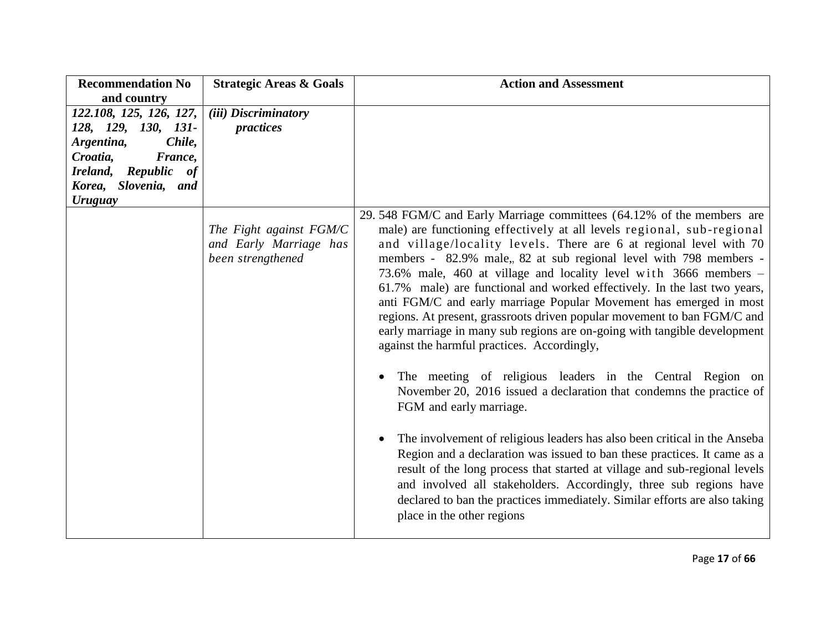| <b>Recommendation No</b> | <b>Strategic Areas &amp; Goals</b> | <b>Action and Assessment</b>                                                           |
|--------------------------|------------------------------------|----------------------------------------------------------------------------------------|
| and country              |                                    |                                                                                        |
| 122.108, 125, 126, 127,  | (iii) Discriminatory               |                                                                                        |
| 128, 129, 130, 131-      | practices                          |                                                                                        |
| Argentina,<br>Chile,     |                                    |                                                                                        |
| Croatia,<br>France,      |                                    |                                                                                        |
| Ireland, Republic of     |                                    |                                                                                        |
| Korea, Slovenia, and     |                                    |                                                                                        |
| <b>Uruguay</b>           |                                    |                                                                                        |
|                          |                                    | 29.548 FGM/C and Early Marriage committees (64.12% of the members are                  |
|                          | The Fight against FGM/C            | male) are functioning effectively at all levels regional, sub-regional                 |
|                          | and Early Marriage has             | and village/locality levels. There are 6 at regional level with 70                     |
|                          | been strengthened                  | members - 82.9% male, 82 at sub regional level with 798 members -                      |
|                          |                                    | 73.6% male, 460 at village and locality level with 3666 members -                      |
|                          |                                    | 61.7% male) are functional and worked effectively. In the last two years,              |
|                          |                                    | anti FGM/C and early marriage Popular Movement has emerged in most                     |
|                          |                                    | regions. At present, grassroots driven popular movement to ban FGM/C and               |
|                          |                                    | early marriage in many sub regions are on-going with tangible development              |
|                          |                                    | against the harmful practices. Accordingly,                                            |
|                          |                                    |                                                                                        |
|                          |                                    | The meeting of religious leaders in the Central Region on                              |
|                          |                                    | November 20, 2016 issued a declaration that condemns the practice of                   |
|                          |                                    | FGM and early marriage.                                                                |
|                          |                                    |                                                                                        |
|                          |                                    | The involvement of religious leaders has also been critical in the Anseba<br>$\bullet$ |
|                          |                                    | Region and a declaration was issued to ban these practices. It came as a               |
|                          |                                    | result of the long process that started at village and sub-regional levels             |
|                          |                                    | and involved all stakeholders. Accordingly, three sub regions have                     |
|                          |                                    |                                                                                        |
|                          |                                    | declared to ban the practices immediately. Similar efforts are also taking             |
|                          |                                    | place in the other regions                                                             |
|                          |                                    |                                                                                        |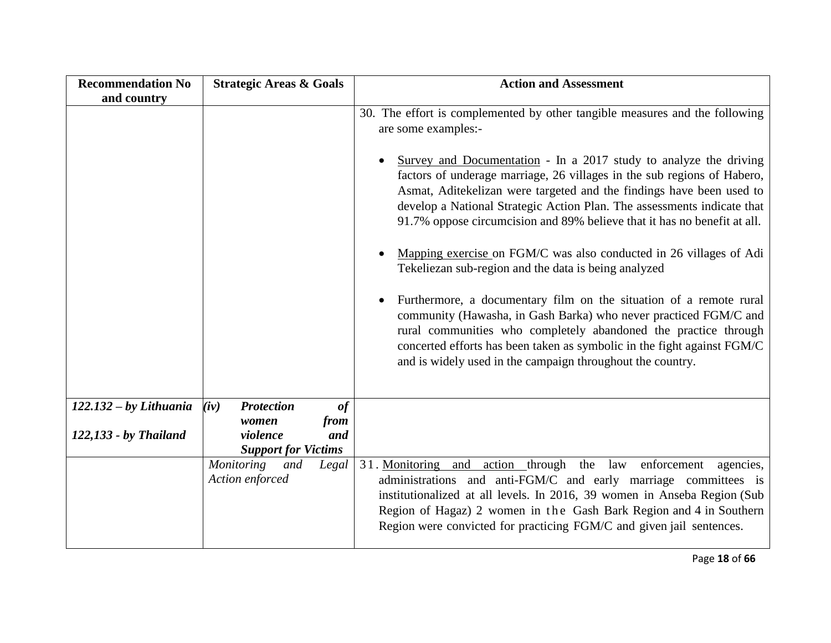| <b>Recommendation No</b> | <b>Strategic Areas &amp; Goals</b>                             | <b>Action and Assessment</b>                                                                                                                                                                                                                                                                                                                                                                                                                                                                                                                                                                                                 |
|--------------------------|----------------------------------------------------------------|------------------------------------------------------------------------------------------------------------------------------------------------------------------------------------------------------------------------------------------------------------------------------------------------------------------------------------------------------------------------------------------------------------------------------------------------------------------------------------------------------------------------------------------------------------------------------------------------------------------------------|
| and country              |                                                                |                                                                                                                                                                                                                                                                                                                                                                                                                                                                                                                                                                                                                              |
|                          |                                                                | 30. The effort is complemented by other tangible measures and the following<br>are some examples:-<br>Survey and Documentation - In a 2017 study to analyze the driving<br>$\bullet$<br>factors of underage marriage, 26 villages in the sub regions of Habero,<br>Asmat, Aditekelizan were targeted and the findings have been used to<br>develop a National Strategic Action Plan. The assessments indicate that<br>91.7% oppose circumcision and 89% believe that it has no benefit at all.<br>Mapping exercise on FGM/C was also conducted in 26 villages of Adi<br>Tekeliezan sub-region and the data is being analyzed |
|                          |                                                                | Furthermore, a documentary film on the situation of a remote rural<br>$\bullet$<br>community (Hawasha, in Gash Barka) who never practiced FGM/C and<br>rural communities who completely abandoned the practice through<br>concerted efforts has been taken as symbolic in the fight against FGM/C<br>and is widely used in the campaign throughout the country.                                                                                                                                                                                                                                                              |
| $122.132 - by Lithuania$ | (iv)<br><b>Protection</b><br>of                                |                                                                                                                                                                                                                                                                                                                                                                                                                                                                                                                                                                                                                              |
| 122,133 - by Thailand    | from<br>women<br>and<br>violence<br><b>Support for Victims</b> |                                                                                                                                                                                                                                                                                                                                                                                                                                                                                                                                                                                                                              |
|                          | Monitoring and<br>Legal<br>Action enforced                     | 31. Monitoring and action through the law enforcement<br>agencies,<br>administrations and anti-FGM/C and early marriage committees is<br>institutionalized at all levels. In 2016, 39 women in Anseba Region (Sub<br>Region of Hagaz) 2 women in the Gash Bark Region and 4 in Southern<br>Region were convicted for practicing FGM/C and given jail sentences.                                                                                                                                                                                                                                                              |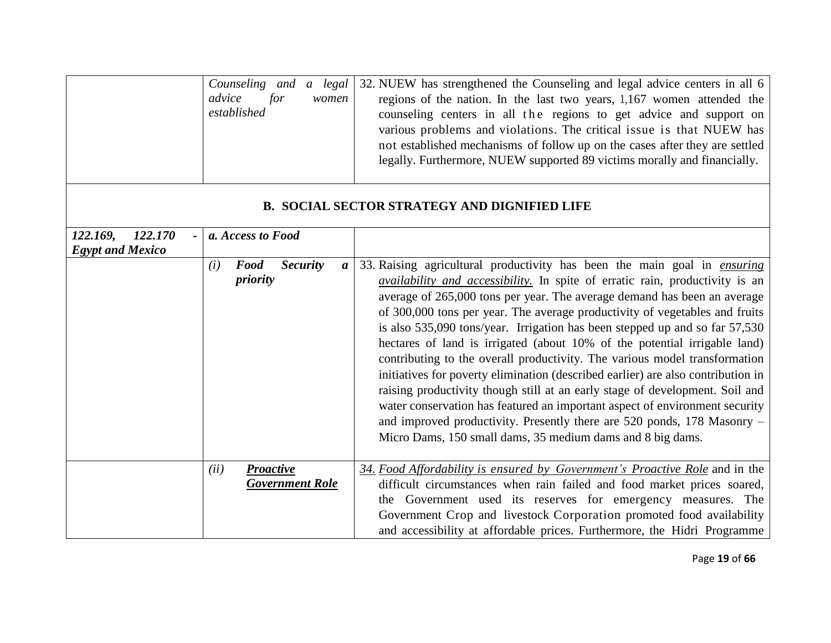|                                                | Counseling and a legal<br>advice<br>for<br>women<br>established       | 32. NUEW has strengthened the Counseling and legal advice centers in all 6<br>regions of the nation. In the last two years, 1,167 women attended the<br>counseling centers in all the regions to get advice and support on<br>various problems and violations. The critical issue is that NUEW has<br>not established mechanisms of follow up on the cases after they are settled<br>legally. Furthermore, NUEW supported 89 victims morally and financially.                                                                                                                                                                                                                                                                                                                                                                                                                                                                                                            |
|------------------------------------------------|-----------------------------------------------------------------------|--------------------------------------------------------------------------------------------------------------------------------------------------------------------------------------------------------------------------------------------------------------------------------------------------------------------------------------------------------------------------------------------------------------------------------------------------------------------------------------------------------------------------------------------------------------------------------------------------------------------------------------------------------------------------------------------------------------------------------------------------------------------------------------------------------------------------------------------------------------------------------------------------------------------------------------------------------------------------|
|                                                |                                                                       | <b>B. SOCIAL SECTOR STRATEGY AND DIGNIFIED LIFE</b>                                                                                                                                                                                                                                                                                                                                                                                                                                                                                                                                                                                                                                                                                                                                                                                                                                                                                                                      |
| 122.170<br>122.169,<br><b>Egypt and Mexico</b> | a. Access to Food                                                     |                                                                                                                                                                                                                                                                                                                                                                                                                                                                                                                                                                                                                                                                                                                                                                                                                                                                                                                                                                          |
|                                                | <b>Security</b><br><b>Food</b><br>(i)<br>$\boldsymbol{a}$<br>priority | 33. Raising agricultural productivity has been the main goal in <i>ensuring</i><br><i>availability and accessibility</i> . In spite of erratic rain, productivity is an<br>average of 265,000 tons per year. The average demand has been an average<br>of 300,000 tons per year. The average productivity of vegetables and fruits<br>is also 535,090 tons/year. Irrigation has been stepped up and so far 57,530<br>hectares of land is irrigated (about 10% of the potential irrigable land)<br>contributing to the overall productivity. The various model transformation<br>initiatives for poverty elimination (described earlier) are also contribution in<br>raising productivity though still at an early stage of development. Soil and<br>water conservation has featured an important aspect of environment security<br>and improved productivity. Presently there are 520 ponds, 178 Masonry -<br>Micro Dams, 150 small dams, 35 medium dams and 8 big dams. |
|                                                | (ii)<br><b>Proactive</b><br><b>Government Role</b>                    | 34. Food Affordability is ensured by Government's Proactive Role and in the<br>difficult circumstances when rain failed and food market prices soared,<br>the Government used its reserves for emergency measures. The<br>Government Crop and livestock Corporation promoted food availability<br>and accessibility at affordable prices. Furthermore, the Hidri Programme                                                                                                                                                                                                                                                                                                                                                                                                                                                                                                                                                                                               |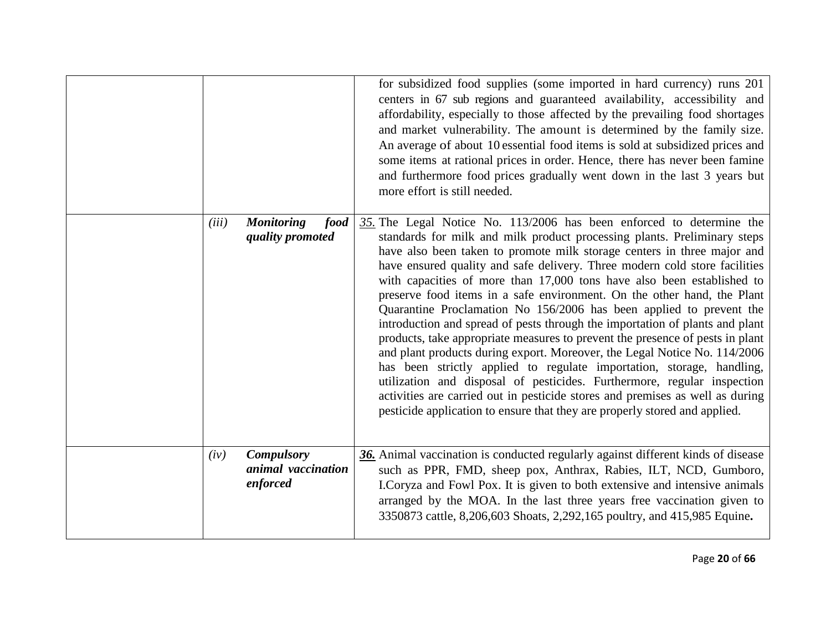|       |                                                     | for subsidized food supplies (some imported in hard currency) runs 201<br>centers in 67 sub regions and guaranteed availability, accessibility and<br>affordability, especially to those affected by the prevailing food shortages<br>and market vulnerability. The amount is determined by the family size.<br>An average of about 10 essential food items is sold at subsidized prices and<br>some items at rational prices in order. Hence, there has never been famine<br>and furthermore food prices gradually went down in the last 3 years but<br>more effort is still needed.                                                                                                                                                                                                                                                                                                                                                                                                                                                                                                                     |
|-------|-----------------------------------------------------|-----------------------------------------------------------------------------------------------------------------------------------------------------------------------------------------------------------------------------------------------------------------------------------------------------------------------------------------------------------------------------------------------------------------------------------------------------------------------------------------------------------------------------------------------------------------------------------------------------------------------------------------------------------------------------------------------------------------------------------------------------------------------------------------------------------------------------------------------------------------------------------------------------------------------------------------------------------------------------------------------------------------------------------------------------------------------------------------------------------|
| (iii) | <b>Monitoring</b><br>food<br>quality promoted       | $35$ . The Legal Notice No. 113/2006 has been enforced to determine the<br>standards for milk and milk product processing plants. Preliminary steps<br>have also been taken to promote milk storage centers in three major and<br>have ensured quality and safe delivery. Three modern cold store facilities<br>with capacities of more than 17,000 tons have also been established to<br>preserve food items in a safe environment. On the other hand, the Plant<br>Quarantine Proclamation No 156/2006 has been applied to prevent the<br>introduction and spread of pests through the importation of plants and plant<br>products, take appropriate measures to prevent the presence of pests in plant<br>and plant products during export. Moreover, the Legal Notice No. 114/2006<br>has been strictly applied to regulate importation, storage, handling,<br>utilization and disposal of pesticides. Furthermore, regular inspection<br>activities are carried out in pesticide stores and premises as well as during<br>pesticide application to ensure that they are properly stored and applied. |
| (iv)  | <b>Compulsory</b><br>animal vaccination<br>enforced | 36. Animal vaccination is conducted regularly against different kinds of disease<br>such as PPR, FMD, sheep pox, Anthrax, Rabies, ILT, NCD, Gumboro,<br>I.Coryza and Fowl Pox. It is given to both extensive and intensive animals<br>arranged by the MOA. In the last three years free vaccination given to<br>3350873 cattle, 8,206,603 Shoats, 2,292,165 poultry, and 415,985 Equine.                                                                                                                                                                                                                                                                                                                                                                                                                                                                                                                                                                                                                                                                                                                  |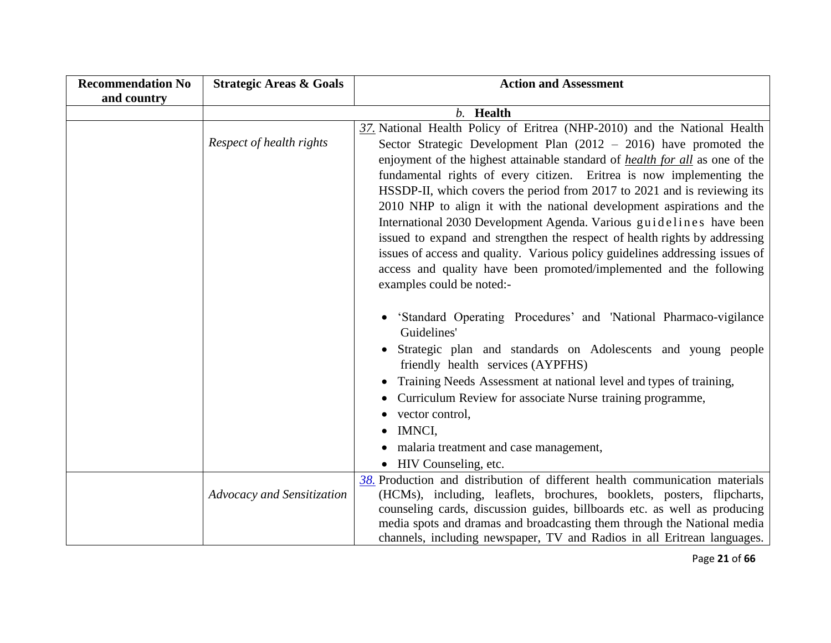| <b>Recommendation No</b> | <b>Strategic Areas &amp; Goals</b> | <b>Action and Assessment</b>                                                                      |
|--------------------------|------------------------------------|---------------------------------------------------------------------------------------------------|
| and country              |                                    |                                                                                                   |
|                          |                                    | b. Health                                                                                         |
|                          |                                    | 37. National Health Policy of Eritrea (NHP-2010) and the National Health                          |
|                          | Respect of health rights           | Sector Strategic Development Plan $(2012 - 2016)$ have promoted the                               |
|                          |                                    | enjoyment of the highest attainable standard of <i>health for all</i> as one of the               |
|                          |                                    | fundamental rights of every citizen. Eritrea is now implementing the                              |
|                          |                                    | HSSDP-II, which covers the period from 2017 to 2021 and is reviewing its                          |
|                          |                                    | 2010 NHP to align it with the national development aspirations and the                            |
|                          |                                    | International 2030 Development Agenda. Various guidelines have been                               |
|                          |                                    | issued to expand and strengthen the respect of health rights by addressing                        |
|                          |                                    | issues of access and quality. Various policy guidelines addressing issues of                      |
|                          |                                    | access and quality have been promoted/implemented and the following                               |
|                          |                                    | examples could be noted:-                                                                         |
|                          |                                    |                                                                                                   |
|                          |                                    | 'Standard Operating Procedures' and 'National Pharmaco-vigilance                                  |
|                          |                                    | Guidelines'                                                                                       |
|                          |                                    | Strategic plan and standards on Adolescents and young people<br>friendly health services (AYPFHS) |
|                          |                                    | Training Needs Assessment at national level and types of training,                                |
|                          |                                    | Curriculum Review for associate Nurse training programme,                                         |
|                          |                                    | vector control,                                                                                   |
|                          |                                    | IMNCI,                                                                                            |
|                          |                                    | malaria treatment and case management,                                                            |
|                          |                                    | • HIV Counseling, etc.                                                                            |
|                          |                                    | 38. Production and distribution of different health communication materials                       |
|                          | Advocacy and Sensitization         | (HCMs), including, leaflets, brochures, booklets, posters, flipcharts,                            |
|                          |                                    | counseling cards, discussion guides, billboards etc. as well as producing                         |
|                          |                                    | media spots and dramas and broadcasting them through the National media                           |
|                          |                                    | channels, including newspaper, TV and Radios in all Eritrean languages.                           |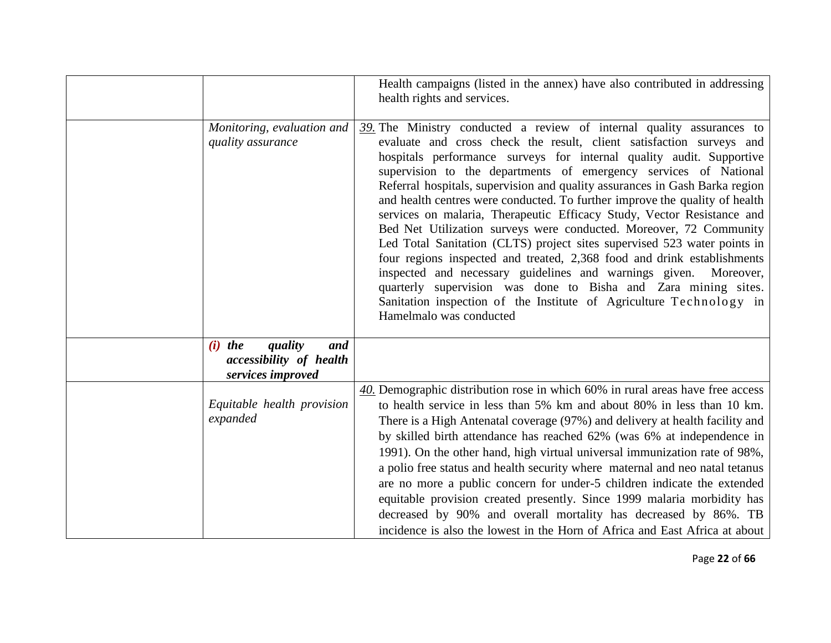|                                                                                    | Health campaigns (listed in the annex) have also contributed in addressing<br>health rights and services.                                                                                                                                                                                                                                                                                                                                                                                                                                                                                                                                                                                                                                                                                                                                                                                                                                                                                                 |
|------------------------------------------------------------------------------------|-----------------------------------------------------------------------------------------------------------------------------------------------------------------------------------------------------------------------------------------------------------------------------------------------------------------------------------------------------------------------------------------------------------------------------------------------------------------------------------------------------------------------------------------------------------------------------------------------------------------------------------------------------------------------------------------------------------------------------------------------------------------------------------------------------------------------------------------------------------------------------------------------------------------------------------------------------------------------------------------------------------|
| Monitoring, evaluation and<br>quality assurance                                    | $39$ . The Ministry conducted a review of internal quality assurances to<br>evaluate and cross check the result, client satisfaction surveys and<br>hospitals performance surveys for internal quality audit. Supportive<br>supervision to the departments of emergency services of National<br>Referral hospitals, supervision and quality assurances in Gash Barka region<br>and health centres were conducted. To further improve the quality of health<br>services on malaria, Therapeutic Efficacy Study, Vector Resistance and<br>Bed Net Utilization surveys were conducted. Moreover, 72 Community<br>Led Total Sanitation (CLTS) project sites supervised 523 water points in<br>four regions inspected and treated, 2,368 food and drink establishments<br>inspected and necessary guidelines and warnings given. Moreover,<br>quarterly supervision was done to Bisha and Zara mining sites.<br>Sanitation inspection of the Institute of Agriculture Technology in<br>Hamelmalo was conducted |
| $(i)$ the<br>quality<br>and<br><i>accessibility of health</i><br>services improved |                                                                                                                                                                                                                                                                                                                                                                                                                                                                                                                                                                                                                                                                                                                                                                                                                                                                                                                                                                                                           |
| Equitable health provision<br>expanded                                             | 40. Demographic distribution rose in which 60% in rural areas have free access<br>to health service in less than 5% km and about 80% in less than 10 km.<br>There is a High Antenatal coverage (97%) and delivery at health facility and<br>by skilled birth attendance has reached 62% (was 6% at independence in<br>1991). On the other hand, high virtual universal immunization rate of 98%,<br>a polio free status and health security where maternal and neo natal tetanus<br>are no more a public concern for under-5 children indicate the extended<br>equitable provision created presently. Since 1999 malaria morbidity has<br>decreased by 90% and overall mortality has decreased by 86%. TB<br>incidence is also the lowest in the Horn of Africa and East Africa at about                                                                                                                                                                                                                  |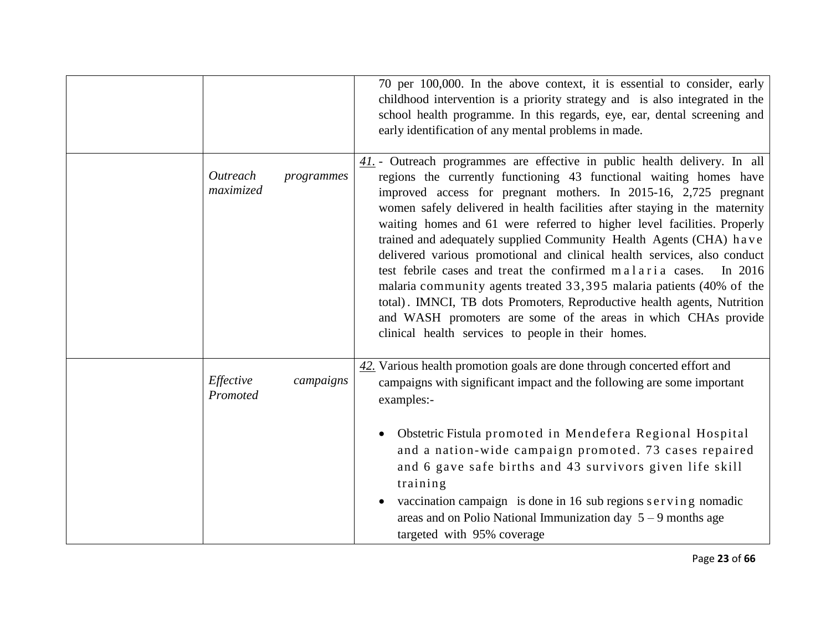|                                     | 70 per 100,000. In the above context, it is essential to consider, early<br>childhood intervention is a priority strategy and is also integrated in the<br>school health programme. In this regards, eye, ear, dental screening and<br>early identification of any mental problems in made.                                                                                                                                                                                                                                                                                                                                                                                                                                                                                                                                                                                         |
|-------------------------------------|-------------------------------------------------------------------------------------------------------------------------------------------------------------------------------------------------------------------------------------------------------------------------------------------------------------------------------------------------------------------------------------------------------------------------------------------------------------------------------------------------------------------------------------------------------------------------------------------------------------------------------------------------------------------------------------------------------------------------------------------------------------------------------------------------------------------------------------------------------------------------------------|
| Outreach<br>programmes<br>maximized | 41. - Outreach programmes are effective in public health delivery. In all<br>regions the currently functioning 43 functional waiting homes have<br>improved access for pregnant mothers. In 2015-16, 2,725 pregnant<br>women safely delivered in health facilities after staying in the maternity<br>waiting homes and 61 were referred to higher level facilities. Properly<br>trained and adequately supplied Community Health Agents (CHA) have<br>delivered various promotional and clinical health services, also conduct<br>test febrile cases and treat the confirmed malaria cases.<br>In $2016$<br>malaria community agents treated 33,395 malaria patients (40% of the<br>total). IMNCI, TB dots Promoters, Reproductive health agents, Nutrition<br>and WASH promoters are some of the areas in which CHAs provide<br>clinical health services to people in their homes. |
| Effective<br>campaigns<br>Promoted  | 42. Various health promotion goals are done through concerted effort and<br>campaigns with significant impact and the following are some important<br>examples:-                                                                                                                                                                                                                                                                                                                                                                                                                                                                                                                                                                                                                                                                                                                    |
|                                     | Obstetric Fistula promoted in Mendefera Regional Hospital<br>$\bullet$<br>and a nation-wide campaign promoted. 73 cases repaired<br>and 6 gave safe births and 43 survivors given life skill<br>training<br>vaccination campaign is done in 16 sub regions serving nomadic<br>areas and on Polio National Immunization day $5 - 9$ months age<br>targeted with 95% coverage                                                                                                                                                                                                                                                                                                                                                                                                                                                                                                         |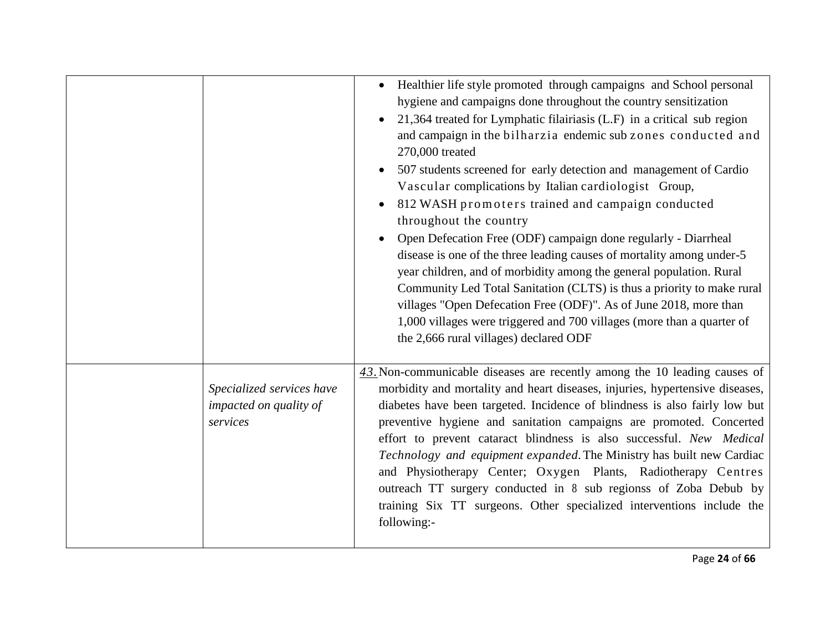|                                                                 | • Healthier life style promoted through campaigns and School personal<br>hygiene and campaigns done throughout the country sensitization<br>21,364 treated for Lymphatic filairiasis (L.F) in a critical sub region<br>and campaign in the bilharzia endemic sub zones conducted and<br>270,000 treated<br>507 students screened for early detection and management of Cardio<br>Vascular complications by Italian cardiologist Group,<br>812 WASH promoters trained and campaign conducted<br>throughout the country<br>Open Defecation Free (ODF) campaign done regularly - Diarrheal<br>disease is one of the three leading causes of mortality among under-5<br>year children, and of morbidity among the general population. Rural<br>Community Led Total Sanitation (CLTS) is thus a priority to make rural<br>villages "Open Defecation Free (ODF)". As of June 2018, more than<br>1,000 villages were triggered and 700 villages (more than a quarter of<br>the 2,666 rural villages) declared ODF |
|-----------------------------------------------------------------|------------------------------------------------------------------------------------------------------------------------------------------------------------------------------------------------------------------------------------------------------------------------------------------------------------------------------------------------------------------------------------------------------------------------------------------------------------------------------------------------------------------------------------------------------------------------------------------------------------------------------------------------------------------------------------------------------------------------------------------------------------------------------------------------------------------------------------------------------------------------------------------------------------------------------------------------------------------------------------------------------------|
| Specialized services have<br>impacted on quality of<br>services | 43. Non-communicable diseases are recently among the 10 leading causes of<br>morbidity and mortality and heart diseases, injuries, hypertensive diseases,<br>diabetes have been targeted. Incidence of blindness is also fairly low but<br>preventive hygiene and sanitation campaigns are promoted. Concerted<br>effort to prevent cataract blindness is also successful. New Medical<br>Technology and equipment expanded. The Ministry has built new Cardiac<br>and Physiotherapy Center; Oxygen Plants, Radiotherapy Centres<br>outreach TT surgery conducted in 8 sub regionss of Zoba Debub by<br>training Six TT surgeons. Other specialized interventions include the<br>following:-                                                                                                                                                                                                                                                                                                               |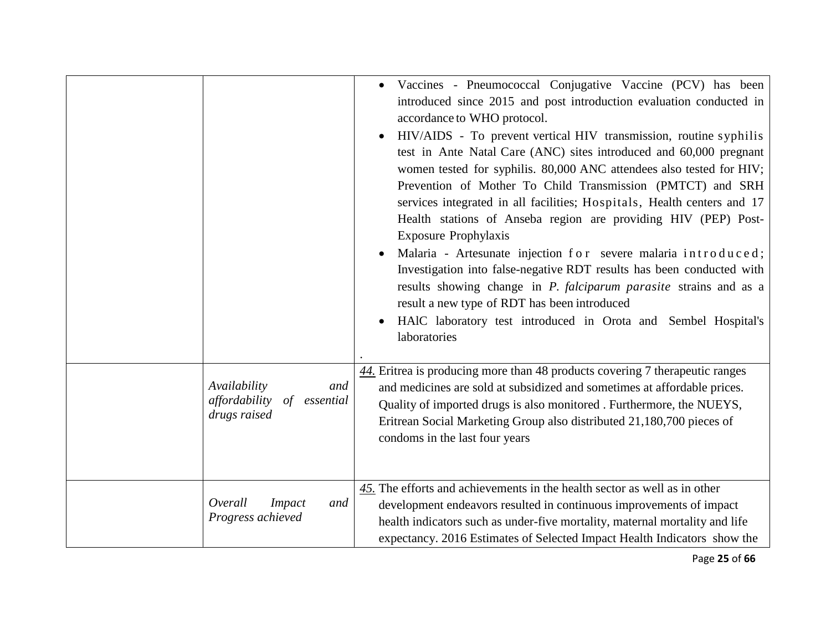|                                                                         | Vaccines - Pneumococcal Conjugative Vaccine (PCV) has been<br>introduced since 2015 and post introduction evaluation conducted in<br>accordance to WHO protocol.<br>HIV/AIDS - To prevent vertical HIV transmission, routine syphilis<br>$\bullet$<br>test in Ante Natal Care (ANC) sites introduced and 60,000 pregnant<br>women tested for syphilis. 80,000 ANC attendees also tested for HIV;<br>Prevention of Mother To Child Transmission (PMTCT) and SRH<br>services integrated in all facilities; Hospitals, Health centers and 17<br>Health stations of Anseba region are providing HIV (PEP) Post-<br><b>Exposure Prophylaxis</b><br>Malaria - Artesunate injection for severe malaria introduced;<br>Investigation into false-negative RDT results has been conducted with<br>results showing change in <i>P. falciparum parasite</i> strains and as a<br>result a new type of RDT has been introduced<br>HAIC laboratory test introduced in Orota and Sembel Hospital's<br>$\bullet$<br>laboratories |
|-------------------------------------------------------------------------|-----------------------------------------------------------------------------------------------------------------------------------------------------------------------------------------------------------------------------------------------------------------------------------------------------------------------------------------------------------------------------------------------------------------------------------------------------------------------------------------------------------------------------------------------------------------------------------------------------------------------------------------------------------------------------------------------------------------------------------------------------------------------------------------------------------------------------------------------------------------------------------------------------------------------------------------------------------------------------------------------------------------|
| Availability<br>and<br>affordability<br>of<br>essential<br>drugs raised | 44. Eritrea is producing more than 48 products covering 7 therapeutic ranges<br>and medicines are sold at subsidized and sometimes at affordable prices.<br>Quality of imported drugs is also monitored . Furthermore, the NUEYS,<br>Eritrean Social Marketing Group also distributed 21,180,700 pieces of<br>condoms in the last four years                                                                                                                                                                                                                                                                                                                                                                                                                                                                                                                                                                                                                                                                    |
| Overall<br><b>Impact</b><br>and<br>Progress achieved                    | $\frac{45}{10}$ . The efforts and achievements in the health sector as well as in other<br>development endeavors resulted in continuous improvements of impact<br>health indicators such as under-five mortality, maternal mortality and life<br>expectancy. 2016 Estimates of Selected Impact Health Indicators show the                                                                                                                                                                                                                                                                                                                                                                                                                                                                                                                                                                                                                                                                                       |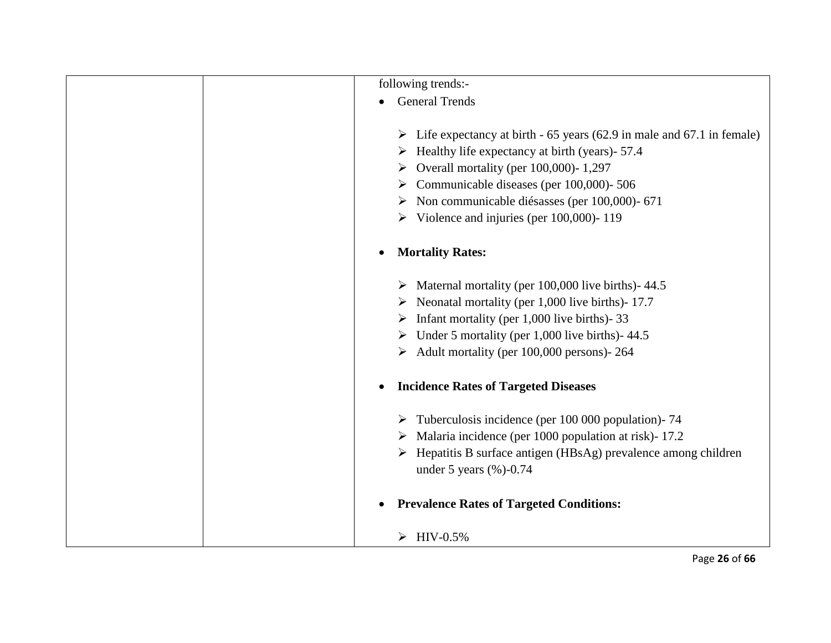|           | following trends:-                                                                                          |
|-----------|-------------------------------------------------------------------------------------------------------------|
| $\bullet$ | <b>General Trends</b>                                                                                       |
|           | $\triangleright$ Life expectancy at birth - 65 years (62.9 in male and 67.1 in female)                      |
|           | $\triangleright$ Healthy life expectancy at birth (years) - 57.4                                            |
|           | Overall mortality (per 100,000)-1,297<br>➤                                                                  |
|           | $\triangleright$ Communicable diseases (per 100,000)-506                                                    |
|           | Non communicable diésasses (per 100,000)-671<br>➤                                                           |
|           | $\triangleright$ Violence and injuries (per 100,000)-119                                                    |
| ٠         | <b>Mortality Rates:</b>                                                                                     |
|           | $\triangleright$ Maternal mortality (per 100,000 live births) - 44.5                                        |
|           | $\triangleright$ Neonatal mortality (per 1,000 live births) - 17.7                                          |
|           | Infant mortality (per 1,000 live births) - 33<br>➤                                                          |
|           | $\triangleright$ Under 5 mortality (per 1,000 live births)-44.5                                             |
|           | $\triangleright$ Adult mortality (per 100,000 persons)- 264                                                 |
| $\bullet$ | <b>Incidence Rates of Targeted Diseases</b>                                                                 |
|           | $\triangleright$ Tuberculosis incidence (per 100 000 population) - 74                                       |
|           | $\triangleright$ Malaria incidence (per 1000 population at risk) - 17.2                                     |
|           | $\triangleright$ Hepatitis B surface antigen (HBsAg) prevalence among children<br>under 5 years $(\%)-0.74$ |
| $\bullet$ | <b>Prevalence Rates of Targeted Conditions:</b>                                                             |
|           | $\blacktriangleright$<br>$HIV-0.5%$                                                                         |
|           | Page 26 of 66                                                                                               |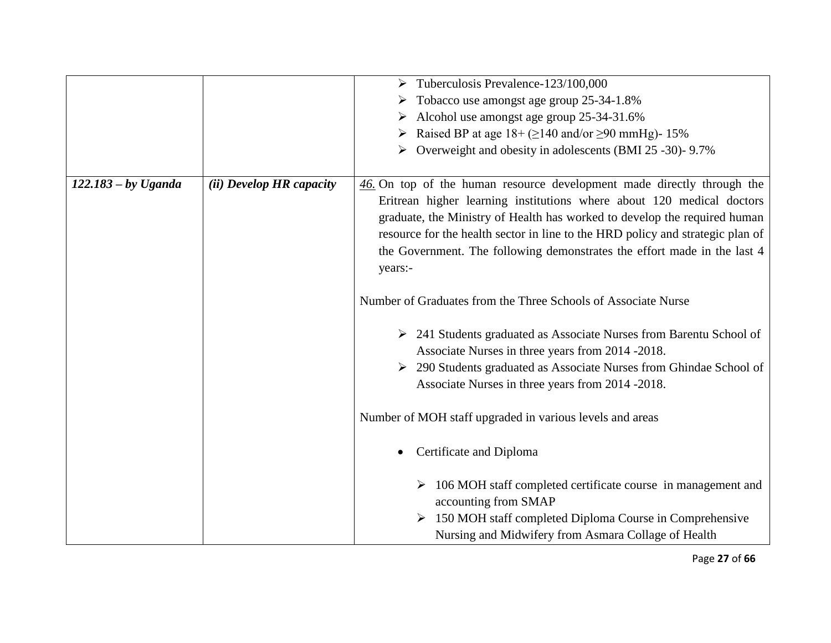|                       |                          | $\triangleright$ Tuberculosis Prevalence-123/100,000                               |
|-----------------------|--------------------------|------------------------------------------------------------------------------------|
|                       |                          | Tobacco use amongst age group 25-34-1.8%                                           |
|                       |                          | > Alcohol use amongst age group 25-34-31.6%                                        |
|                       |                          | Raised BP at age $18 + (2140 \text{ and/or } 290 \text{ mmHg})$ - 15%              |
|                       |                          | Overweight and obesity in adolescents (BMI 25 -30)- 9.7%                           |
|                       |                          |                                                                                    |
| $122.183 - by Uganda$ | (ii) Develop HR capacity | 46. On top of the human resource development made directly through the             |
|                       |                          | Eritrean higher learning institutions where about 120 medical doctors              |
|                       |                          | graduate, the Ministry of Health has worked to develop the required human          |
|                       |                          | resource for the health sector in line to the HRD policy and strategic plan of     |
|                       |                          | the Government. The following demonstrates the effort made in the last 4           |
|                       |                          | years:-                                                                            |
|                       |                          |                                                                                    |
|                       |                          | Number of Graduates from the Three Schools of Associate Nurse                      |
|                       |                          |                                                                                    |
|                       |                          | $\triangleright$ 241 Students graduated as Associate Nurses from Barentu School of |
|                       |                          | Associate Nurses in three years from 2014 -2018.                                   |
|                       |                          | 290 Students graduated as Associate Nurses from Ghindae School of                  |
|                       |                          | Associate Nurses in three years from 2014 -2018.                                   |
|                       |                          |                                                                                    |
|                       |                          | Number of MOH staff upgraded in various levels and areas                           |
|                       |                          |                                                                                    |
|                       |                          | Certificate and Diploma<br>$\bullet$                                               |
|                       |                          |                                                                                    |
|                       |                          | 106 MOH staff completed certificate course in management and<br>➤                  |
|                       |                          | accounting from SMAP                                                               |
|                       |                          | 150 MOH staff completed Diploma Course in Comprehensive                            |
|                       |                          | Nursing and Midwifery from Asmara Collage of Health                                |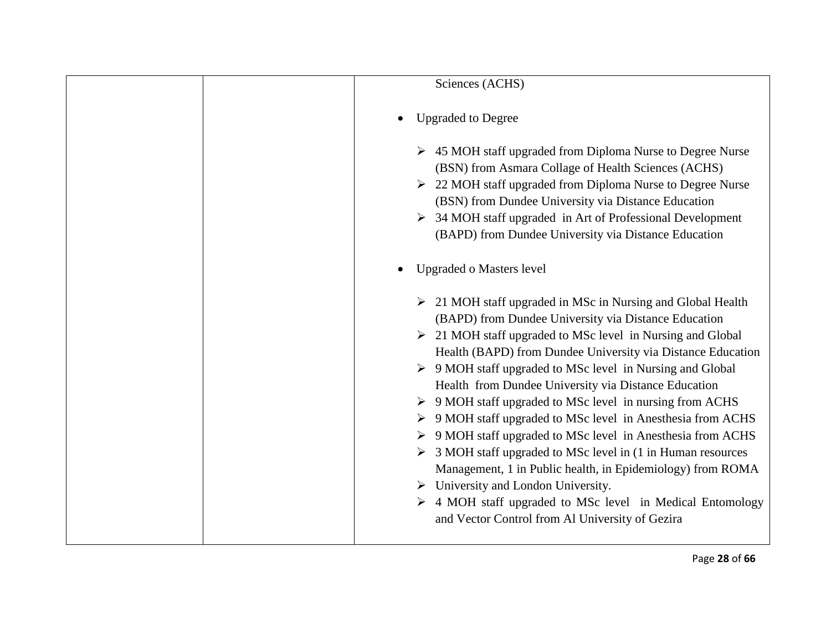|  | Sciences (ACHS)                                                                                                                                                                                                                                                                                                                                                                                                                                                                                                                                                                                                                                                                                                                                                                                                                                                                                                                                          |
|--|----------------------------------------------------------------------------------------------------------------------------------------------------------------------------------------------------------------------------------------------------------------------------------------------------------------------------------------------------------------------------------------------------------------------------------------------------------------------------------------------------------------------------------------------------------------------------------------------------------------------------------------------------------------------------------------------------------------------------------------------------------------------------------------------------------------------------------------------------------------------------------------------------------------------------------------------------------|
|  | <b>Upgraded to Degree</b>                                                                                                                                                                                                                                                                                                                                                                                                                                                                                                                                                                                                                                                                                                                                                                                                                                                                                                                                |
|  | $\triangleright$ 45 MOH staff upgraded from Diploma Nurse to Degree Nurse<br>(BSN) from Asmara Collage of Health Sciences (ACHS)<br>$\geq$ 22 MOH staff upgraded from Diploma Nurse to Degree Nurse<br>(BSN) from Dundee University via Distance Education<br>$\triangleright$ 34 MOH staff upgraded in Art of Professional Development<br>(BAPD) from Dundee University via Distance Education                                                                                                                                                                                                                                                                                                                                                                                                                                                                                                                                                          |
|  | <b>Upgraded o Masters level</b>                                                                                                                                                                                                                                                                                                                                                                                                                                                                                                                                                                                                                                                                                                                                                                                                                                                                                                                          |
|  | $\geq$ 21 MOH staff upgraded in MSc in Nursing and Global Health<br>(BAPD) from Dundee University via Distance Education<br>$\geq$ 21 MOH staff upgraded to MSc level in Nursing and Global<br>Health (BAPD) from Dundee University via Distance Education<br>$\triangleright$ 9 MOH staff upgraded to MSc level in Nursing and Global<br>Health from Dundee University via Distance Education<br>$\triangleright$ 9 MOH staff upgraded to MSc level in nursing from ACHS<br>> 9 MOH staff upgraded to MSc level in Anesthesia from ACHS<br>$\triangleright$ 9 MOH staff upgraded to MSc level in Anesthesia from ACHS<br>$\triangleright$ 3 MOH staff upgraded to MSc level in (1 in Human resources<br>Management, 1 in Public health, in Epidemiology) from ROMA<br>$\triangleright$ University and London University.<br>$\triangleright$ 4 MOH staff upgraded to MSc level in Medical Entomology<br>and Vector Control from Al University of Gezira |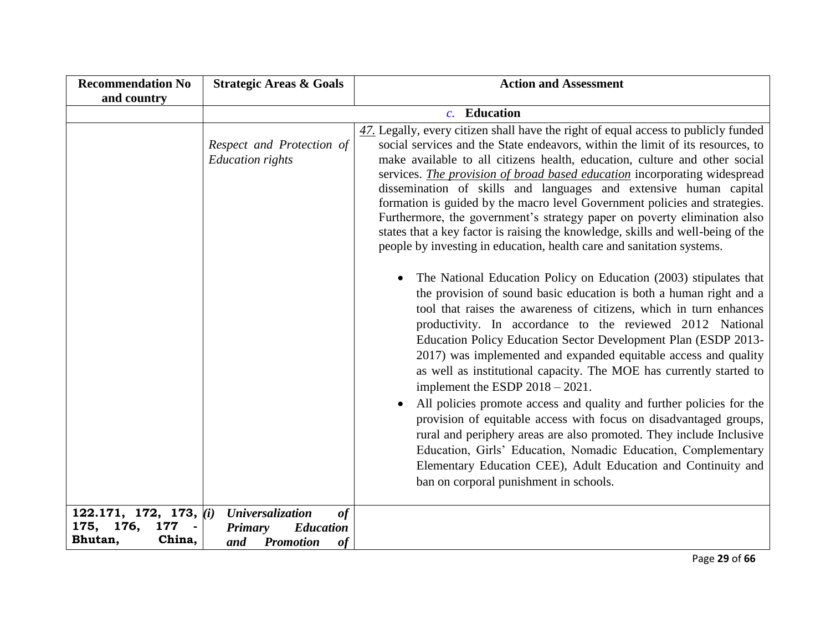| <b>Recommendation No</b>                        | <b>Strategic Areas &amp; Goals</b>                                  | <b>Action and Assessment</b>                                                                                                                                                                                                                                                                                                                                                                                                                                                                                                                                                                                                                                                                                                                                                                                                                                                                                                 |  |  |
|-------------------------------------------------|---------------------------------------------------------------------|------------------------------------------------------------------------------------------------------------------------------------------------------------------------------------------------------------------------------------------------------------------------------------------------------------------------------------------------------------------------------------------------------------------------------------------------------------------------------------------------------------------------------------------------------------------------------------------------------------------------------------------------------------------------------------------------------------------------------------------------------------------------------------------------------------------------------------------------------------------------------------------------------------------------------|--|--|
| and country                                     |                                                                     |                                                                                                                                                                                                                                                                                                                                                                                                                                                                                                                                                                                                                                                                                                                                                                                                                                                                                                                              |  |  |
|                                                 | <b>Education</b><br>$c_{\cdot}$                                     |                                                                                                                                                                                                                                                                                                                                                                                                                                                                                                                                                                                                                                                                                                                                                                                                                                                                                                                              |  |  |
|                                                 | Respect and Protection of<br><b>Education</b> rights                | $\frac{47}{12}$ Legally, every citizen shall have the right of equal access to publicly funded<br>social services and the State endeavors, within the limit of its resources, to<br>make available to all citizens health, education, culture and other social<br>services. The provision of broad based education incorporating widespread<br>dissemination of skills and languages and extensive human capital<br>formation is guided by the macro level Government policies and strategies.<br>Furthermore, the government's strategy paper on poverty elimination also<br>states that a key factor is raising the knowledge, skills and well-being of the<br>people by investing in education, health care and sanitation systems.                                                                                                                                                                                       |  |  |
|                                                 |                                                                     | The National Education Policy on Education (2003) stipulates that<br>the provision of sound basic education is both a human right and a<br>tool that raises the awareness of citizens, which in turn enhances<br>productivity. In accordance to the reviewed 2012 National<br>Education Policy Education Sector Development Plan (ESDP 2013-<br>2017) was implemented and expanded equitable access and quality<br>as well as institutional capacity. The MOE has currently started to<br>implement the ESDP $2018 - 2021$ .<br>All policies promote access and quality and further policies for the<br>provision of equitable access with focus on disadvantaged groups,<br>rural and periphery areas are also promoted. They include Inclusive<br>Education, Girls' Education, Nomadic Education, Complementary<br>Elementary Education CEE), Adult Education and Continuity and<br>ban on corporal punishment in schools. |  |  |
| 122.171, 172, 173, $(i)$<br>176,<br>175,<br>177 | <b>Universalization</b><br>of<br><b>Education</b><br><b>Primary</b> |                                                                                                                                                                                                                                                                                                                                                                                                                                                                                                                                                                                                                                                                                                                                                                                                                                                                                                                              |  |  |
| China,<br>Bhutan,                               | <b>Promotion</b><br>of<br>and                                       |                                                                                                                                                                                                                                                                                                                                                                                                                                                                                                                                                                                                                                                                                                                                                                                                                                                                                                                              |  |  |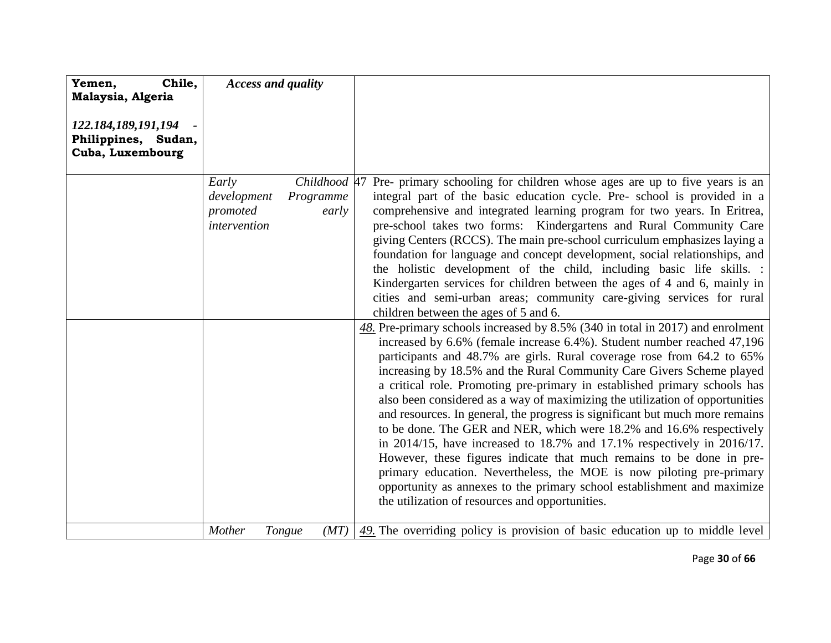| Chile,<br>Yemen,                                               | <b>Access and quality</b>                        |                                    |                                                                                                                                                                                                                                                                                                                                                                                                                                                                                                                                                                                                                                                                                                                                                                                                                                                                                                                                                                                                 |
|----------------------------------------------------------------|--------------------------------------------------|------------------------------------|-------------------------------------------------------------------------------------------------------------------------------------------------------------------------------------------------------------------------------------------------------------------------------------------------------------------------------------------------------------------------------------------------------------------------------------------------------------------------------------------------------------------------------------------------------------------------------------------------------------------------------------------------------------------------------------------------------------------------------------------------------------------------------------------------------------------------------------------------------------------------------------------------------------------------------------------------------------------------------------------------|
| Malaysia, Algeria                                              |                                                  |                                    |                                                                                                                                                                                                                                                                                                                                                                                                                                                                                                                                                                                                                                                                                                                                                                                                                                                                                                                                                                                                 |
| 122.184,189,191,194<br>Philippines, Sudan,<br>Cuba, Luxembourg |                                                  |                                    |                                                                                                                                                                                                                                                                                                                                                                                                                                                                                                                                                                                                                                                                                                                                                                                                                                                                                                                                                                                                 |
|                                                                | Early<br>development<br>promoted<br>intervention | Childhood 47<br>Programme<br>early | Pre- primary schooling for children whose ages are up to five years is an<br>integral part of the basic education cycle. Pre- school is provided in a<br>comprehensive and integrated learning program for two years. In Eritrea,<br>pre-school takes two forms: Kindergartens and Rural Community Care<br>giving Centers (RCCS). The main pre-school curriculum emphasizes laying a<br>foundation for language and concept development, social relationships, and<br>the holistic development of the child, including basic life skills. :<br>Kindergarten services for children between the ages of 4 and 6, mainly in<br>cities and semi-urban areas; community care-giving services for rural<br>children between the ages of 5 and 6.                                                                                                                                                                                                                                                      |
|                                                                |                                                  |                                    | 48. Pre-primary schools increased by 8.5% (340 in total in 2017) and enrolment<br>increased by 6.6% (female increase 6.4%). Student number reached 47,196<br>participants and 48.7% are girls. Rural coverage rose from 64.2 to 65%<br>increasing by 18.5% and the Rural Community Care Givers Scheme played<br>a critical role. Promoting pre-primary in established primary schools has<br>also been considered as a way of maximizing the utilization of opportunities<br>and resources. In general, the progress is significant but much more remains<br>to be done. The GER and NER, which were 18.2% and 16.6% respectively<br>in 2014/15, have increased to $18.7\%$ and $17.1\%$ respectively in 2016/17.<br>However, these figures indicate that much remains to be done in pre-<br>primary education. Nevertheless, the MOE is now piloting pre-primary<br>opportunity as annexes to the primary school establishment and maximize<br>the utilization of resources and opportunities. |
|                                                                | Mother                                           | Tongue<br>(MT)                     | $\frac{49}{2}$ . The overriding policy is provision of basic education up to middle level                                                                                                                                                                                                                                                                                                                                                                                                                                                                                                                                                                                                                                                                                                                                                                                                                                                                                                       |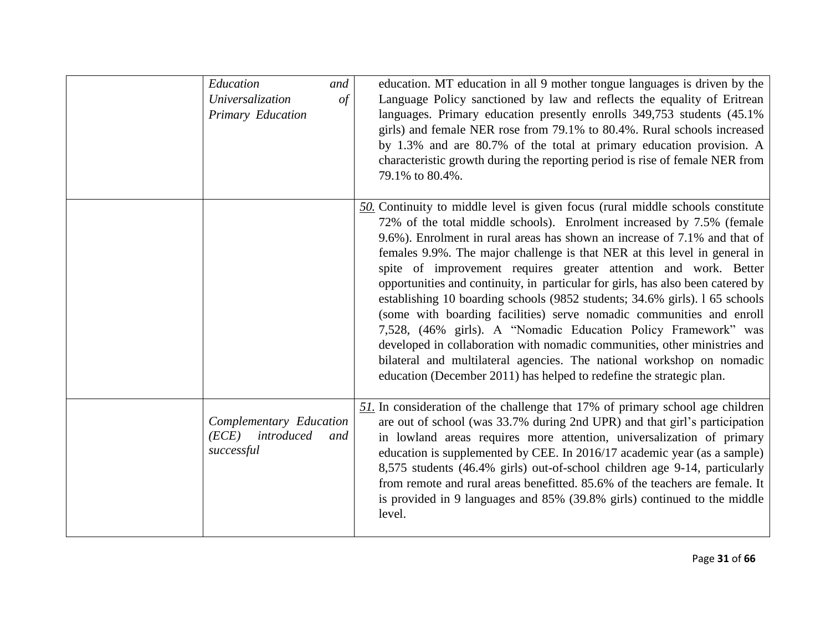| Education<br>and<br>Universalization<br>of<br>Primary Education     | education. MT education in all 9 mother tongue languages is driven by the<br>Language Policy sanctioned by law and reflects the equality of Eritrean<br>languages. Primary education presently enrolls 349,753 students (45.1%)<br>girls) and female NER rose from 79.1% to 80.4%. Rural schools increased<br>by 1.3% and are 80.7% of the total at primary education provision. A<br>characteristic growth during the reporting period is rise of female NER from<br>79.1% to 80.4%.                                                                                                                                                                                                                                                                                                                                                                                                                                              |
|---------------------------------------------------------------------|------------------------------------------------------------------------------------------------------------------------------------------------------------------------------------------------------------------------------------------------------------------------------------------------------------------------------------------------------------------------------------------------------------------------------------------------------------------------------------------------------------------------------------------------------------------------------------------------------------------------------------------------------------------------------------------------------------------------------------------------------------------------------------------------------------------------------------------------------------------------------------------------------------------------------------|
|                                                                     | $50$ . Continuity to middle level is given focus (rural middle schools constitute<br>72% of the total middle schools). Enrolment increased by 7.5% (female<br>9.6%). Enrolment in rural areas has shown an increase of 7.1% and that of<br>females 9.9%. The major challenge is that NER at this level in general in<br>spite of improvement requires greater attention and work. Better<br>opportunities and continuity, in particular for girls, has also been catered by<br>establishing 10 boarding schools (9852 students; 34.6% girls). 1 65 schools<br>(some with boarding facilities) serve nomadic communities and enroll<br>7,528, (46% girls). A "Nomadic Education Policy Framework" was<br>developed in collaboration with nomadic communities, other ministries and<br>bilateral and multilateral agencies. The national workshop on nomadic<br>education (December 2011) has helped to redefine the strategic plan. |
| Complementary Education<br>(ECE)<br>introduced<br>and<br>successful | $51$ . In consideration of the challenge that 17% of primary school age children<br>are out of school (was 33.7% during 2nd UPR) and that girl's participation<br>in lowland areas requires more attention, universalization of primary<br>education is supplemented by CEE. In 2016/17 academic year (as a sample)<br>8,575 students (46.4% girls) out-of-school children age 9-14, particularly<br>from remote and rural areas benefitted. 85.6% of the teachers are female. It<br>is provided in 9 languages and 85% (39.8% girls) continued to the middle<br>level.                                                                                                                                                                                                                                                                                                                                                            |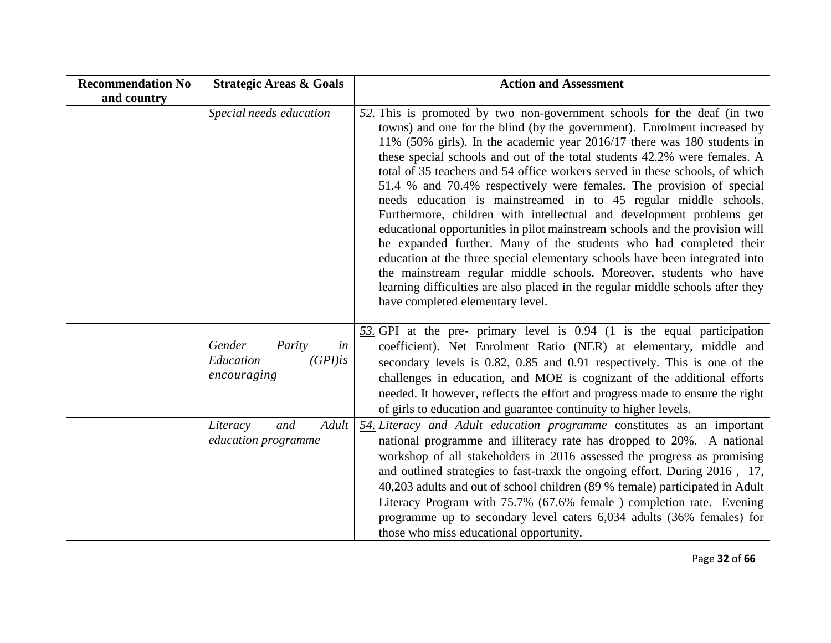| <b>Recommendation No</b> | <b>Strategic Areas &amp; Goals</b>                               | <b>Action and Assessment</b>                                                                                                                                                                                                                                                                                                                                                                                                                                                                                                                                                                                                                                                                                                                                                                                                                                                                                                                                                                                                                       |
|--------------------------|------------------------------------------------------------------|----------------------------------------------------------------------------------------------------------------------------------------------------------------------------------------------------------------------------------------------------------------------------------------------------------------------------------------------------------------------------------------------------------------------------------------------------------------------------------------------------------------------------------------------------------------------------------------------------------------------------------------------------------------------------------------------------------------------------------------------------------------------------------------------------------------------------------------------------------------------------------------------------------------------------------------------------------------------------------------------------------------------------------------------------|
| and country              |                                                                  |                                                                                                                                                                                                                                                                                                                                                                                                                                                                                                                                                                                                                                                                                                                                                                                                                                                                                                                                                                                                                                                    |
|                          | Special needs education                                          | $52$ . This is promoted by two non-government schools for the deaf (in two<br>towns) and one for the blind (by the government). Enrolment increased by<br>11% (50% girls). In the academic year 2016/17 there was 180 students in<br>these special schools and out of the total students 42.2% were females. A<br>total of 35 teachers and 54 office workers served in these schools, of which<br>51.4 % and 70.4% respectively were females. The provision of special<br>needs education is mainstreamed in to 45 regular middle schools.<br>Furthermore, children with intellectual and development problems get<br>educational opportunities in pilot mainstream schools and the provision will<br>be expanded further. Many of the students who had completed their<br>education at the three special elementary schools have been integrated into<br>the mainstream regular middle schools. Moreover, students who have<br>learning difficulties are also placed in the regular middle schools after they<br>have completed elementary level. |
|                          | Gender<br>in<br>Parity<br>$(GPI)$ is<br>Education<br>encouraging | 53. GPI at the pre- primary level is 0.94 (1 is the equal participation<br>coefficient). Net Enrolment Ratio (NER) at elementary, middle and<br>secondary levels is 0.82, 0.85 and 0.91 respectively. This is one of the<br>challenges in education, and MOE is cognizant of the additional efforts<br>needed. It however, reflects the effort and progress made to ensure the right<br>of girls to education and guarantee continuity to higher levels.                                                                                                                                                                                                                                                                                                                                                                                                                                                                                                                                                                                           |
|                          | Adult<br>and<br>Literacy<br>education programme                  | 54. Literacy and Adult education programme constitutes as an important<br>national programme and illiteracy rate has dropped to 20%. A national<br>workshop of all stakeholders in 2016 assessed the progress as promising<br>and outlined strategies to fast-traxk the ongoing effort. During 2016, 17,<br>40,203 adults and out of school children (89 % female) participated in Adult<br>Literacy Program with 75.7% (67.6% female) completion rate. Evening<br>programme up to secondary level caters 6,034 adults (36% females) for<br>those who miss educational opportunity.                                                                                                                                                                                                                                                                                                                                                                                                                                                                |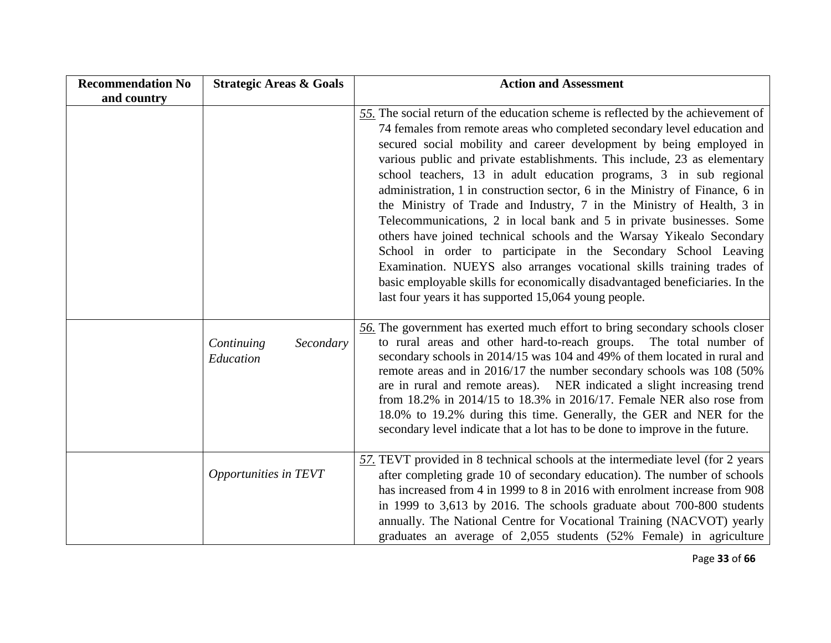| <b>Recommendation No</b> | <b>Strategic Areas &amp; Goals</b>   | <b>Action and Assessment</b>                                                                                                                                                                                                                                                                                                                                                                                                                                                                                                                                                                                                                                                                                                                                                                                                                                                                                                                                                          |
|--------------------------|--------------------------------------|---------------------------------------------------------------------------------------------------------------------------------------------------------------------------------------------------------------------------------------------------------------------------------------------------------------------------------------------------------------------------------------------------------------------------------------------------------------------------------------------------------------------------------------------------------------------------------------------------------------------------------------------------------------------------------------------------------------------------------------------------------------------------------------------------------------------------------------------------------------------------------------------------------------------------------------------------------------------------------------|
| and country              |                                      |                                                                                                                                                                                                                                                                                                                                                                                                                                                                                                                                                                                                                                                                                                                                                                                                                                                                                                                                                                                       |
|                          |                                      | 55. The social return of the education scheme is reflected by the achievement of<br>74 females from remote areas who completed secondary level education and<br>secured social mobility and career development by being employed in<br>various public and private establishments. This include, 23 as elementary<br>school teachers, 13 in adult education programs, 3 in sub regional<br>administration, 1 in construction sector, 6 in the Ministry of Finance, 6 in<br>the Ministry of Trade and Industry, 7 in the Ministry of Health, 3 in<br>Telecommunications, 2 in local bank and 5 in private businesses. Some<br>others have joined technical schools and the Warsay Yikealo Secondary<br>School in order to participate in the Secondary School Leaving<br>Examination. NUEYS also arranges vocational skills training trades of<br>basic employable skills for economically disadvantaged beneficiaries. In the<br>last four years it has supported 15,064 young people. |
|                          | Secondary<br>Continuing<br>Education | 56. The government has exerted much effort to bring secondary schools closer<br>to rural areas and other hard-to-reach groups. The total number of<br>secondary schools in 2014/15 was 104 and 49% of them located in rural and<br>remote areas and in 2016/17 the number secondary schools was 108 (50%)<br>are in rural and remote areas). NER indicated a slight increasing trend<br>from 18.2% in 2014/15 to 18.3% in 2016/17. Female NER also rose from<br>18.0% to 19.2% during this time. Generally, the GER and NER for the<br>secondary level indicate that a lot has to be done to improve in the future.                                                                                                                                                                                                                                                                                                                                                                   |
|                          | Opportunities in TEVT                | $57.$ TEVT provided in 8 technical schools at the intermediate level (for 2 years<br>after completing grade 10 of secondary education). The number of schools<br>has increased from 4 in 1999 to 8 in 2016 with enrolment increase from 908<br>in 1999 to 3,613 by 2016. The schools graduate about 700-800 students<br>annually. The National Centre for Vocational Training (NACVOT) yearly<br>graduates an average of 2,055 students (52% Female) in agriculture                                                                                                                                                                                                                                                                                                                                                                                                                                                                                                                   |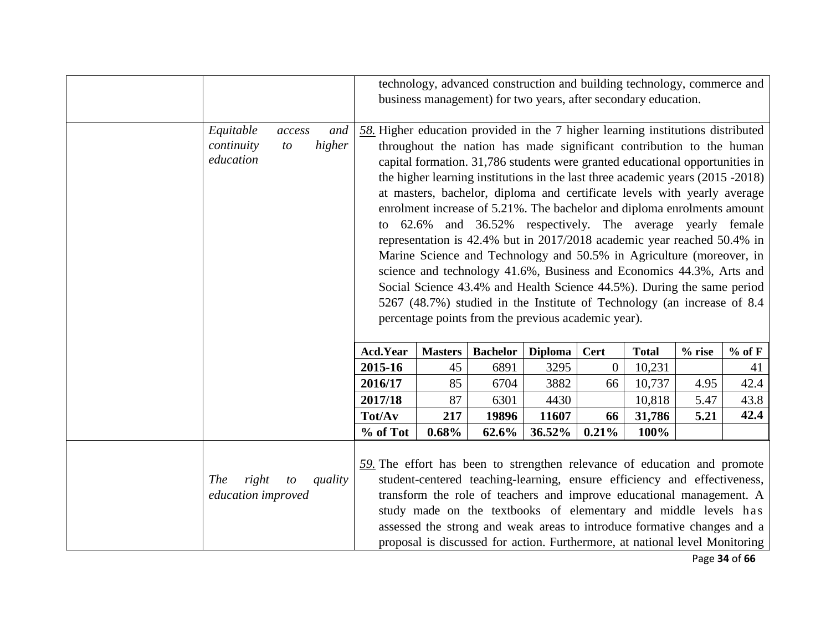|                                           |                               |                                                                                                                                                                                                                                                                                                                                                                                                                                                                                                                                                                                                                                                                                                                                                                                                                                                                                                                                                                                              |                | technology, advanced construction and building technology, commerce and<br>business management) for two years, after secondary education.                                                                                                                                                                                                                                     |                |              |              |          |          |
|-------------------------------------------|-------------------------------|----------------------------------------------------------------------------------------------------------------------------------------------------------------------------------------------------------------------------------------------------------------------------------------------------------------------------------------------------------------------------------------------------------------------------------------------------------------------------------------------------------------------------------------------------------------------------------------------------------------------------------------------------------------------------------------------------------------------------------------------------------------------------------------------------------------------------------------------------------------------------------------------------------------------------------------------------------------------------------------------|----------------|-------------------------------------------------------------------------------------------------------------------------------------------------------------------------------------------------------------------------------------------------------------------------------------------------------------------------------------------------------------------------------|----------------|--------------|--------------|----------|----------|
| Equitable<br>continuity<br>education      | and<br>access<br>higher<br>to | $58$ . Higher education provided in the 7 higher learning institutions distributed<br>throughout the nation has made significant contribution to the human<br>capital formation. 31,786 students were granted educational opportunities in<br>the higher learning institutions in the last three academic years (2015 -2018)<br>at masters, bachelor, diploma and certificate levels with yearly average<br>enrolment increase of 5.21%. The bachelor and diploma enrolments amount<br>62.6% and 36.52% respectively. The average yearly female<br>to<br>representation is 42.4% but in 2017/2018 academic year reached 50.4% in<br>Marine Science and Technology and 50.5% in Agriculture (moreover, in<br>science and technology 41.6%, Business and Economics 44.3%, Arts and<br>Social Science 43.4% and Health Science 44.5%). During the same period<br>5267 (48.7%) studied in the Institute of Technology (an increase of 8.4<br>percentage points from the previous academic year). |                |                                                                                                                                                                                                                                                                                                                                                                               |                |              |              |          |          |
|                                           |                               | Acd.Year                                                                                                                                                                                                                                                                                                                                                                                                                                                                                                                                                                                                                                                                                                                                                                                                                                                                                                                                                                                     | <b>Masters</b> | <b>Bachelor</b>                                                                                                                                                                                                                                                                                                                                                               | <b>Diploma</b> | <b>Cert</b>  | <b>Total</b> | $%$ rise | $%$ of F |
|                                           |                               | 2015-16                                                                                                                                                                                                                                                                                                                                                                                                                                                                                                                                                                                                                                                                                                                                                                                                                                                                                                                                                                                      | 45             | 6891                                                                                                                                                                                                                                                                                                                                                                          | 3295           | $\mathbf{0}$ | 10,231       |          | 41       |
|                                           |                               | 2016/17                                                                                                                                                                                                                                                                                                                                                                                                                                                                                                                                                                                                                                                                                                                                                                                                                                                                                                                                                                                      | 85             | 6704                                                                                                                                                                                                                                                                                                                                                                          | 3882           | 66           | 10,737       | 4.95     | 42.4     |
|                                           |                               | 2017/18                                                                                                                                                                                                                                                                                                                                                                                                                                                                                                                                                                                                                                                                                                                                                                                                                                                                                                                                                                                      | 87             | 6301                                                                                                                                                                                                                                                                                                                                                                          | 4430           |              | 10,818       | 5.47     | 43.8     |
|                                           |                               | Tot/Av                                                                                                                                                                                                                                                                                                                                                                                                                                                                                                                                                                                                                                                                                                                                                                                                                                                                                                                                                                                       | 217            | 19896                                                                                                                                                                                                                                                                                                                                                                         | 11607          | 66           | 31,786       | 5.21     | 42.4     |
|                                           |                               | % of Tot                                                                                                                                                                                                                                                                                                                                                                                                                                                                                                                                                                                                                                                                                                                                                                                                                                                                                                                                                                                     | 0.68%          | 62.6%                                                                                                                                                                                                                                                                                                                                                                         | 36.52%         | 0.21%        | 100%         |          |          |
| right<br><b>The</b><br>education improved | quality<br>$\mathfrak{t}$     | 59. The effort has been to strengthen relevance of education and promote                                                                                                                                                                                                                                                                                                                                                                                                                                                                                                                                                                                                                                                                                                                                                                                                                                                                                                                     |                | student-centered teaching-learning, ensure efficiency and effectiveness,<br>transform the role of teachers and improve educational management. A<br>study made on the textbooks of elementary and middle levels has<br>assessed the strong and weak areas to introduce formative changes and a<br>proposal is discussed for action. Furthermore, at national level Monitoring |                |              |              |          |          |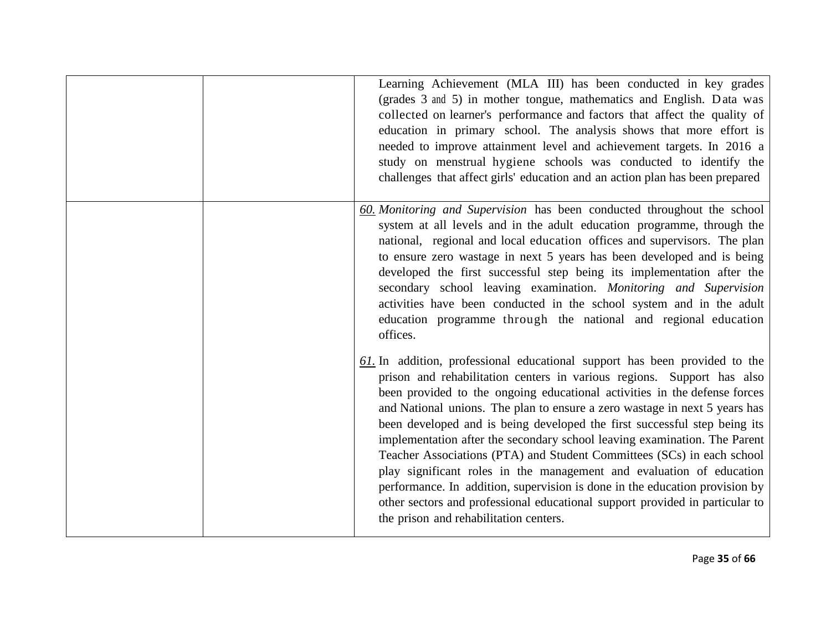|  | Learning Achievement (MLA III) has been conducted in key grades<br>(grades 3 and 5) in mother tongue, mathematics and English. Data was<br>collected on learner's performance and factors that affect the quality of<br>education in primary school. The analysis shows that more effort is<br>needed to improve attainment level and achievement targets. In 2016 a<br>study on menstrual hygiene schools was conducted to identify the<br>challenges that affect girls' education and an action plan has been prepared                                                                                                                                                                                                                                                                                                                |
|--|-----------------------------------------------------------------------------------------------------------------------------------------------------------------------------------------------------------------------------------------------------------------------------------------------------------------------------------------------------------------------------------------------------------------------------------------------------------------------------------------------------------------------------------------------------------------------------------------------------------------------------------------------------------------------------------------------------------------------------------------------------------------------------------------------------------------------------------------|
|  | 60. Monitoring and Supervision has been conducted throughout the school<br>system at all levels and in the adult education programme, through the<br>national, regional and local education offices and supervisors. The plan<br>to ensure zero wastage in next 5 years has been developed and is being<br>developed the first successful step being its implementation after the<br>secondary school leaving examination. Monitoring and Supervision<br>activities have been conducted in the school system and in the adult<br>education programme through the national and regional education<br>offices.                                                                                                                                                                                                                            |
|  | $61$ . In addition, professional educational support has been provided to the<br>prison and rehabilitation centers in various regions. Support has also<br>been provided to the ongoing educational activities in the defense forces<br>and National unions. The plan to ensure a zero wastage in next 5 years has<br>been developed and is being developed the first successful step being its<br>implementation after the secondary school leaving examination. The Parent<br>Teacher Associations (PTA) and Student Committees (SCs) in each school<br>play significant roles in the management and evaluation of education<br>performance. In addition, supervision is done in the education provision by<br>other sectors and professional educational support provided in particular to<br>the prison and rehabilitation centers. |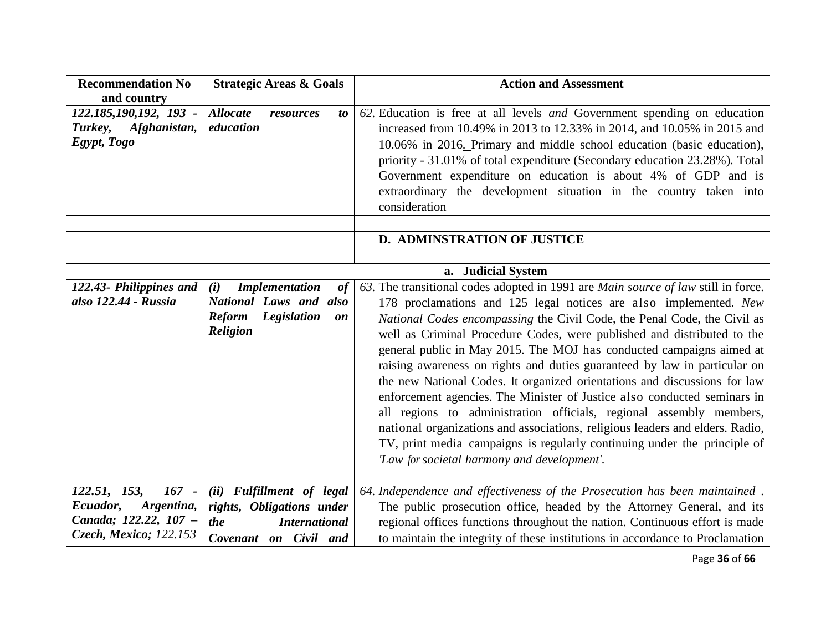| <b>Recommendation No</b><br>and country                          | <b>Strategic Areas &amp; Goals</b>                           | <b>Action and Assessment</b>                                                                                                                                                                                                                                                                                                                                                                                                                                                                                                                                                                                                                                                                                                                         |
|------------------------------------------------------------------|--------------------------------------------------------------|------------------------------------------------------------------------------------------------------------------------------------------------------------------------------------------------------------------------------------------------------------------------------------------------------------------------------------------------------------------------------------------------------------------------------------------------------------------------------------------------------------------------------------------------------------------------------------------------------------------------------------------------------------------------------------------------------------------------------------------------------|
| 122.185,190,192, 193 -<br>Afghanistan,<br>Turkey,<br>Egypt, Togo | <b>Allocate</b><br>resources<br>to<br>education              | $62$ . Education is free at all levels <i>and</i> Government spending on education<br>increased from 10.49% in 2013 to 12.33% in 2014, and 10.05% in 2015 and<br>10.06% in 2016. Primary and middle school education (basic education),<br>priority - 31.01% of total expenditure (Secondary education 23.28%). Total<br>Government expenditure on education is about 4% of GDP and is<br>extraordinary the development situation in the country taken into<br>consideration                                                                                                                                                                                                                                                                         |
|                                                                  |                                                              | <b>D. ADMINSTRATION OF JUSTICE</b>                                                                                                                                                                                                                                                                                                                                                                                                                                                                                                                                                                                                                                                                                                                   |
|                                                                  |                                                              |                                                                                                                                                                                                                                                                                                                                                                                                                                                                                                                                                                                                                                                                                                                                                      |
|                                                                  |                                                              | a. Judicial System                                                                                                                                                                                                                                                                                                                                                                                                                                                                                                                                                                                                                                                                                                                                   |
| 122.43- Philippines and                                          | <b>Implementation</b><br>(i)<br>of                           | 63. The transitional codes adopted in 1991 are Main source of law still in force.                                                                                                                                                                                                                                                                                                                                                                                                                                                                                                                                                                                                                                                                    |
| also 122.44 - Russia                                             | National Laws and also                                       | 178 proclamations and 125 legal notices are also implemented. New                                                                                                                                                                                                                                                                                                                                                                                                                                                                                                                                                                                                                                                                                    |
|                                                                  | <b>Legislation</b><br><b>Reform</b><br><b>on</b><br>Religion | National Codes encompassing the Civil Code, the Penal Code, the Civil as<br>well as Criminal Procedure Codes, were published and distributed to the<br>general public in May 2015. The MOJ has conducted campaigns aimed at<br>raising awareness on rights and duties guaranteed by law in particular on<br>the new National Codes. It organized orientations and discussions for law<br>enforcement agencies. The Minister of Justice also conducted seminars in<br>all regions to administration officials, regional assembly members,<br>national organizations and associations, religious leaders and elders. Radio,<br>TV, print media campaigns is regularly continuing under the principle of<br>'Law for societal harmony and development'. |
| $167 -$<br>122.51, 153,                                          | (ii) Fulfillment of legal                                    | 64. Independence and effectiveness of the Prosecution has been maintained.                                                                                                                                                                                                                                                                                                                                                                                                                                                                                                                                                                                                                                                                           |
| Argentina,<br>Ecuador,                                           | rights, Obligations under                                    | The public prosecution office, headed by the Attorney General, and its                                                                                                                                                                                                                                                                                                                                                                                                                                                                                                                                                                                                                                                                               |
| Canada; 122.22, 107 -                                            | <b>International</b><br>the                                  | regional offices functions throughout the nation. Continuous effort is made                                                                                                                                                                                                                                                                                                                                                                                                                                                                                                                                                                                                                                                                          |
| Czech, Mexico; 122.153                                           | Covenant on Civil and                                        | to maintain the integrity of these institutions in accordance to Proclamation                                                                                                                                                                                                                                                                                                                                                                                                                                                                                                                                                                                                                                                                        |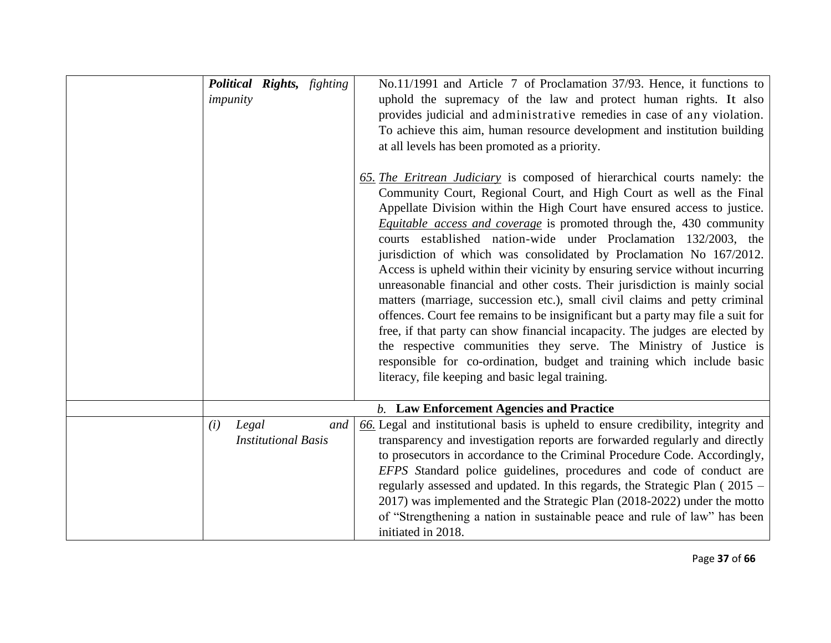| Political Rights, fighting<br>impunity |                            |     | No.11/1991 and Article 7 of Proclamation 37/93. Hence, it functions to<br>uphold the supremacy of the law and protect human rights. It also<br>provides judicial and administrative remedies in case of any violation.<br>To achieve this aim, human resource development and institution building<br>at all levels has been promoted as a priority.<br>65. The Eritrean Judiciary is composed of hierarchical courts namely: the<br>Community Court, Regional Court, and High Court as well as the Final<br>Appellate Division within the High Court have ensured access to justice.<br><i>Equitable access and coverage</i> is promoted through the, 430 community<br>courts established nation-wide under Proclamation 132/2003, the<br>jurisdiction of which was consolidated by Proclamation No 167/2012.<br>Access is upheld within their vicinity by ensuring service without incurring<br>unreasonable financial and other costs. Their jurisdiction is mainly social<br>matters (marriage, succession etc.), small civil claims and petty criminal<br>offences. Court fee remains to be insignificant but a party may file a suit for<br>free, if that party can show financial incapacity. The judges are elected by<br>the respective communities they serve. The Ministry of Justice is<br>responsible for co-ordination, budget and training which include basic<br>literacy, file keeping and basic legal training. |
|----------------------------------------|----------------------------|-----|-----------------------------------------------------------------------------------------------------------------------------------------------------------------------------------------------------------------------------------------------------------------------------------------------------------------------------------------------------------------------------------------------------------------------------------------------------------------------------------------------------------------------------------------------------------------------------------------------------------------------------------------------------------------------------------------------------------------------------------------------------------------------------------------------------------------------------------------------------------------------------------------------------------------------------------------------------------------------------------------------------------------------------------------------------------------------------------------------------------------------------------------------------------------------------------------------------------------------------------------------------------------------------------------------------------------------------------------------------------------------------------------------------------------------------------|
|                                        |                            |     | <b>b.</b> Law Enforcement Agencies and Practice                                                                                                                                                                                                                                                                                                                                                                                                                                                                                                                                                                                                                                                                                                                                                                                                                                                                                                                                                                                                                                                                                                                                                                                                                                                                                                                                                                                   |
| Legal<br>(i)                           | <b>Institutional Basis</b> | and | 66. Legal and institutional basis is upheld to ensure credibility, integrity and<br>transparency and investigation reports are forwarded regularly and directly<br>to prosecutors in accordance to the Criminal Procedure Code. Accordingly,<br>EFPS Standard police guidelines, procedures and code of conduct are<br>regularly assessed and updated. In this regards, the Strategic Plan (2015 –<br>2017) was implemented and the Strategic Plan (2018-2022) under the motto<br>of "Strengthening a nation in sustainable peace and rule of law" has been<br>initiated in 2018.                                                                                                                                                                                                                                                                                                                                                                                                                                                                                                                                                                                                                                                                                                                                                                                                                                                 |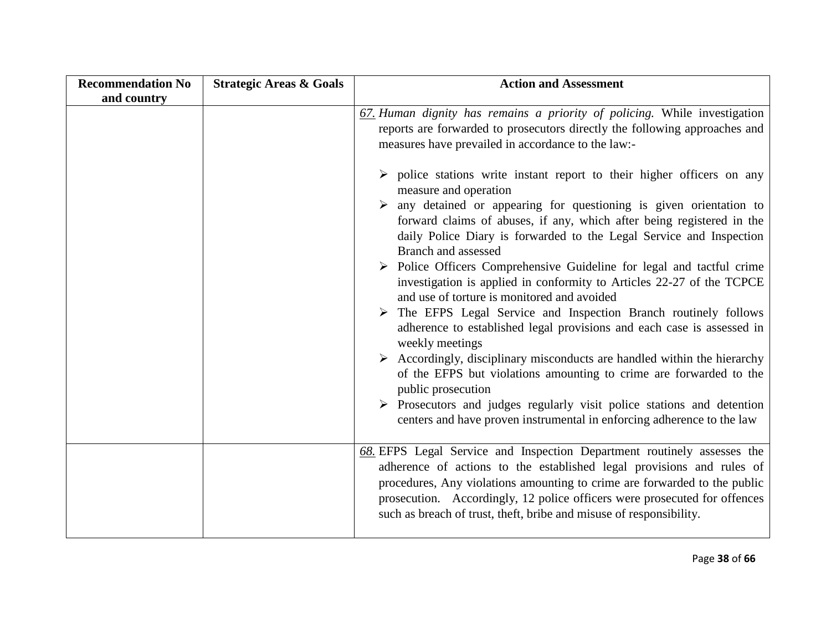| <b>Recommendation No</b> | <b>Strategic Areas &amp; Goals</b> | <b>Action and Assessment</b>                                                                                                                                                                                                                                                                                                                                                                 |
|--------------------------|------------------------------------|----------------------------------------------------------------------------------------------------------------------------------------------------------------------------------------------------------------------------------------------------------------------------------------------------------------------------------------------------------------------------------------------|
| and country              |                                    |                                                                                                                                                                                                                                                                                                                                                                                              |
|                          |                                    | 67. Human dignity has remains a priority of policing. While investigation<br>reports are forwarded to prosecutors directly the following approaches and<br>measures have prevailed in accordance to the law:-<br>$\triangleright$ police stations write instant report to their higher officers on any                                                                                       |
|                          |                                    | measure and operation<br>$\triangleright$ any detained or appearing for questioning is given orientation to<br>forward claims of abuses, if any, which after being registered in the<br>daily Police Diary is forwarded to the Legal Service and Inspection<br>Branch and assessed                                                                                                           |
|                          |                                    | $\triangleright$ Police Officers Comprehensive Guideline for legal and tactful crime<br>investigation is applied in conformity to Articles 22-27 of the TCPCE<br>and use of torture is monitored and avoided<br>$\triangleright$ The EFPS Legal Service and Inspection Branch routinely follows<br>adherence to established legal provisions and each case is assessed in<br>weekly meetings |
|                          |                                    | $\triangleright$ Accordingly, disciplinary misconducts are handled within the hierarchy<br>of the EFPS but violations amounting to crime are forwarded to the<br>public prosecution<br>$\triangleright$ Prosecutors and judges regularly visit police stations and detention<br>centers and have proven instrumental in enforcing adherence to the law                                       |
|                          |                                    |                                                                                                                                                                                                                                                                                                                                                                                              |
|                          |                                    | 68. EFPS Legal Service and Inspection Department routinely assesses the<br>adherence of actions to the established legal provisions and rules of<br>procedures, Any violations amounting to crime are forwarded to the public<br>prosecution. Accordingly, 12 police officers were prosecuted for offences<br>such as breach of trust, theft, bribe and misuse of responsibility.            |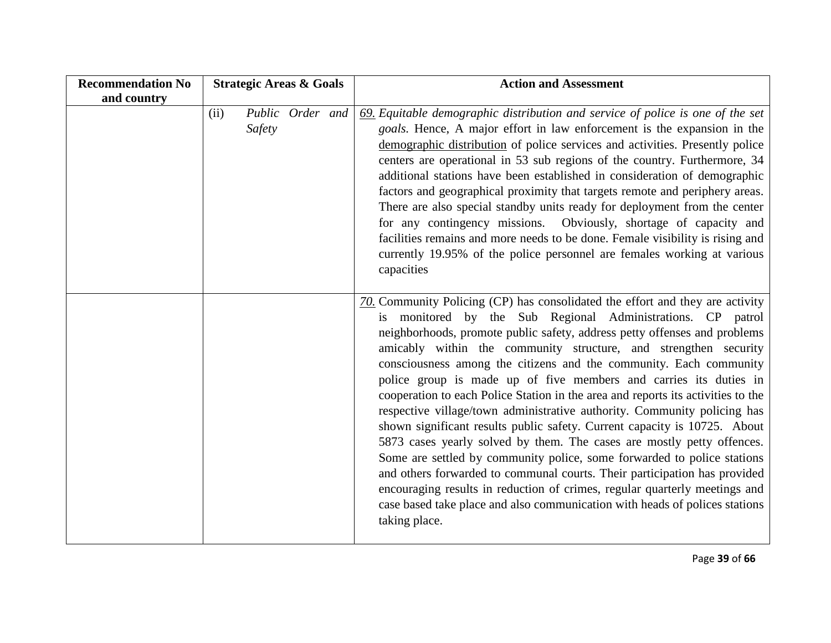| <b>Recommendation No</b> | <b>Strategic Areas &amp; Goals</b> | <b>Action and Assessment</b>                                                                                                                                                                                                                                                                                                                                                                                                                                                                                                                                                                                                                                                                                                                                                                                                                                                                                                                                                                                                                                                                             |
|--------------------------|------------------------------------|----------------------------------------------------------------------------------------------------------------------------------------------------------------------------------------------------------------------------------------------------------------------------------------------------------------------------------------------------------------------------------------------------------------------------------------------------------------------------------------------------------------------------------------------------------------------------------------------------------------------------------------------------------------------------------------------------------------------------------------------------------------------------------------------------------------------------------------------------------------------------------------------------------------------------------------------------------------------------------------------------------------------------------------------------------------------------------------------------------|
| and country              |                                    |                                                                                                                                                                                                                                                                                                                                                                                                                                                                                                                                                                                                                                                                                                                                                                                                                                                                                                                                                                                                                                                                                                          |
|                          | Public Order and<br>(ii)<br>Safety | $\underline{69}$ . Equitable demographic distribution and service of police is one of the set<br>goals. Hence, A major effort in law enforcement is the expansion in the<br>demographic distribution of police services and activities. Presently police<br>centers are operational in 53 sub regions of the country. Furthermore, 34<br>additional stations have been established in consideration of demographic<br>factors and geographical proximity that targets remote and periphery areas.<br>There are also special standby units ready for deployment from the center<br>for any contingency missions. Obviously, shortage of capacity and<br>facilities remains and more needs to be done. Female visibility is rising and<br>currently 19.95% of the police personnel are females working at various<br>capacities                                                                                                                                                                                                                                                                            |
|                          |                                    | $70$ . Community Policing (CP) has consolidated the effort and they are activity<br>is monitored by the Sub Regional Administrations. CP patrol<br>neighborhoods, promote public safety, address petty offenses and problems<br>amicably within the community structure, and strengthen security<br>consciousness among the citizens and the community. Each community<br>police group is made up of five members and carries its duties in<br>cooperation to each Police Station in the area and reports its activities to the<br>respective village/town administrative authority. Community policing has<br>shown significant results public safety. Current capacity is 10725. About<br>5873 cases yearly solved by them. The cases are mostly petty offences.<br>Some are settled by community police, some forwarded to police stations<br>and others forwarded to communal courts. Their participation has provided<br>encouraging results in reduction of crimes, regular quarterly meetings and<br>case based take place and also communication with heads of polices stations<br>taking place. |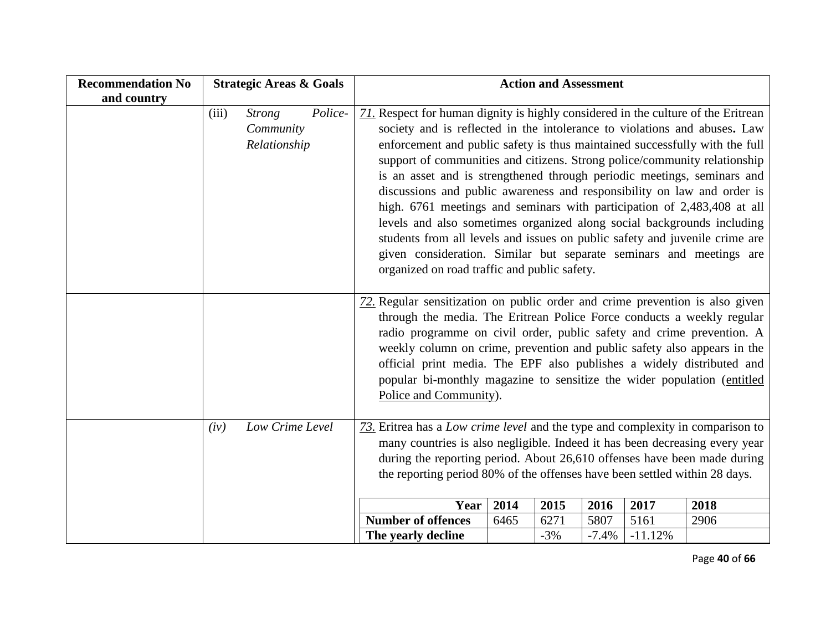| <b>Recommendation No</b> | <b>Strategic Areas &amp; Goals</b> |                                            |         | <b>Action and Assessment</b>                                                                                                                                                                                                                                                                                                                                                                                                                                                                                                                                                                                                                                                                                                                                                                                                                |      |       |         |           |      |
|--------------------------|------------------------------------|--------------------------------------------|---------|---------------------------------------------------------------------------------------------------------------------------------------------------------------------------------------------------------------------------------------------------------------------------------------------------------------------------------------------------------------------------------------------------------------------------------------------------------------------------------------------------------------------------------------------------------------------------------------------------------------------------------------------------------------------------------------------------------------------------------------------------------------------------------------------------------------------------------------------|------|-------|---------|-----------|------|
| and country              |                                    |                                            |         |                                                                                                                                                                                                                                                                                                                                                                                                                                                                                                                                                                                                                                                                                                                                                                                                                                             |      |       |         |           |      |
|                          | (iii)                              | <b>Strong</b><br>Community<br>Relationship | Police- | 71. Respect for human dignity is highly considered in the culture of the Eritrean<br>society and is reflected in the intolerance to violations and abuses. Law<br>enforcement and public safety is thus maintained successfully with the full<br>support of communities and citizens. Strong police/community relationship<br>is an asset and is strengthened through periodic meetings, seminars and<br>discussions and public awareness and responsibility on law and order is<br>high. 6761 meetings and seminars with participation of 2,483,408 at all<br>levels and also sometimes organized along social backgrounds including<br>students from all levels and issues on public safety and juvenile crime are<br>given consideration. Similar but separate seminars and meetings are<br>organized on road traffic and public safety. |      |       |         |           |      |
|                          |                                    |                                            |         | 72. Regular sensitization on public order and crime prevention is also given<br>through the media. The Eritrean Police Force conducts a weekly regular<br>radio programme on civil order, public safety and crime prevention. A<br>weekly column on crime, prevention and public safety also appears in the<br>official print media. The EPF also publishes a widely distributed and<br>popular bi-monthly magazine to sensitize the wider population (entitled<br>Police and Community).                                                                                                                                                                                                                                                                                                                                                   |      |       |         |           |      |
|                          | (iv)                               | Low Crime Level                            |         | 73. Eritrea has a Low crime level and the type and complexity in comparison to<br>many countries is also negligible. Indeed it has been decreasing every year<br>during the reporting period. About 26,610 offenses have been made during<br>the reporting period 80% of the offenses have been settled within 28 days.                                                                                                                                                                                                                                                                                                                                                                                                                                                                                                                     |      |       |         |           |      |
|                          |                                    |                                            |         | Year                                                                                                                                                                                                                                                                                                                                                                                                                                                                                                                                                                                                                                                                                                                                                                                                                                        | 2014 | 2015  | 2016    | 2017      | 2018 |
|                          |                                    |                                            |         | <b>Number of offences</b>                                                                                                                                                                                                                                                                                                                                                                                                                                                                                                                                                                                                                                                                                                                                                                                                                   | 6465 | 6271  | 5807    | 5161      | 2906 |
|                          |                                    |                                            |         | The yearly decline                                                                                                                                                                                                                                                                                                                                                                                                                                                                                                                                                                                                                                                                                                                                                                                                                          |      | $-3%$ | $-7.4%$ | $-11.12%$ |      |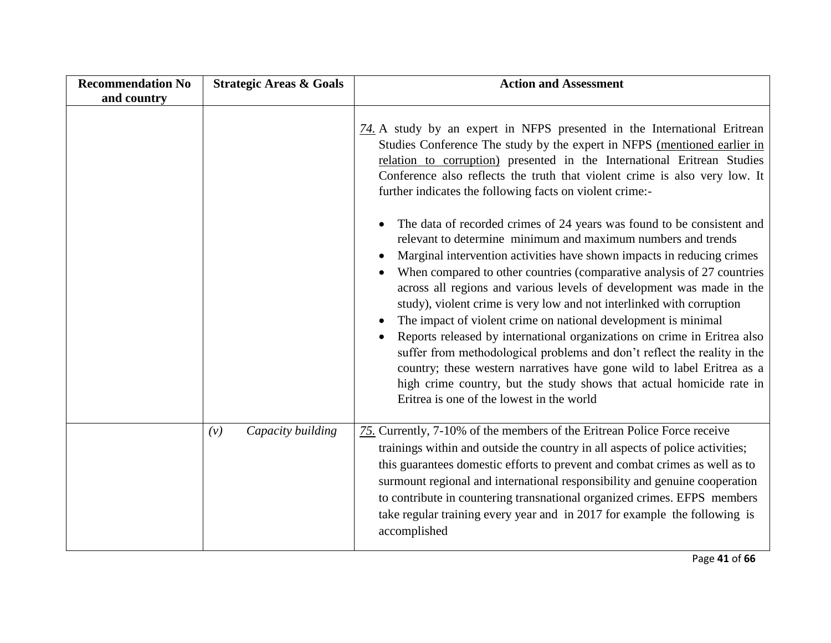| <b>Recommendation No</b><br>and country | <b>Strategic Areas &amp; Goals</b> | <b>Action and Assessment</b>                                                                                                                                                                                                                                                                                                                                                                                                                                                                                                                                                                                                                                                                                                                                                                                                                                                                                                                                                                                                                                                                                                                                                                                                                                                |
|-----------------------------------------|------------------------------------|-----------------------------------------------------------------------------------------------------------------------------------------------------------------------------------------------------------------------------------------------------------------------------------------------------------------------------------------------------------------------------------------------------------------------------------------------------------------------------------------------------------------------------------------------------------------------------------------------------------------------------------------------------------------------------------------------------------------------------------------------------------------------------------------------------------------------------------------------------------------------------------------------------------------------------------------------------------------------------------------------------------------------------------------------------------------------------------------------------------------------------------------------------------------------------------------------------------------------------------------------------------------------------|
|                                         |                                    | 74. A study by an expert in NFPS presented in the International Eritrean<br>Studies Conference The study by the expert in NFPS (mentioned earlier in<br>relation to corruption) presented in the International Eritrean Studies<br>Conference also reflects the truth that violent crime is also very low. It<br>further indicates the following facts on violent crime:-<br>The data of recorded crimes of 24 years was found to be consistent and<br>$\bullet$<br>relevant to determine minimum and maximum numbers and trends<br>Marginal intervention activities have shown impacts in reducing crimes<br>$\bullet$<br>When compared to other countries (comparative analysis of 27 countries<br>across all regions and various levels of development was made in the<br>study), violent crime is very low and not interlinked with corruption<br>The impact of violent crime on national development is minimal<br>Reports released by international organizations on crime in Eritrea also<br>suffer from methodological problems and don't reflect the reality in the<br>country; these western narratives have gone wild to label Eritrea as a<br>high crime country, but the study shows that actual homicide rate in<br>Eritrea is one of the lowest in the world |
|                                         | Capacity building<br>(v)           | 75. Currently, 7-10% of the members of the Eritrean Police Force receive<br>trainings within and outside the country in all aspects of police activities;<br>this guarantees domestic efforts to prevent and combat crimes as well as to<br>surmount regional and international responsibility and genuine cooperation<br>to contribute in countering transnational organized crimes. EFPS members<br>take regular training every year and in 2017 for example the following is<br>accomplished                                                                                                                                                                                                                                                                                                                                                                                                                                                                                                                                                                                                                                                                                                                                                                             |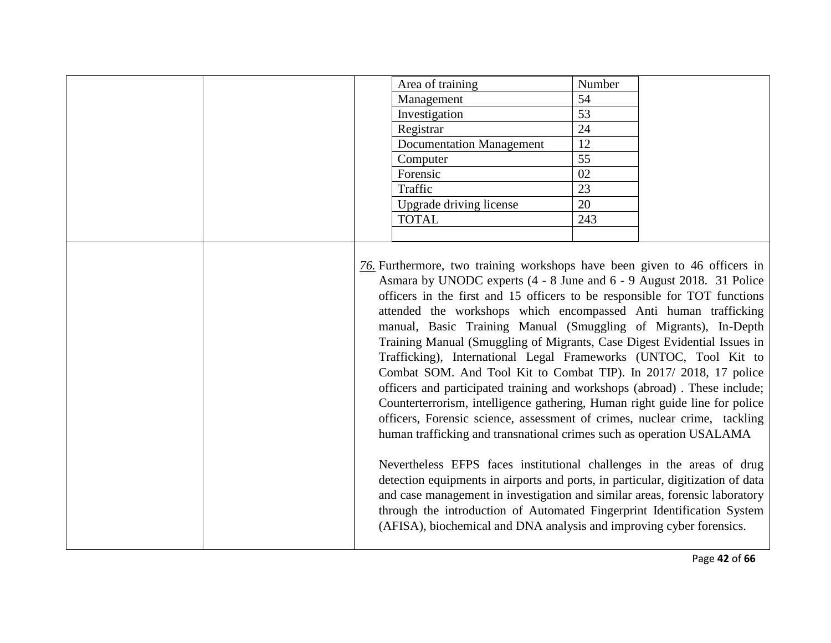|  | Area of training                                                                                                                                                                                                                                                                                                                                                                                                                                                                                                                                                                                                                                                                                                                                                                                                                                                                                                                                                                                                                                                                                                                                                                                                                                                                                        | Number |  |
|--|---------------------------------------------------------------------------------------------------------------------------------------------------------------------------------------------------------------------------------------------------------------------------------------------------------------------------------------------------------------------------------------------------------------------------------------------------------------------------------------------------------------------------------------------------------------------------------------------------------------------------------------------------------------------------------------------------------------------------------------------------------------------------------------------------------------------------------------------------------------------------------------------------------------------------------------------------------------------------------------------------------------------------------------------------------------------------------------------------------------------------------------------------------------------------------------------------------------------------------------------------------------------------------------------------------|--------|--|
|  | Management                                                                                                                                                                                                                                                                                                                                                                                                                                                                                                                                                                                                                                                                                                                                                                                                                                                                                                                                                                                                                                                                                                                                                                                                                                                                                              | 54     |  |
|  | Investigation                                                                                                                                                                                                                                                                                                                                                                                                                                                                                                                                                                                                                                                                                                                                                                                                                                                                                                                                                                                                                                                                                                                                                                                                                                                                                           | 53     |  |
|  | Registrar                                                                                                                                                                                                                                                                                                                                                                                                                                                                                                                                                                                                                                                                                                                                                                                                                                                                                                                                                                                                                                                                                                                                                                                                                                                                                               | 24     |  |
|  | <b>Documentation Management</b>                                                                                                                                                                                                                                                                                                                                                                                                                                                                                                                                                                                                                                                                                                                                                                                                                                                                                                                                                                                                                                                                                                                                                                                                                                                                         | 12     |  |
|  | Computer                                                                                                                                                                                                                                                                                                                                                                                                                                                                                                                                                                                                                                                                                                                                                                                                                                                                                                                                                                                                                                                                                                                                                                                                                                                                                                | 55     |  |
|  | Forensic                                                                                                                                                                                                                                                                                                                                                                                                                                                                                                                                                                                                                                                                                                                                                                                                                                                                                                                                                                                                                                                                                                                                                                                                                                                                                                | 02     |  |
|  | Traffic                                                                                                                                                                                                                                                                                                                                                                                                                                                                                                                                                                                                                                                                                                                                                                                                                                                                                                                                                                                                                                                                                                                                                                                                                                                                                                 | 23     |  |
|  | Upgrade driving license                                                                                                                                                                                                                                                                                                                                                                                                                                                                                                                                                                                                                                                                                                                                                                                                                                                                                                                                                                                                                                                                                                                                                                                                                                                                                 | 20     |  |
|  | <b>TOTAL</b>                                                                                                                                                                                                                                                                                                                                                                                                                                                                                                                                                                                                                                                                                                                                                                                                                                                                                                                                                                                                                                                                                                                                                                                                                                                                                            | 243    |  |
|  |                                                                                                                                                                                                                                                                                                                                                                                                                                                                                                                                                                                                                                                                                                                                                                                                                                                                                                                                                                                                                                                                                                                                                                                                                                                                                                         |        |  |
|  | 76. Furthermore, two training workshops have been given to 46 officers in<br>Asmara by UNODC experts (4 - 8 June and 6 - 9 August 2018. 31 Police<br>officers in the first and 15 officers to be responsible for TOT functions<br>attended the workshops which encompassed Anti human trafficking<br>manual, Basic Training Manual (Smuggling of Migrants), In-Depth<br>Training Manual (Smuggling of Migrants, Case Digest Evidential Issues in<br>Trafficking), International Legal Frameworks (UNTOC, Tool Kit to<br>Combat SOM. And Tool Kit to Combat TIP). In 2017/2018, 17 police<br>officers and participated training and workshops (abroad). These include;<br>Counterterrorism, intelligence gathering, Human right guide line for police<br>officers, Forensic science, assessment of crimes, nuclear crime, tackling<br>human trafficking and transnational crimes such as operation USALAMA<br>Nevertheless EFPS faces institutional challenges in the areas of drug<br>detection equipments in airports and ports, in particular, digitization of data<br>and case management in investigation and similar areas, forensic laboratory<br>through the introduction of Automated Fingerprint Identification System<br>(AFISA), biochemical and DNA analysis and improving cyber forensics. |        |  |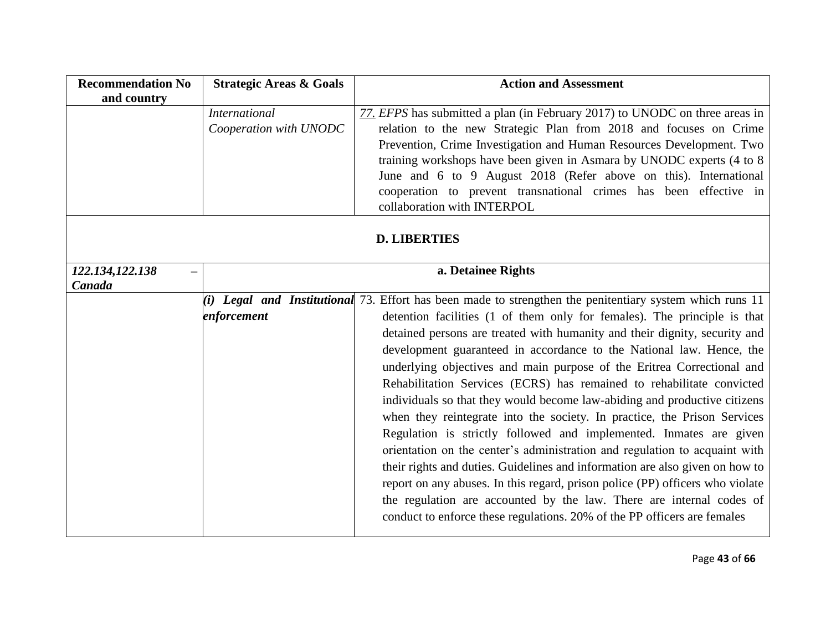| <b>Recommendation No</b> | <b>Strategic Areas &amp; Goals</b> | <b>Action and Assessment</b>                                                                             |
|--------------------------|------------------------------------|----------------------------------------------------------------------------------------------------------|
| and country              |                                    |                                                                                                          |
|                          | <b>International</b>               | 77. EFPS has submitted a plan (in February 2017) to UNODC on three areas in                              |
|                          | Cooperation with UNODC             | relation to the new Strategic Plan from 2018 and focuses on Crime                                        |
|                          |                                    | Prevention, Crime Investigation and Human Resources Development. Two                                     |
|                          |                                    | training workshops have been given in Asmara by UNODC experts (4 to 8)                                   |
|                          |                                    | June and 6 to 9 August 2018 (Refer above on this). International                                         |
|                          |                                    | cooperation to prevent transnational crimes has been effective in                                        |
|                          |                                    | collaboration with INTERPOL                                                                              |
|                          |                                    |                                                                                                          |
|                          |                                    | <b>D. LIBERTIES</b>                                                                                      |
|                          |                                    |                                                                                                          |
| 122.134,122.138          |                                    | a. Detainee Rights                                                                                       |
| Canada                   |                                    |                                                                                                          |
|                          |                                    | (i) Legal and Institutional 73. Effort has been made to strengthen the penitentiary system which runs 11 |
|                          | enforcement                        | detention facilities (1 of them only for females). The principle is that                                 |
|                          |                                    | detained persons are treated with humanity and their dignity, security and                               |
|                          |                                    | development guaranteed in accordance to the National law. Hence, the                                     |
|                          |                                    | underlying objectives and main purpose of the Eritrea Correctional and                                   |
|                          |                                    | Rehabilitation Services (ECRS) has remained to rehabilitate convicted                                    |
|                          |                                    | individuals so that they would become law-abiding and productive citizens                                |
|                          |                                    | when they reintegrate into the society. In practice, the Prison Services                                 |
|                          |                                    | Regulation is strictly followed and implemented. Inmates are given                                       |
|                          |                                    | orientation on the center's administration and regulation to acquaint with                               |
|                          |                                    | their rights and duties. Guidelines and information are also given on how to                             |
|                          |                                    | report on any abuses. In this regard, prison police (PP) officers who violate                            |
|                          |                                    | the regulation are accounted by the law. There are internal codes of                                     |
|                          |                                    | conduct to enforce these regulations. 20% of the PP officers are females                                 |
|                          |                                    |                                                                                                          |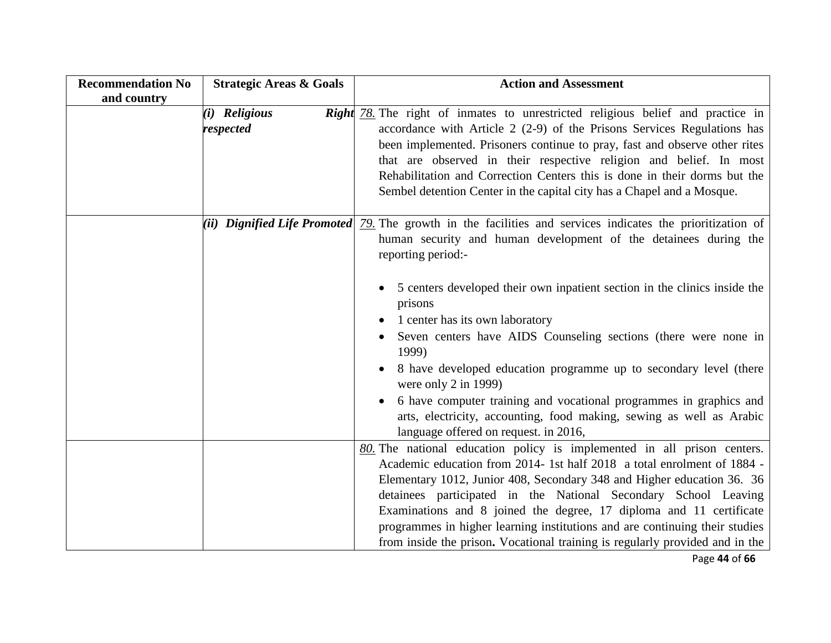| <b>Recommendation No</b> | <b>Strategic Areas &amp; Goals</b> | <b>Action and Assessment</b>                                                                                                                                                                                                                                                                                                                                                                                                                                                                                                            |
|--------------------------|------------------------------------|-----------------------------------------------------------------------------------------------------------------------------------------------------------------------------------------------------------------------------------------------------------------------------------------------------------------------------------------------------------------------------------------------------------------------------------------------------------------------------------------------------------------------------------------|
| and country              |                                    |                                                                                                                                                                                                                                                                                                                                                                                                                                                                                                                                         |
|                          | (i) Religious<br>respected         | <b>Right</b> 78. The right of inmates to unrestricted religious belief and practice in<br>accordance with Article $2(2-9)$ of the Prisons Services Regulations has<br>been implemented. Prisoners continue to pray, fast and observe other rites<br>that are observed in their respective religion and belief. In most<br>Rehabilitation and Correction Centers this is done in their dorms but the<br>Sembel detention Center in the capital city has a Chapel and a Mosque.                                                           |
|                          | (ii) Dignified Life Promoted       | 79. The growth in the facilities and services indicates the prioritization of<br>human security and human development of the detainees during the<br>reporting period:-                                                                                                                                                                                                                                                                                                                                                                 |
|                          |                                    | 5 centers developed their own inpatient section in the clinics inside the<br>$\bullet$<br>prisons<br>1 center has its own laboratory<br>Seven centers have AIDS Counseling sections (there were none in<br>1999)<br>8 have developed education programme up to secondary level (there<br>were only $2$ in 1999)                                                                                                                                                                                                                         |
|                          |                                    | 6 have computer training and vocational programmes in graphics and<br>arts, electricity, accounting, food making, sewing as well as Arabic<br>language offered on request. in 2016,                                                                                                                                                                                                                                                                                                                                                     |
|                          |                                    | $80$ . The national education policy is implemented in all prison centers.<br>Academic education from 2014-1st half 2018 a total enrolment of 1884 -<br>Elementary 1012, Junior 408, Secondary 348 and Higher education 36. 36<br>detainees participated in the National Secondary School Leaving<br>Examinations and 8 joined the degree, 17 diploma and 11 certificate<br>programmes in higher learning institutions and are continuing their studies<br>from inside the prison. Vocational training is regularly provided and in the |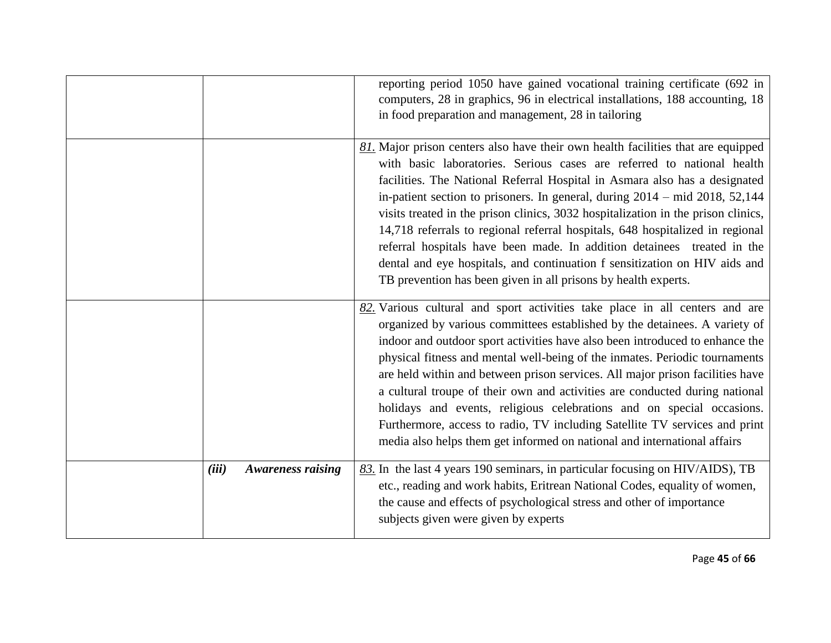|       |                          | reporting period 1050 have gained vocational training certificate (692 in<br>computers, 28 in graphics, 96 in electrical installations, 188 accounting, 18<br>in food preparation and management, 28 in tailoring                                                                                                                                                                                                                                                                                                                                                                                                                                                                                                              |
|-------|--------------------------|--------------------------------------------------------------------------------------------------------------------------------------------------------------------------------------------------------------------------------------------------------------------------------------------------------------------------------------------------------------------------------------------------------------------------------------------------------------------------------------------------------------------------------------------------------------------------------------------------------------------------------------------------------------------------------------------------------------------------------|
|       |                          | 81. Major prison centers also have their own health facilities that are equipped<br>with basic laboratories. Serious cases are referred to national health<br>facilities. The National Referral Hospital in Asmara also has a designated<br>in-patient section to prisoners. In general, during 2014 – mid 2018, 52,144<br>visits treated in the prison clinics, 3032 hospitalization in the prison clinics,<br>14,718 referrals to regional referral hospitals, 648 hospitalized in regional<br>referral hospitals have been made. In addition detainees treated in the<br>dental and eye hospitals, and continuation f sensitization on HIV aids and<br>TB prevention has been given in all prisons by health experts.       |
|       |                          | $82$ . Various cultural and sport activities take place in all centers and are<br>organized by various committees established by the detainees. A variety of<br>indoor and outdoor sport activities have also been introduced to enhance the<br>physical fitness and mental well-being of the inmates. Periodic tournaments<br>are held within and between prison services. All major prison facilities have<br>a cultural troupe of their own and activities are conducted during national<br>holidays and events, religious celebrations and on special occasions.<br>Furthermore, access to radio, TV including Satellite TV services and print<br>media also helps them get informed on national and international affairs |
| (iii) | <b>Awareness raising</b> | $83$ . In the last 4 years 190 seminars, in particular focusing on HIV/AIDS), TB<br>etc., reading and work habits, Eritrean National Codes, equality of women,<br>the cause and effects of psychological stress and other of importance<br>subjects given were given by experts                                                                                                                                                                                                                                                                                                                                                                                                                                                |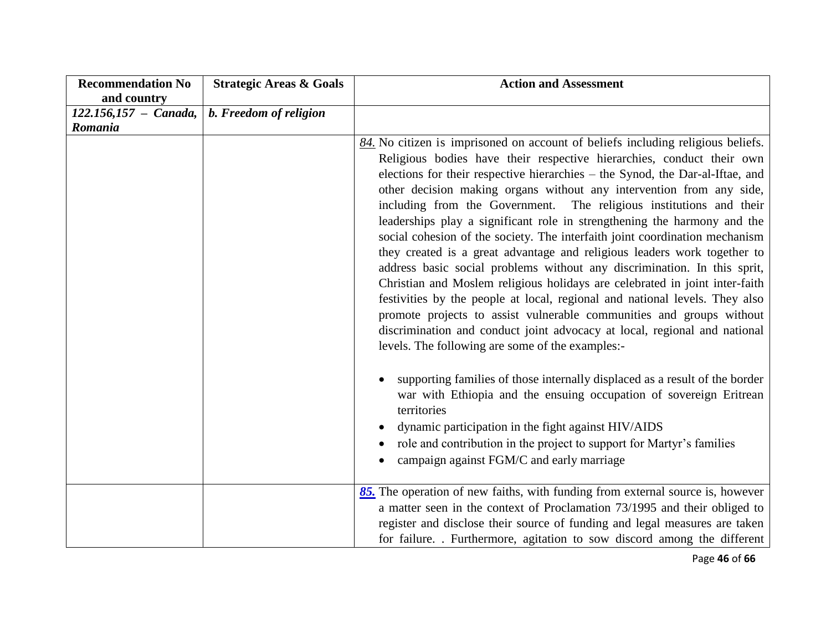| <b>Recommendation No</b><br>and country | <b>Strategic Areas &amp; Goals</b> | <b>Action and Assessment</b>                                                                                                                                                                                                                                                                                                                                                                                                                                                                                                                                                                                                                                                                                                                                                                                                                                                                                                                                                                                                                                                                                                                                                                                                                              |
|-----------------------------------------|------------------------------------|-----------------------------------------------------------------------------------------------------------------------------------------------------------------------------------------------------------------------------------------------------------------------------------------------------------------------------------------------------------------------------------------------------------------------------------------------------------------------------------------------------------------------------------------------------------------------------------------------------------------------------------------------------------------------------------------------------------------------------------------------------------------------------------------------------------------------------------------------------------------------------------------------------------------------------------------------------------------------------------------------------------------------------------------------------------------------------------------------------------------------------------------------------------------------------------------------------------------------------------------------------------|
| $122.156,157 - Canada,$                 | b. Freedom of religion             |                                                                                                                                                                                                                                                                                                                                                                                                                                                                                                                                                                                                                                                                                                                                                                                                                                                                                                                                                                                                                                                                                                                                                                                                                                                           |
| Romania                                 |                                    |                                                                                                                                                                                                                                                                                                                                                                                                                                                                                                                                                                                                                                                                                                                                                                                                                                                                                                                                                                                                                                                                                                                                                                                                                                                           |
|                                         |                                    | $84$ . No citizen is imprisoned on account of beliefs including religious beliefs.<br>Religious bodies have their respective hierarchies, conduct their own<br>elections for their respective hierarchies – the Synod, the Dar-al-Iftae, and<br>other decision making organs without any intervention from any side,<br>including from the Government. The religious institutions and their<br>leaderships play a significant role in strengthening the harmony and the<br>social cohesion of the society. The interfaith joint coordination mechanism<br>they created is a great advantage and religious leaders work together to<br>address basic social problems without any discrimination. In this sprit,<br>Christian and Moslem religious holidays are celebrated in joint inter-faith<br>festivities by the people at local, regional and national levels. They also<br>promote projects to assist vulnerable communities and groups without<br>discrimination and conduct joint advocacy at local, regional and national<br>levels. The following are some of the examples:-<br>supporting families of those internally displaced as a result of the border<br>war with Ethiopia and the ensuing occupation of sovereign Eritrean<br>territories |
|                                         |                                    | dynamic participation in the fight against HIV/AIDS<br>role and contribution in the project to support for Martyr's families<br>campaign against FGM/C and early marriage                                                                                                                                                                                                                                                                                                                                                                                                                                                                                                                                                                                                                                                                                                                                                                                                                                                                                                                                                                                                                                                                                 |
|                                         |                                    |                                                                                                                                                                                                                                                                                                                                                                                                                                                                                                                                                                                                                                                                                                                                                                                                                                                                                                                                                                                                                                                                                                                                                                                                                                                           |
|                                         |                                    | 85. The operation of new faiths, with funding from external source is, however<br>a matter seen in the context of Proclamation 73/1995 and their obliged to<br>register and disclose their source of funding and legal measures are taken<br>for failure. . Furthermore, agitation to sow discord among the different                                                                                                                                                                                                                                                                                                                                                                                                                                                                                                                                                                                                                                                                                                                                                                                                                                                                                                                                     |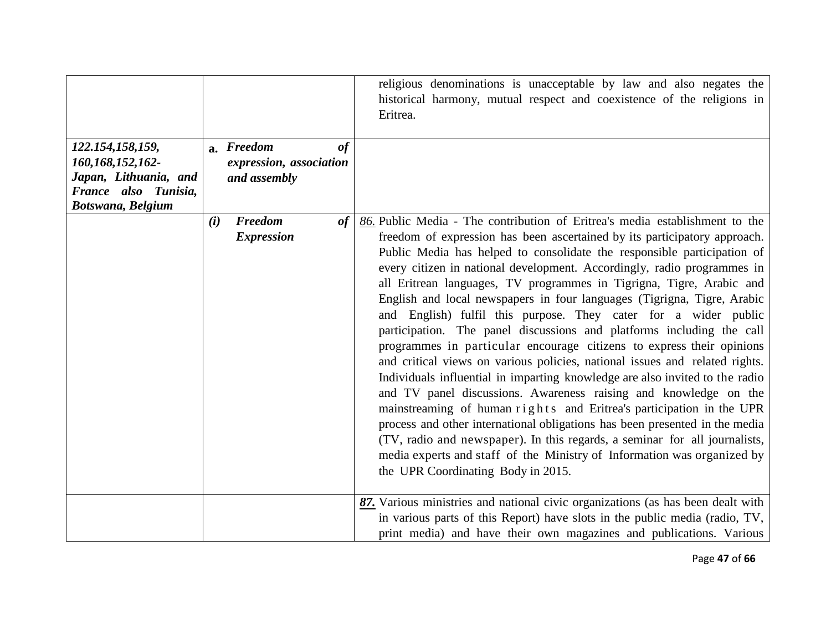|                                                                                                            |                                                             | religious denominations is unacceptable by law and also negates the<br>historical harmony, mutual respect and coexistence of the religions in<br>Eritrea.                                                                                                                                                                                                                                                                                                                                                                                                                                                                                                                                                                                                                                                                                                                                                                                                                                                                                                                                                                                                                                                                                                                       |
|------------------------------------------------------------------------------------------------------------|-------------------------------------------------------------|---------------------------------------------------------------------------------------------------------------------------------------------------------------------------------------------------------------------------------------------------------------------------------------------------------------------------------------------------------------------------------------------------------------------------------------------------------------------------------------------------------------------------------------------------------------------------------------------------------------------------------------------------------------------------------------------------------------------------------------------------------------------------------------------------------------------------------------------------------------------------------------------------------------------------------------------------------------------------------------------------------------------------------------------------------------------------------------------------------------------------------------------------------------------------------------------------------------------------------------------------------------------------------|
| 122.154,158,159,<br>160,168,152,162-<br>Japan, Lithuania, and<br>France also Tunisia,<br>Botswana, Belgium | a. Freedom<br>of<br>expression, association<br>and assembly |                                                                                                                                                                                                                                                                                                                                                                                                                                                                                                                                                                                                                                                                                                                                                                                                                                                                                                                                                                                                                                                                                                                                                                                                                                                                                 |
|                                                                                                            | <b>Freedom</b><br>of<br>(i)<br><b>Expression</b>            | 86. Public Media - The contribution of Eritrea's media establishment to the<br>freedom of expression has been ascertained by its participatory approach.<br>Public Media has helped to consolidate the responsible participation of<br>every citizen in national development. Accordingly, radio programmes in<br>all Eritrean languages, TV programmes in Tigrigna, Tigre, Arabic and<br>English and local newspapers in four languages (Tigrigna, Tigre, Arabic<br>and English) fulfil this purpose. They cater for a wider public<br>participation. The panel discussions and platforms including the call<br>programmes in particular encourage citizens to express their opinions<br>and critical views on various policies, national issues and related rights.<br>Individuals influential in imparting knowledge are also invited to the radio<br>and TV panel discussions. Awareness raising and knowledge on the<br>mainstreaming of human rights and Eritrea's participation in the UPR<br>process and other international obligations has been presented in the media<br>(TV, radio and newspaper). In this regards, a seminar for all journalists,<br>media experts and staff of the Ministry of Information was organized by<br>the UPR Coordinating Body in 2015. |
|                                                                                                            |                                                             | 87. Various ministries and national civic organizations (as has been dealt with<br>in various parts of this Report) have slots in the public media (radio, TV,<br>print media) and have their own magazines and publications. Various                                                                                                                                                                                                                                                                                                                                                                                                                                                                                                                                                                                                                                                                                                                                                                                                                                                                                                                                                                                                                                           |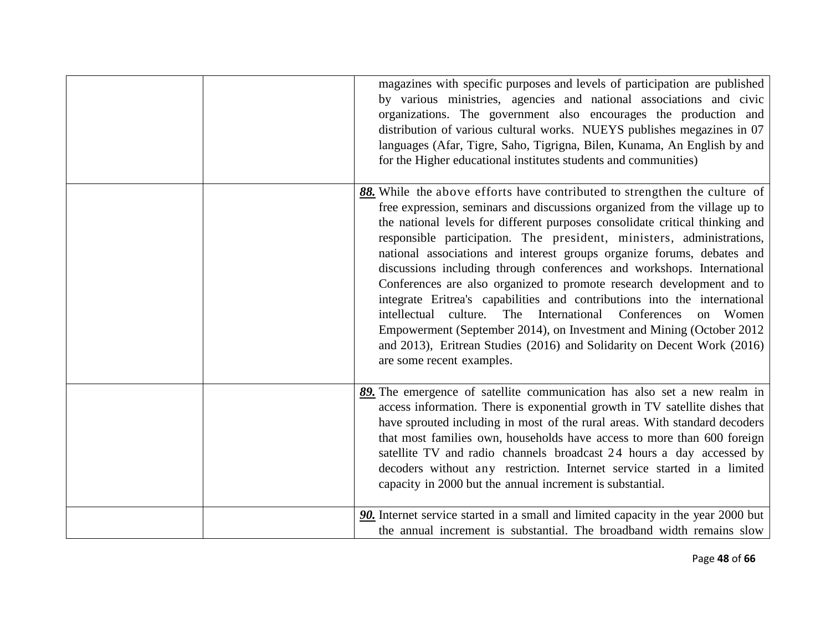| magazines with specific purposes and levels of participation are published<br>by various ministries, agencies and national associations and civic<br>organizations. The government also encourages the production and<br>distribution of various cultural works. NUEYS publishes megazines in 07<br>languages (Afar, Tigre, Saho, Tigrigna, Bilen, Kunama, An English by and<br>for the Higher educational institutes students and communities)                                                                                                                                                                                                                                                                                                                                                                                                                                |
|--------------------------------------------------------------------------------------------------------------------------------------------------------------------------------------------------------------------------------------------------------------------------------------------------------------------------------------------------------------------------------------------------------------------------------------------------------------------------------------------------------------------------------------------------------------------------------------------------------------------------------------------------------------------------------------------------------------------------------------------------------------------------------------------------------------------------------------------------------------------------------|
| 88. While the above efforts have contributed to strengthen the culture of<br>free expression, seminars and discussions organized from the village up to<br>the national levels for different purposes consolidate critical thinking and<br>responsible participation. The president, ministers, administrations,<br>national associations and interest groups organize forums, debates and<br>discussions including through conferences and workshops. International<br>Conferences are also organized to promote research development and to<br>integrate Eritrea's capabilities and contributions into the international<br>intellectual culture. The International<br>Conferences on Women<br>Empowerment (September 2014), on Investment and Mining (October 2012)<br>and 2013), Eritrean Studies (2016) and Solidarity on Decent Work (2016)<br>are some recent examples. |
| 89. The emergence of satellite communication has also set a new realm in<br>access information. There is exponential growth in TV satellite dishes that<br>have sprouted including in most of the rural areas. With standard decoders<br>that most families own, households have access to more than 600 foreign<br>satellite TV and radio channels broadcast 24 hours a day accessed by<br>decoders without any restriction. Internet service started in a limited<br>capacity in 2000 but the annual increment is substantial.                                                                                                                                                                                                                                                                                                                                               |
| 90. Internet service started in a small and limited capacity in the year 2000 but<br>the annual increment is substantial. The broadband width remains slow                                                                                                                                                                                                                                                                                                                                                                                                                                                                                                                                                                                                                                                                                                                     |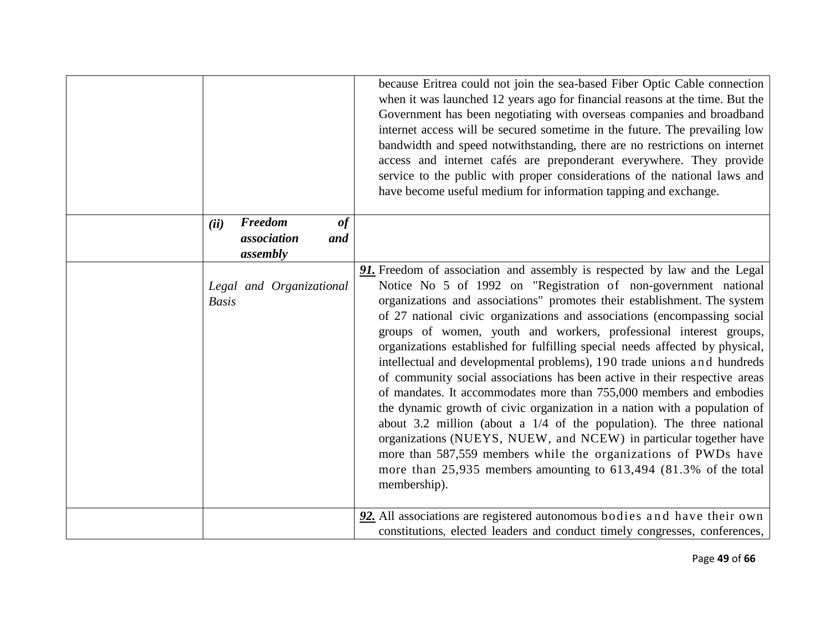|                                                            | because Eritrea could not join the sea-based Fiber Optic Cable connection<br>when it was launched 12 years ago for financial reasons at the time. But the<br>Government has been negotiating with overseas companies and broadband<br>internet access will be secured sometime in the future. The prevailing low<br>bandwidth and speed notwithstanding, there are no restrictions on internet<br>access and internet cafés are preponderant everywhere. They provide<br>service to the public with proper considerations of the national laws and<br>have become useful medium for information tapping and exchange.                                                                                                                                                                                                                                                                                                                                                                                                                                                         |
|------------------------------------------------------------|-------------------------------------------------------------------------------------------------------------------------------------------------------------------------------------------------------------------------------------------------------------------------------------------------------------------------------------------------------------------------------------------------------------------------------------------------------------------------------------------------------------------------------------------------------------------------------------------------------------------------------------------------------------------------------------------------------------------------------------------------------------------------------------------------------------------------------------------------------------------------------------------------------------------------------------------------------------------------------------------------------------------------------------------------------------------------------|
| Freedom<br>$\bf$<br>(ii)<br>association<br>and<br>assembly |                                                                                                                                                                                                                                                                                                                                                                                                                                                                                                                                                                                                                                                                                                                                                                                                                                                                                                                                                                                                                                                                               |
| Legal and Organizational<br><b>Basis</b>                   | 91. Freedom of association and assembly is respected by law and the Legal<br>Notice No 5 of 1992 on "Registration of non-government national<br>organizations and associations" promotes their establishment. The system<br>of 27 national civic organizations and associations (encompassing social<br>groups of women, youth and workers, professional interest groups,<br>organizations established for fulfilling special needs affected by physical,<br>intellectual and developmental problems), 190 trade unions and hundreds<br>of community social associations has been active in their respective areas<br>of mandates. It accommodates more than 755,000 members and embodies<br>the dynamic growth of civic organization in a nation with a population of<br>about 3.2 million (about a $1/4$ of the population). The three national<br>organizations (NUEYS, NUEW, and NCEW) in particular together have<br>more than 587,559 members while the organizations of PWDs have<br>more than 25,935 members amounting to 613,494 (81.3% of the total<br>membership). |
|                                                            | 92. All associations are registered autonomous bodies and have their own<br>constitutions, elected leaders and conduct timely congresses, conferences,                                                                                                                                                                                                                                                                                                                                                                                                                                                                                                                                                                                                                                                                                                                                                                                                                                                                                                                        |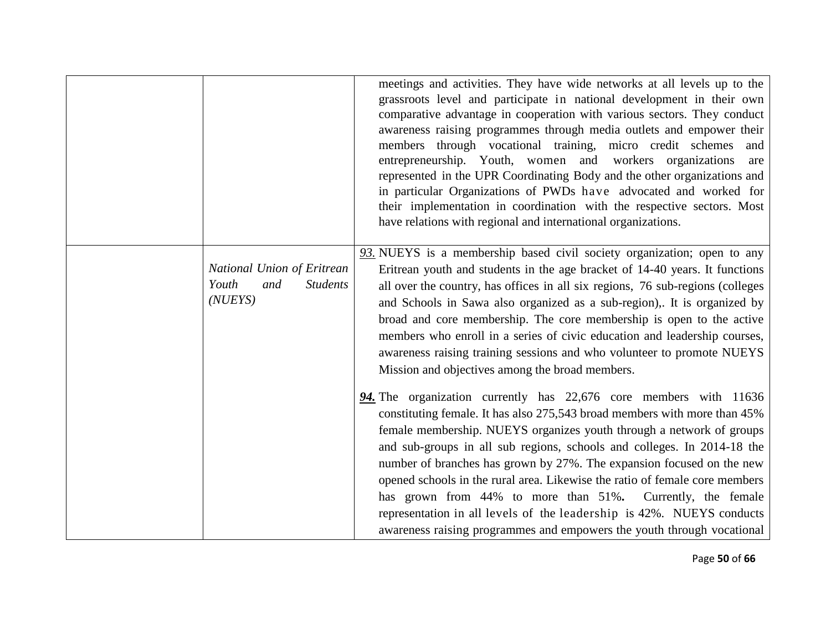|                                                                           | meetings and activities. They have wide networks at all levels up to the<br>grassroots level and participate in national development in their own<br>comparative advantage in cooperation with various sectors. They conduct<br>awareness raising programmes through media outlets and empower their<br>members through vocational training, micro credit schemes<br>and<br>entrepreneurship. Youth, women and workers organizations<br>are<br>represented in the UPR Coordinating Body and the other organizations and<br>in particular Organizations of PWDs have advocated and worked for<br>their implementation in coordination with the respective sectors. Most<br>have relations with regional and international organizations. |
|---------------------------------------------------------------------------|-----------------------------------------------------------------------------------------------------------------------------------------------------------------------------------------------------------------------------------------------------------------------------------------------------------------------------------------------------------------------------------------------------------------------------------------------------------------------------------------------------------------------------------------------------------------------------------------------------------------------------------------------------------------------------------------------------------------------------------------|
| National Union of Eritrean<br>Youth<br>and<br><b>Students</b><br>(NU EYS) | 93. NUEYS is a membership based civil society organization; open to any<br>Eritrean youth and students in the age bracket of 14-40 years. It functions<br>all over the country, has offices in all six regions, 76 sub-regions (colleges<br>and Schools in Sawa also organized as a sub-region),. It is organized by<br>broad and core membership. The core membership is open to the active<br>members who enroll in a series of civic education and leadership courses,<br>awareness raising training sessions and who volunteer to promote NUEYS<br>Mission and objectives among the broad members.                                                                                                                                  |
|                                                                           | 94. The organization currently has 22,676 core members with 11636<br>constituting female. It has also 275,543 broad members with more than 45%<br>female membership. NUEYS organizes youth through a network of groups<br>and sub-groups in all sub regions, schools and colleges. In 2014-18 the<br>number of branches has grown by 27%. The expansion focused on the new<br>opened schools in the rural area. Likewise the ratio of female core members<br>has grown from 44% to more than 51%. Currently, the female<br>representation in all levels of the leadership is 42%. NUEYS conducts<br>awareness raising programmes and empowers the youth through vocational                                                              |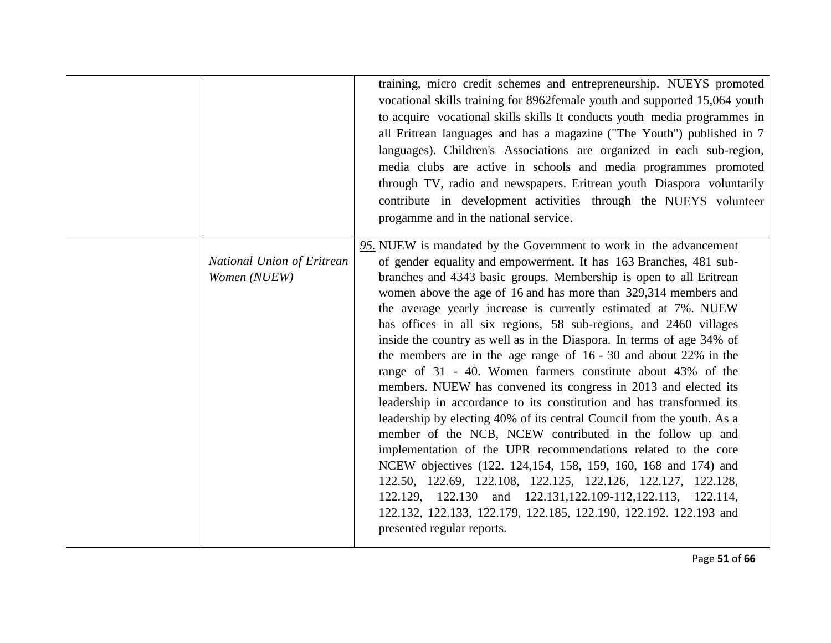|                                            | training, micro credit schemes and entrepreneurship. NUEYS promoted<br>vocational skills training for 8962female youth and supported 15,064 youth<br>to acquire vocational skills skills It conducts youth media programmes in<br>all Eritrean languages and has a magazine ("The Youth") published in 7<br>languages). Children's Associations are organized in each sub-region,<br>media clubs are active in schools and media programmes promoted<br>through TV, radio and newspapers. Eritrean youth Diaspora voluntarily<br>contribute in development activities through the NUEYS volunteer<br>progamme and in the national service.                                                                                                                                                                                                                                                                                                                                                                                                                                                                                                                                                                                                                                                  |
|--------------------------------------------|---------------------------------------------------------------------------------------------------------------------------------------------------------------------------------------------------------------------------------------------------------------------------------------------------------------------------------------------------------------------------------------------------------------------------------------------------------------------------------------------------------------------------------------------------------------------------------------------------------------------------------------------------------------------------------------------------------------------------------------------------------------------------------------------------------------------------------------------------------------------------------------------------------------------------------------------------------------------------------------------------------------------------------------------------------------------------------------------------------------------------------------------------------------------------------------------------------------------------------------------------------------------------------------------|
| National Union of Eritrean<br>Women (NUEW) | 95. NUEW is mandated by the Government to work in the advancement<br>of gender equality and empowerment. It has 163 Branches, 481 sub-<br>branches and 4343 basic groups. Membership is open to all Eritrean<br>women above the age of 16 and has more than 329,314 members and<br>the average yearly increase is currently estimated at 7%. NUEW<br>has offices in all six regions, 58 sub-regions, and 2460 villages<br>inside the country as well as in the Diaspora. In terms of age 34% of<br>the members are in the age range of $16 - 30$ and about 22% in the<br>range of 31 - 40. Women farmers constitute about 43% of the<br>members. NUEW has convened its congress in 2013 and elected its<br>leadership in accordance to its constitution and has transformed its<br>leadership by electing 40% of its central Council from the youth. As a<br>member of the NCB, NCEW contributed in the follow up and<br>implementation of the UPR recommendations related to the core<br>NCEW objectives (122. 124,154, 158, 159, 160, 168 and 174) and<br>122.50, 122.69, 122.108, 122.125, 122.126, 122.127, 122.128,<br>122.129, 122.130 and 122.131, 122.109-112, 122.113, 122.114,<br>122.132, 122.133, 122.179, 122.185, 122.190, 122.192. 122.193 and<br>presented regular reports. |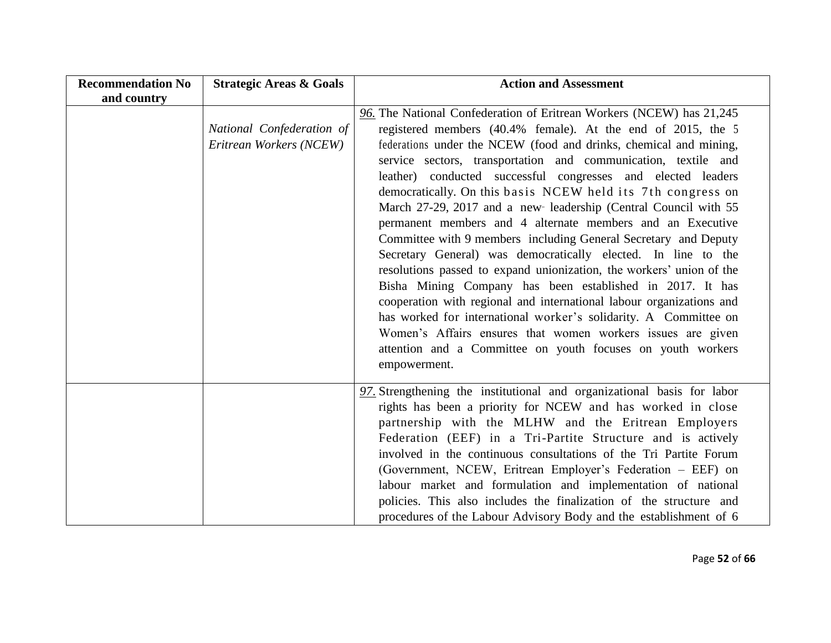| <b>Recommendation No</b><br>and country | <b>Strategic Areas &amp; Goals</b>                   | <b>Action and Assessment</b>                                                                                                                                                                                                                                                                                                                                                                                                                                                                                                                                                                                                                                                                                                                                                                                                                                                                                                                                                                                                                                                                                   |
|-----------------------------------------|------------------------------------------------------|----------------------------------------------------------------------------------------------------------------------------------------------------------------------------------------------------------------------------------------------------------------------------------------------------------------------------------------------------------------------------------------------------------------------------------------------------------------------------------------------------------------------------------------------------------------------------------------------------------------------------------------------------------------------------------------------------------------------------------------------------------------------------------------------------------------------------------------------------------------------------------------------------------------------------------------------------------------------------------------------------------------------------------------------------------------------------------------------------------------|
|                                         | National Confederation of<br>Eritrean Workers (NCEW) | 96. The National Confederation of Eritrean Workers (NCEW) has 21,245<br>registered members (40.4% female). At the end of 2015, the 5<br>federations under the NCEW (food and drinks, chemical and mining,<br>service sectors, transportation and communication, textile and<br>leather) conducted successful congresses and elected leaders<br>democratically. On this basis NCEW held its 7th congress on<br>March 27-29, 2017 and a new leadership (Central Council with 55<br>permanent members and 4 alternate members and an Executive<br>Committee with 9 members including General Secretary and Deputy<br>Secretary General) was democratically elected. In line to the<br>resolutions passed to expand unionization, the workers' union of the<br>Bisha Mining Company has been established in 2017. It has<br>cooperation with regional and international labour organizations and<br>has worked for international worker's solidarity. A Committee on<br>Women's Affairs ensures that women workers issues are given<br>attention and a Committee on youth focuses on youth workers<br>empowerment. |
|                                         |                                                      | 97. Strengthening the institutional and organizational basis for labor<br>rights has been a priority for NCEW and has worked in close<br>partnership with the MLHW and the Eritrean Employers<br>Federation (EEF) in a Tri-Partite Structure and is actively<br>involved in the continuous consultations of the Tri Partite Forum<br>(Government, NCEW, Eritrean Employer's Federation - EEF) on<br>labour market and formulation and implementation of national<br>policies. This also includes the finalization of the structure and<br>procedures of the Labour Advisory Body and the establishment of 6                                                                                                                                                                                                                                                                                                                                                                                                                                                                                                    |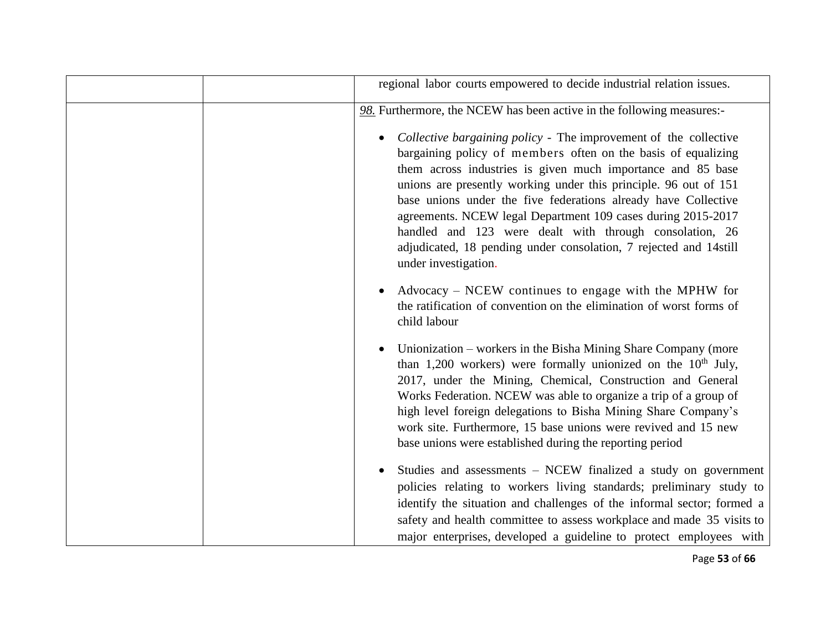| regional labor courts empowered to decide industrial relation issues.                                                                                                                                                                                                                                                                                                                                                                                                                                                                                                       |
|-----------------------------------------------------------------------------------------------------------------------------------------------------------------------------------------------------------------------------------------------------------------------------------------------------------------------------------------------------------------------------------------------------------------------------------------------------------------------------------------------------------------------------------------------------------------------------|
| 98. Furthermore, the NCEW has been active in the following measures:-                                                                                                                                                                                                                                                                                                                                                                                                                                                                                                       |
| Collective bargaining policy - The improvement of the collective<br>$\bullet$<br>bargaining policy of members often on the basis of equalizing<br>them across industries is given much importance and 85 base<br>unions are presently working under this principle. 96 out of 151<br>base unions under the five federations already have Collective<br>agreements. NCEW legal Department 109 cases during 2015-2017<br>handled and 123 were dealt with through consolation, 26<br>adjudicated, 18 pending under consolation, 7 rejected and 14still<br>under investigation. |
| Advocacy - NCEW continues to engage with the MPHW for<br>the ratification of convention on the elimination of worst forms of<br>child labour                                                                                                                                                                                                                                                                                                                                                                                                                                |
| Unionization – workers in the Bisha Mining Share Company (more<br>than 1,200 workers) were formally unionized on the $10th$ July,<br>2017, under the Mining, Chemical, Construction and General<br>Works Federation. NCEW was able to organize a trip of a group of<br>high level foreign delegations to Bisha Mining Share Company's<br>work site. Furthermore, 15 base unions were revived and 15 new<br>base unions were established during the reporting period                                                                                                         |
| Studies and assessments – NCEW finalized a study on government<br>$\bullet$<br>policies relating to workers living standards; preliminary study to<br>identify the situation and challenges of the informal sector; formed a<br>safety and health committee to assess workplace and made 35 visits to<br>major enterprises, developed a guideline to protect employees with                                                                                                                                                                                                 |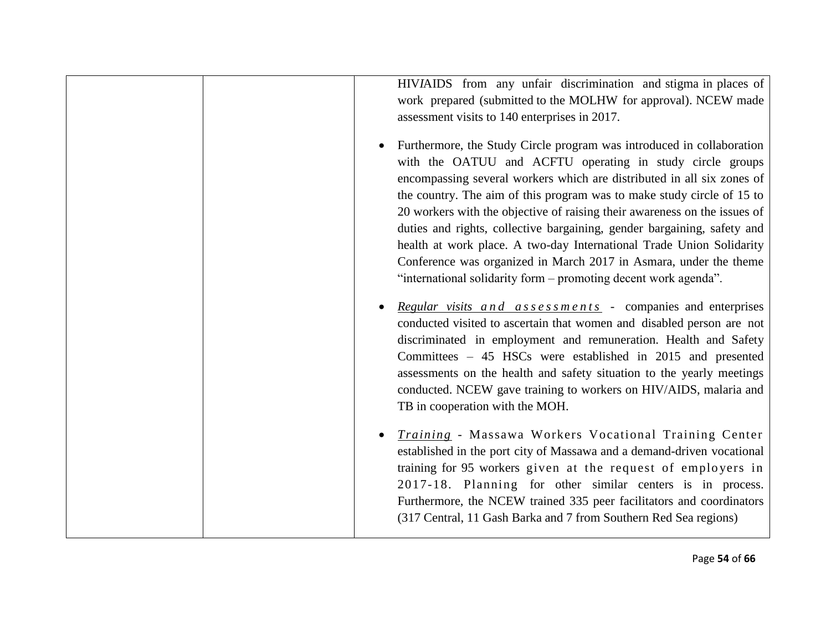| HIVIAIDS from any unfair discrimination and stigma in places of<br>work prepared (submitted to the MOLHW for approval). NCEW made<br>assessment visits to 140 enterprises in 2017.<br>Furthermore, the Study Circle program was introduced in collaboration<br>$\bullet$<br>with the OATUU and ACFTU operating in study circle groups                                                                                                                               |
|---------------------------------------------------------------------------------------------------------------------------------------------------------------------------------------------------------------------------------------------------------------------------------------------------------------------------------------------------------------------------------------------------------------------------------------------------------------------|
| encompassing several workers which are distributed in all six zones of<br>the country. The aim of this program was to make study circle of 15 to<br>20 workers with the objective of raising their awareness on the issues of                                                                                                                                                                                                                                       |
| duties and rights, collective bargaining, gender bargaining, safety and<br>health at work place. A two-day International Trade Union Solidarity<br>Conference was organized in March 2017 in Asmara, under the theme                                                                                                                                                                                                                                                |
| "international solidarity form - promoting decent work agenda".                                                                                                                                                                                                                                                                                                                                                                                                     |
| Regular visits and assessments - companies and enterprises<br>$\bullet$<br>conducted visited to ascertain that women and disabled person are not<br>discriminated in employment and remuneration. Health and Safety<br>Committees – 45 HSCs were established in 2015 and presented<br>assessments on the health and safety situation to the yearly meetings<br>conducted. NCEW gave training to workers on HIV/AIDS, malaria and<br>TB in cooperation with the MOH. |
| Training - Massawa Workers Vocational Training Center<br>$\bullet$<br>established in the port city of Massawa and a demand-driven vocational<br>training for 95 workers given at the request of employers in<br>2017-18. Planning for other similar centers is in process.<br>Furthermore, the NCEW trained 335 peer facilitators and coordinators<br>(317 Central, 11 Gash Barka and 7 from Southern Red Sea regions)                                              |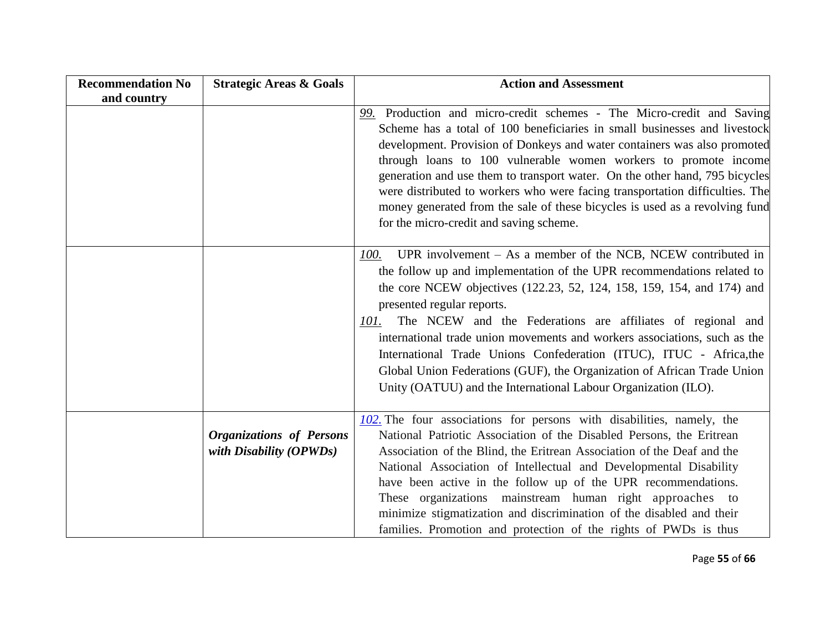| <b>Recommendation No</b> | <b>Strategic Areas &amp; Goals</b>                           | <b>Action and Assessment</b>                                                                                                                                                                                                                                                                                                                                                                                                                                                                                                                                                                                                      |
|--------------------------|--------------------------------------------------------------|-----------------------------------------------------------------------------------------------------------------------------------------------------------------------------------------------------------------------------------------------------------------------------------------------------------------------------------------------------------------------------------------------------------------------------------------------------------------------------------------------------------------------------------------------------------------------------------------------------------------------------------|
| and country              |                                                              |                                                                                                                                                                                                                                                                                                                                                                                                                                                                                                                                                                                                                                   |
|                          |                                                              | 99. Production and micro-credit schemes - The Micro-credit and Saving<br>Scheme has a total of 100 beneficiaries in small businesses and livestock<br>development. Provision of Donkeys and water containers was also promoted<br>through loans to 100 vulnerable women workers to promote income<br>generation and use them to transport water. On the other hand, 795 bicycles<br>were distributed to workers who were facing transportation difficulties. The<br>money generated from the sale of these bicycles is used as a revolving fund<br>for the micro-credit and saving scheme.                                        |
|                          |                                                              | UPR involvement $-$ As a member of the NCB, NCEW contributed in<br>100.<br>the follow up and implementation of the UPR recommendations related to<br>the core NCEW objectives (122.23, 52, 124, 158, 159, 154, and 174) and<br>presented regular reports.<br>The NCEW and the Federations are affiliates of regional and<br>101.<br>international trade union movements and workers associations, such as the<br>International Trade Unions Confederation (ITUC), ITUC - Africa, the<br>Global Union Federations (GUF), the Organization of African Trade Union<br>Unity (OATUU) and the International Labour Organization (ILO). |
|                          | <b>Organizations of Persons</b><br>with Disability $(OPWDs)$ | 102. The four associations for persons with disabilities, namely, the<br>National Patriotic Association of the Disabled Persons, the Eritrean<br>Association of the Blind, the Eritrean Association of the Deaf and the<br>National Association of Intellectual and Developmental Disability<br>have been active in the follow up of the UPR recommendations.<br>These organizations mainstream human right approaches to<br>minimize stigmatization and discrimination of the disabled and their<br>families. Promotion and protection of the rights of PWDs is thus                                                             |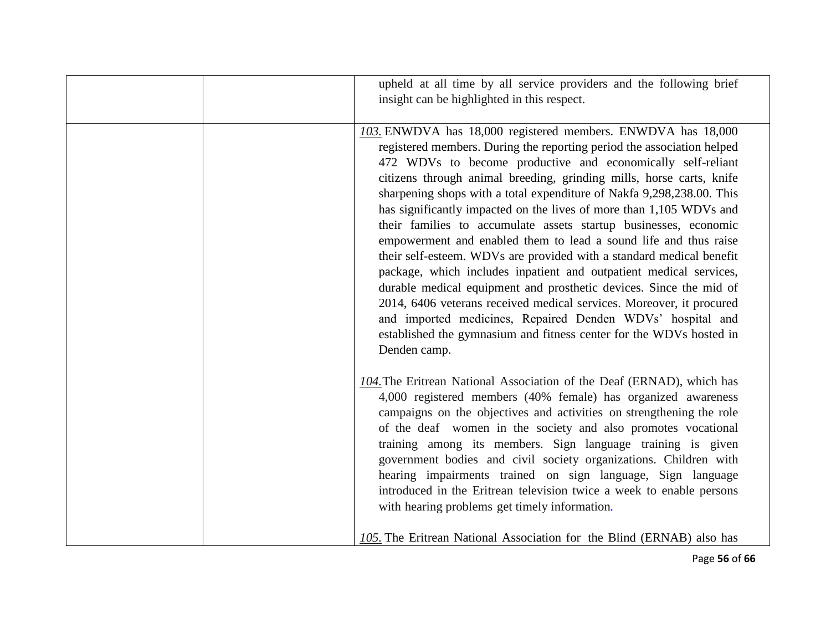| upheld at all time by all service providers and the following brief<br>insight can be highlighted in this respect.                                                                                                                                                                                                                                                                                                                                                                                                                                                                                                                                                                                                                                                                                                                                                                                                                                                                                                     |
|------------------------------------------------------------------------------------------------------------------------------------------------------------------------------------------------------------------------------------------------------------------------------------------------------------------------------------------------------------------------------------------------------------------------------------------------------------------------------------------------------------------------------------------------------------------------------------------------------------------------------------------------------------------------------------------------------------------------------------------------------------------------------------------------------------------------------------------------------------------------------------------------------------------------------------------------------------------------------------------------------------------------|
| 103. ENWDVA has 18,000 registered members. ENWDVA has 18,000<br>registered members. During the reporting period the association helped<br>472 WDVs to become productive and economically self-reliant<br>citizens through animal breeding, grinding mills, horse carts, knife<br>sharpening shops with a total expenditure of Nakfa 9,298,238.00. This<br>has significantly impacted on the lives of more than 1,105 WDVs and<br>their families to accumulate assets startup businesses, economic<br>empowerment and enabled them to lead a sound life and thus raise<br>their self-esteem. WDVs are provided with a standard medical benefit<br>package, which includes inpatient and outpatient medical services,<br>durable medical equipment and prosthetic devices. Since the mid of<br>2014, 6406 veterans received medical services. Moreover, it procured<br>and imported medicines, Repaired Denden WDVs' hospital and<br>established the gymnasium and fitness center for the WDVs hosted in<br>Denden camp. |
| 104. The Eritrean National Association of the Deaf (ERNAD), which has<br>4,000 registered members (40% female) has organized awareness<br>campaigns on the objectives and activities on strengthening the role<br>of the deaf women in the society and also promotes vocational<br>training among its members. Sign language training is given<br>government bodies and civil society organizations. Children with<br>hearing impairments trained on sign language, Sign language<br>introduced in the Eritrean television twice a week to enable persons<br>with hearing problems get timely information.                                                                                                                                                                                                                                                                                                                                                                                                             |
| 105. The Eritrean National Association for the Blind (ERNAB) also has                                                                                                                                                                                                                                                                                                                                                                                                                                                                                                                                                                                                                                                                                                                                                                                                                                                                                                                                                  |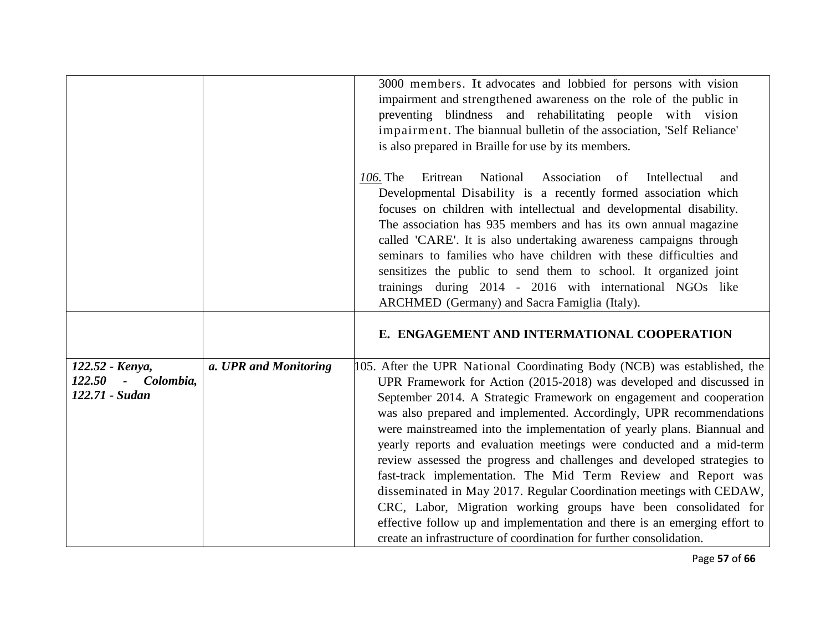|                                                              | 3000 members. It advocates and lobbied for persons with vision<br>impairment and strengthened awareness on the role of the public in<br>preventing blindness and rehabilitating people with vision<br>impairment. The biannual bulletin of the association, 'Self Reliance'<br>is also prepared in Braille for use by its members.<br>Association of<br>Intellectual<br>106. The<br>Eritrean<br>National<br>and<br>Developmental Disability is a recently formed association which<br>focuses on children with intellectual and developmental disability.                                                                                                                                                                                                                                                                                                                                                           |
|--------------------------------------------------------------|---------------------------------------------------------------------------------------------------------------------------------------------------------------------------------------------------------------------------------------------------------------------------------------------------------------------------------------------------------------------------------------------------------------------------------------------------------------------------------------------------------------------------------------------------------------------------------------------------------------------------------------------------------------------------------------------------------------------------------------------------------------------------------------------------------------------------------------------------------------------------------------------------------------------|
|                                                              | The association has 935 members and has its own annual magazine<br>called 'CARE'. It is also undertaking awareness campaigns through<br>seminars to families who have children with these difficulties and<br>sensitizes the public to send them to school. It organized joint<br>trainings during 2014 - 2016 with international NGOs like<br>ARCHMED (Germany) and Sacra Famiglia (Italy).                                                                                                                                                                                                                                                                                                                                                                                                                                                                                                                        |
|                                                              | E. ENGAGEMENT AND INTERMATIONAL COOPERATION                                                                                                                                                                                                                                                                                                                                                                                                                                                                                                                                                                                                                                                                                                                                                                                                                                                                         |
| 122.52 - Kenya,<br>$122.50 -$<br>Colombia,<br>122.71 - Sudan | a. UPR and Monitoring<br>105. After the UPR National Coordinating Body (NCB) was established, the<br>UPR Framework for Action (2015-2018) was developed and discussed in<br>September 2014. A Strategic Framework on engagement and cooperation<br>was also prepared and implemented. Accordingly, UPR recommendations<br>were mainstreamed into the implementation of yearly plans. Biannual and<br>yearly reports and evaluation meetings were conducted and a mid-term<br>review assessed the progress and challenges and developed strategies to<br>fast-track implementation. The Mid Term Review and Report was<br>disseminated in May 2017. Regular Coordination meetings with CEDAW,<br>CRC, Labor, Migration working groups have been consolidated for<br>effective follow up and implementation and there is an emerging effort to<br>create an infrastructure of coordination for further consolidation. |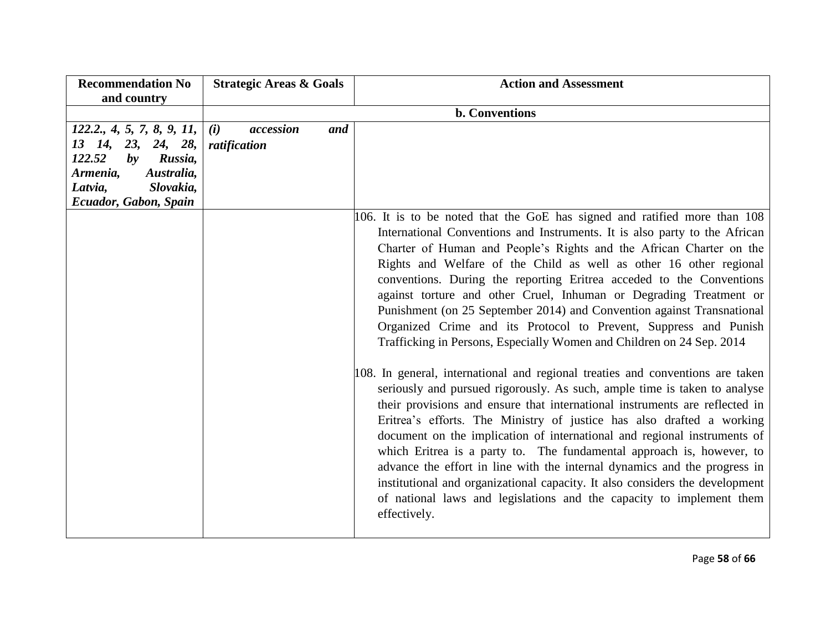| <b>Recommendation No</b><br>and country                                                                                                                                      | <b>Strategic Areas &amp; Goals</b>      | <b>Action and Assessment</b>                                                                                                                                                                                                                                                                                                                                                                                                                                                                                                                                                                                                                                                                                                                                                                                                                                                                                                                                                                                                                                                                                                                                                                                                                                                                                       |
|------------------------------------------------------------------------------------------------------------------------------------------------------------------------------|-----------------------------------------|--------------------------------------------------------------------------------------------------------------------------------------------------------------------------------------------------------------------------------------------------------------------------------------------------------------------------------------------------------------------------------------------------------------------------------------------------------------------------------------------------------------------------------------------------------------------------------------------------------------------------------------------------------------------------------------------------------------------------------------------------------------------------------------------------------------------------------------------------------------------------------------------------------------------------------------------------------------------------------------------------------------------------------------------------------------------------------------------------------------------------------------------------------------------------------------------------------------------------------------------------------------------------------------------------------------------|
|                                                                                                                                                                              |                                         | <b>b.</b> Conventions                                                                                                                                                                                                                                                                                                                                                                                                                                                                                                                                                                                                                                                                                                                                                                                                                                                                                                                                                                                                                                                                                                                                                                                                                                                                                              |
| 122.2, 4, 5, 7, 8, 9, 11,<br>13 14,<br>23, 24, 28,<br>122.52<br>Russia,<br>$\mathbf{b}\mathbf{v}$<br>Armenia,<br>Australia,<br>Slovakia,<br>Latvia,<br>Ecuador, Gabon, Spain | accession<br>(i)<br>and<br>ratification | 106. It is to be noted that the GoE has signed and ratified more than 108<br>International Conventions and Instruments. It is also party to the African<br>Charter of Human and People's Rights and the African Charter on the<br>Rights and Welfare of the Child as well as other 16 other regional<br>conventions. During the reporting Eritrea acceded to the Conventions<br>against torture and other Cruel, Inhuman or Degrading Treatment or<br>Punishment (on 25 September 2014) and Convention against Transnational<br>Organized Crime and its Protocol to Prevent, Suppress and Punish<br>Trafficking in Persons, Especially Women and Children on 24 Sep. 2014<br>108. In general, international and regional treaties and conventions are taken<br>seriously and pursued rigorously. As such, ample time is taken to analyse<br>their provisions and ensure that international instruments are reflected in<br>Eritrea's efforts. The Ministry of justice has also drafted a working<br>document on the implication of international and regional instruments of<br>which Eritrea is a party to. The fundamental approach is, however, to<br>advance the effort in line with the internal dynamics and the progress in<br>institutional and organizational capacity. It also considers the development |
|                                                                                                                                                                              |                                         | of national laws and legislations and the capacity to implement them<br>effectively.                                                                                                                                                                                                                                                                                                                                                                                                                                                                                                                                                                                                                                                                                                                                                                                                                                                                                                                                                                                                                                                                                                                                                                                                                               |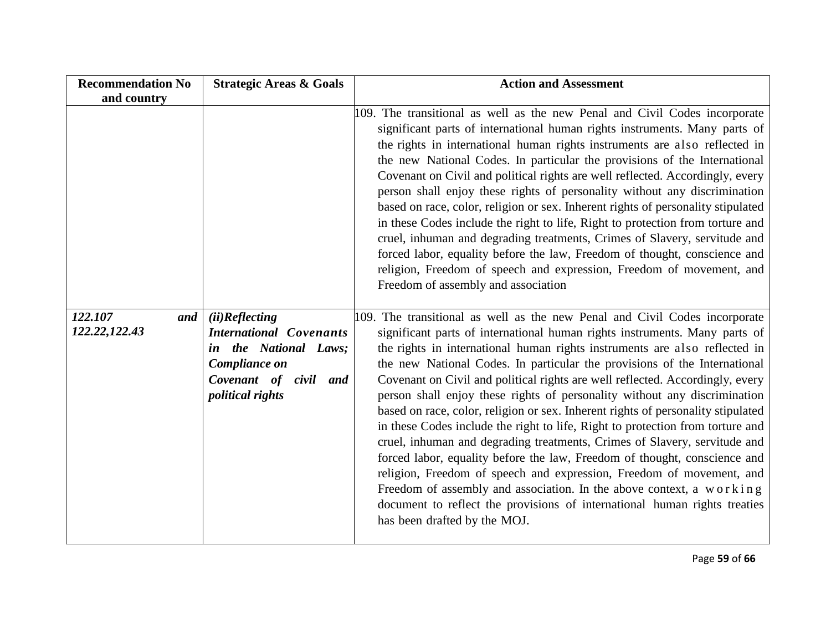| <b>Recommendation No</b>         | <b>Strategic Areas &amp; Goals</b>                                                                                                              | <b>Action and Assessment</b>                                                                                                                                                                                                                                                                                                                                                                                                                                                                                                                                                                                                                                                                                                                                                                                                                                                                                                                                                                                                                                                   |
|----------------------------------|-------------------------------------------------------------------------------------------------------------------------------------------------|--------------------------------------------------------------------------------------------------------------------------------------------------------------------------------------------------------------------------------------------------------------------------------------------------------------------------------------------------------------------------------------------------------------------------------------------------------------------------------------------------------------------------------------------------------------------------------------------------------------------------------------------------------------------------------------------------------------------------------------------------------------------------------------------------------------------------------------------------------------------------------------------------------------------------------------------------------------------------------------------------------------------------------------------------------------------------------|
| and country                      |                                                                                                                                                 |                                                                                                                                                                                                                                                                                                                                                                                                                                                                                                                                                                                                                                                                                                                                                                                                                                                                                                                                                                                                                                                                                |
|                                  |                                                                                                                                                 | 109. The transitional as well as the new Penal and Civil Codes incorporate<br>significant parts of international human rights instruments. Many parts of<br>the rights in international human rights instruments are also reflected in<br>the new National Codes. In particular the provisions of the International<br>Covenant on Civil and political rights are well reflected. Accordingly, every<br>person shall enjoy these rights of personality without any discrimination<br>based on race, color, religion or sex. Inherent rights of personality stipulated<br>in these Codes include the right to life, Right to protection from torture and<br>cruel, inhuman and degrading treatments, Crimes of Slavery, servitude and<br>forced labor, equality before the law, Freedom of thought, conscience and<br>religion, Freedom of speech and expression, Freedom of movement, and<br>Freedom of assembly and association                                                                                                                                               |
| 122.107<br>and<br>122.22, 122.43 | (ii) Reflecting<br><b>International Covenants</b><br>in the National Laws;<br>Compliance on<br>Covenant of civil and<br><i>political rights</i> | 109. The transitional as well as the new Penal and Civil Codes incorporate<br>significant parts of international human rights instruments. Many parts of<br>the rights in international human rights instruments are also reflected in<br>the new National Codes. In particular the provisions of the International<br>Covenant on Civil and political rights are well reflected. Accordingly, every<br>person shall enjoy these rights of personality without any discrimination<br>based on race, color, religion or sex. Inherent rights of personality stipulated<br>in these Codes include the right to life, Right to protection from torture and<br>cruel, inhuman and degrading treatments, Crimes of Slavery, servitude and<br>forced labor, equality before the law, Freedom of thought, conscience and<br>religion, Freedom of speech and expression, Freedom of movement, and<br>Freedom of assembly and association. In the above context, a working<br>document to reflect the provisions of international human rights treaties<br>has been drafted by the MOJ. |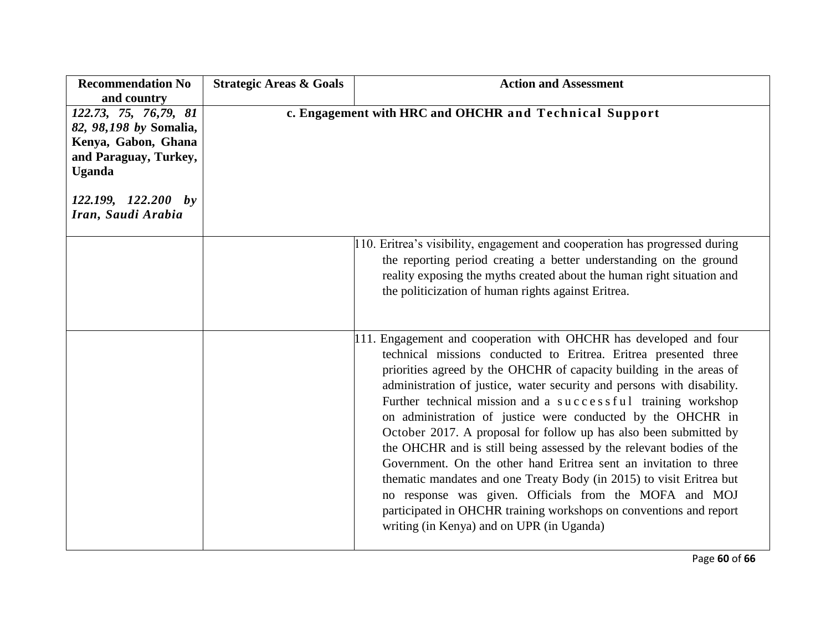| <b>Recommendation No</b><br>and country                                                                                                                         | <b>Strategic Areas &amp; Goals</b> | <b>Action and Assessment</b>                                                                                                                                                                                                                                                                                                                                                                                                                                                                                                                                                                                                                                                                                                                                                                                                                                                                |
|-----------------------------------------------------------------------------------------------------------------------------------------------------------------|------------------------------------|---------------------------------------------------------------------------------------------------------------------------------------------------------------------------------------------------------------------------------------------------------------------------------------------------------------------------------------------------------------------------------------------------------------------------------------------------------------------------------------------------------------------------------------------------------------------------------------------------------------------------------------------------------------------------------------------------------------------------------------------------------------------------------------------------------------------------------------------------------------------------------------------|
| 122.73, 75, 76,79, 81<br>82, 98,198 by Somalia,<br>Kenya, Gabon, Ghana<br>and Paraguay, Turkey,<br><b>Uganda</b><br>$122.199, 122.200$ by<br>Iran, Saudi Arabia |                                    | c. Engagement with HRC and OHCHR and Technical Support                                                                                                                                                                                                                                                                                                                                                                                                                                                                                                                                                                                                                                                                                                                                                                                                                                      |
|                                                                                                                                                                 |                                    | 110. Eritrea's visibility, engagement and cooperation has progressed during<br>the reporting period creating a better understanding on the ground<br>reality exposing the myths created about the human right situation and<br>the politicization of human rights against Eritrea.                                                                                                                                                                                                                                                                                                                                                                                                                                                                                                                                                                                                          |
|                                                                                                                                                                 |                                    | 111. Engagement and cooperation with OHCHR has developed and four<br>technical missions conducted to Eritrea. Eritrea presented three<br>priorities agreed by the OHCHR of capacity building in the areas of<br>administration of justice, water security and persons with disability.<br>Further technical mission and a successful training workshop<br>on administration of justice were conducted by the OHCHR in<br>October 2017. A proposal for follow up has also been submitted by<br>the OHCHR and is still being assessed by the relevant bodies of the<br>Government. On the other hand Eritrea sent an invitation to three<br>thematic mandates and one Treaty Body (in 2015) to visit Eritrea but<br>no response was given. Officials from the MOFA and MOJ<br>participated in OHCHR training workshops on conventions and report<br>writing (in Kenya) and on UPR (in Uganda) |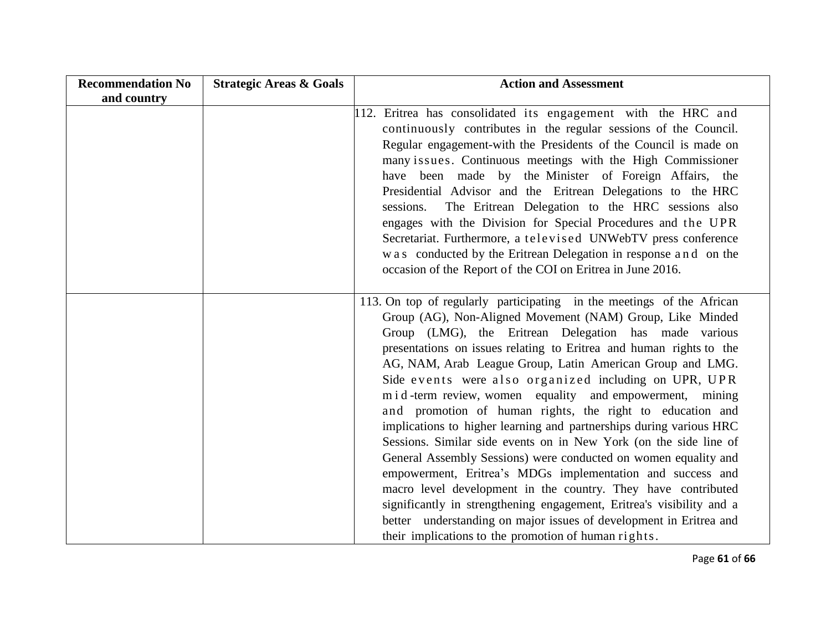| <b>Recommendation No</b> | <b>Strategic Areas &amp; Goals</b> | <b>Action and Assessment</b>                                                                                                                                                                                                                                                                                                                                                                                                                                                                                                                                                                                                                                                                                                                                                                                                                                                                                                                                                                                                                                            |
|--------------------------|------------------------------------|-------------------------------------------------------------------------------------------------------------------------------------------------------------------------------------------------------------------------------------------------------------------------------------------------------------------------------------------------------------------------------------------------------------------------------------------------------------------------------------------------------------------------------------------------------------------------------------------------------------------------------------------------------------------------------------------------------------------------------------------------------------------------------------------------------------------------------------------------------------------------------------------------------------------------------------------------------------------------------------------------------------------------------------------------------------------------|
| and country              |                                    |                                                                                                                                                                                                                                                                                                                                                                                                                                                                                                                                                                                                                                                                                                                                                                                                                                                                                                                                                                                                                                                                         |
|                          |                                    | 112. Eritrea has consolidated its engagement with the HRC and<br>continuously contributes in the regular sessions of the Council.<br>Regular engagement-with the Presidents of the Council is made on<br>many issues. Continuous meetings with the High Commissioner<br>have been made by the Minister of Foreign Affairs, the<br>Presidential Advisor and the Eritrean Delegations to the HRC<br>The Eritrean Delegation to the HRC sessions also<br>sessions.<br>engages with the Division for Special Procedures and the UPR<br>Secretariat. Furthermore, a televised UNWebTV press conference<br>was conducted by the Eritrean Delegation in response and on the<br>occasion of the Report of the COI on Eritrea in June 2016.                                                                                                                                                                                                                                                                                                                                      |
|                          |                                    | 113. On top of regularly participating in the meetings of the African<br>Group (AG), Non-Aligned Movement (NAM) Group, Like Minded<br>Group (LMG), the Eritrean Delegation has made various<br>presentations on issues relating to Eritrea and human rights to the<br>AG, NAM, Arab League Group, Latin American Group and LMG.<br>Side events were also organized including on UPR, UPR<br>m i d-term review, women equality and empowerment, mining<br>and promotion of human rights, the right to education and<br>implications to higher learning and partnerships during various HRC<br>Sessions. Similar side events on in New York (on the side line of<br>General Assembly Sessions) were conducted on women equality and<br>empowerment, Eritrea's MDGs implementation and success and<br>macro level development in the country. They have contributed<br>significantly in strengthening engagement, Eritrea's visibility and a<br>better understanding on major issues of development in Eritrea and<br>their implications to the promotion of human rights. |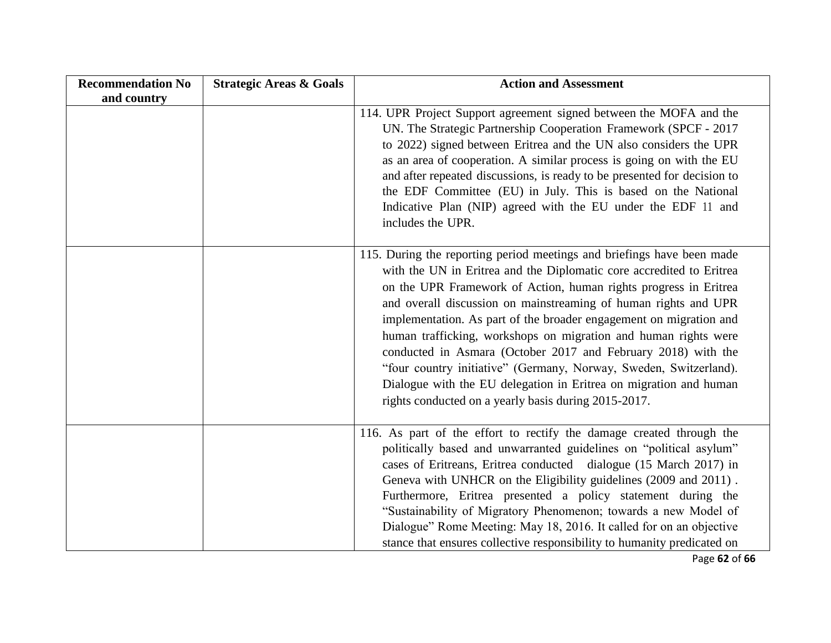| <b>Recommendation No</b> | <b>Strategic Areas &amp; Goals</b> | <b>Action and Assessment</b>                                                                                                                                                                                                                                                                                                                                                                                                                                                                                                                                                                                                                                                                      |
|--------------------------|------------------------------------|---------------------------------------------------------------------------------------------------------------------------------------------------------------------------------------------------------------------------------------------------------------------------------------------------------------------------------------------------------------------------------------------------------------------------------------------------------------------------------------------------------------------------------------------------------------------------------------------------------------------------------------------------------------------------------------------------|
| and country              |                                    | 114. UPR Project Support agreement signed between the MOFA and the<br>UN. The Strategic Partnership Cooperation Framework (SPCF - 2017<br>to 2022) signed between Eritrea and the UN also considers the UPR<br>as an area of cooperation. A similar process is going on with the EU<br>and after repeated discussions, is ready to be presented for decision to<br>the EDF Committee (EU) in July. This is based on the National<br>Indicative Plan (NIP) agreed with the EU under the EDF 11 and<br>includes the UPR.                                                                                                                                                                            |
|                          |                                    | 115. During the reporting period meetings and briefings have been made<br>with the UN in Eritrea and the Diplomatic core accredited to Eritrea<br>on the UPR Framework of Action, human rights progress in Eritrea<br>and overall discussion on mainstreaming of human rights and UPR<br>implementation. As part of the broader engagement on migration and<br>human trafficking, workshops on migration and human rights were<br>conducted in Asmara (October 2017 and February 2018) with the<br>"four country initiative" (Germany, Norway, Sweden, Switzerland).<br>Dialogue with the EU delegation in Eritrea on migration and human<br>rights conducted on a yearly basis during 2015-2017. |
|                          |                                    | 116. As part of the effort to rectify the damage created through the<br>politically based and unwarranted guidelines on "political asylum"<br>cases of Eritreans, Eritrea conducted dialogue (15 March 2017) in<br>Geneva with UNHCR on the Eligibility guidelines (2009 and 2011).<br>Furthermore, Eritrea presented a policy statement during the<br>"Sustainability of Migratory Phenomenon; towards a new Model of<br>Dialogue" Rome Meeting: May 18, 2016. It called for on an objective<br>stance that ensures collective responsibility to humanity predicated on                                                                                                                          |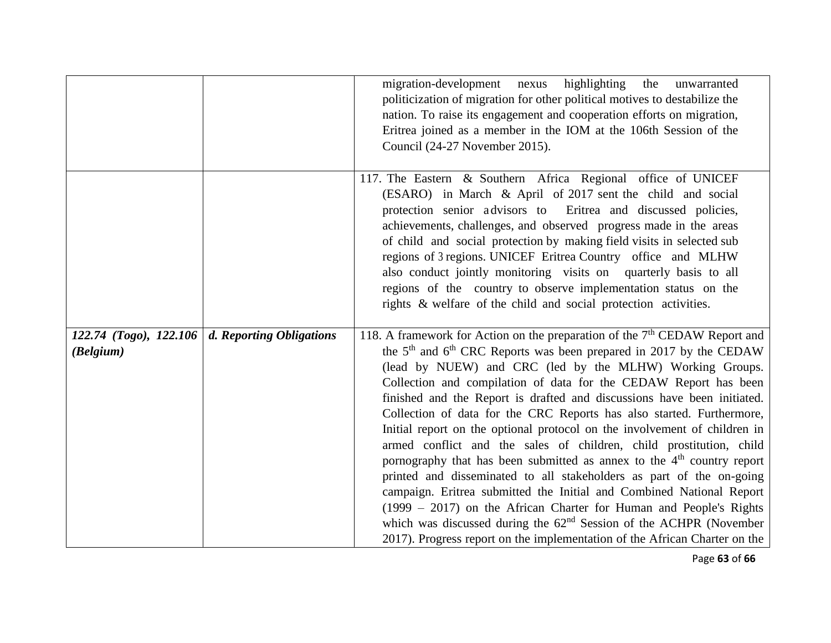|                                                                      | migration-development nexus highlighting the<br>unwarranted<br>politicization of migration for other political motives to destabilize the<br>nation. To raise its engagement and cooperation efforts on migration,<br>Eritrea joined as a member in the IOM at the 106th Session of the<br>Council (24-27 November 2015).                                                                                                                                                                                                                                                                                                                                                                                                                                                                                                                                                                                                                                                                                                                                                    |
|----------------------------------------------------------------------|------------------------------------------------------------------------------------------------------------------------------------------------------------------------------------------------------------------------------------------------------------------------------------------------------------------------------------------------------------------------------------------------------------------------------------------------------------------------------------------------------------------------------------------------------------------------------------------------------------------------------------------------------------------------------------------------------------------------------------------------------------------------------------------------------------------------------------------------------------------------------------------------------------------------------------------------------------------------------------------------------------------------------------------------------------------------------|
|                                                                      | 117. The Eastern & Southern Africa Regional office of UNICEF<br>(ESARO) in March & April of 2017 sent the child and social<br>protection senior advisors to Eritrea and discussed policies,<br>achievements, challenges, and observed progress made in the areas<br>of child and social protection by making field visits in selected sub<br>regions of 3 regions. UNICEF Eritrea Country office and MLHW<br>also conduct jointly monitoring visits on quarterly basis to all<br>regions of the country to observe implementation status on the<br>rights & welfare of the child and social protection activities.                                                                                                                                                                                                                                                                                                                                                                                                                                                           |
| 122.74 (Togo), 122.106 $\vert$ d. Reporting Obligations<br>(Belgium) | 118. A framework for Action on the preparation of the $7th$ CEDAW Report and<br>the 5 <sup>th</sup> and 6 <sup>th</sup> CRC Reports was been prepared in 2017 by the CEDAW<br>(lead by NUEW) and CRC (led by the MLHW) Working Groups.<br>Collection and compilation of data for the CEDAW Report has been<br>finished and the Report is drafted and discussions have been initiated.<br>Collection of data for the CRC Reports has also started. Furthermore,<br>Initial report on the optional protocol on the involvement of children in<br>armed conflict and the sales of children, child prostitution, child<br>pornography that has been submitted as annex to the $4th$ country report<br>printed and disseminated to all stakeholders as part of the on-going<br>campaign. Eritrea submitted the Initial and Combined National Report<br>$(1999 - 2017)$ on the African Charter for Human and People's Rights<br>which was discussed during the $62nd$ Session of the ACHPR (November<br>2017). Progress report on the implementation of the African Charter on the |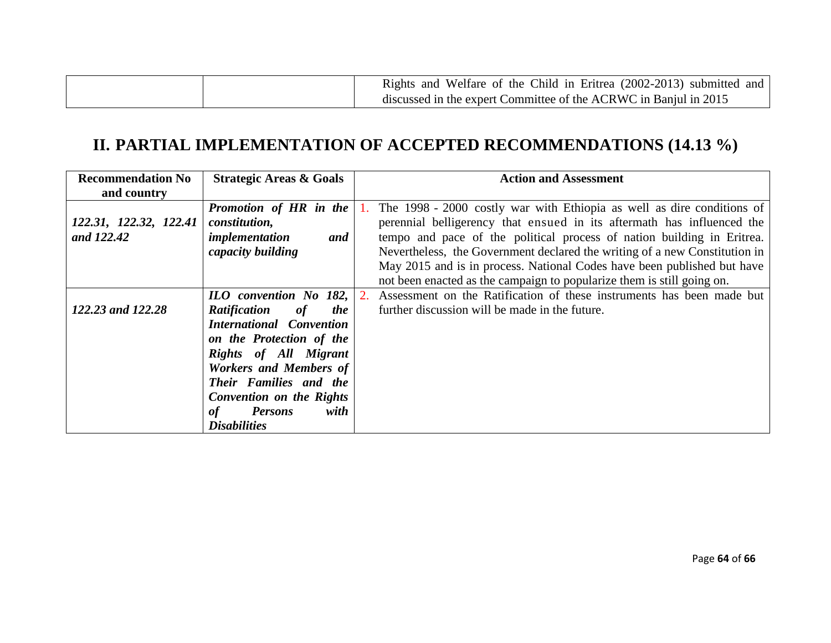| Rights and Welfare of the Child in Eritrea (2002-2013) submitted and |
|----------------------------------------------------------------------|
| discussed in the expert Committee of the ACRWC in Banjul in 2015     |

## **II. PARTIAL IMPLEMENTATION OF ACCEPTED RECOMMENDATIONS (14.13 %)**

| <b>Recommendation No</b> | <b>Strategic Areas &amp; Goals</b>      | <b>Action and Assessment</b>                                               |
|--------------------------|-----------------------------------------|----------------------------------------------------------------------------|
| and country              |                                         |                                                                            |
|                          | Promotion of HR in the                  | 1. The 1998 - 2000 costly war with Ethiopia as well as dire conditions of  |
| 122.31, 122.32, 122.41   | constitution,                           | perennial belligerency that ensued in its aftermath has influenced the     |
| and 122.42               | implementation<br>and                   | tempo and pace of the political process of nation building in Eritrea.     |
|                          | capacity building                       | Nevertheless, the Government declared the writing of a new Constitution in |
|                          |                                         | May 2015 and is in process. National Codes have been published but have    |
|                          |                                         | not been enacted as the campaign to popularize them is still going on.     |
|                          | ILO convention No 182,                  | 2. Assessment on the Ratification of these instruments has been made but   |
| 122.23 and 122.28        | <b>Ratification</b><br>of<br><i>the</i> | further discussion will be made in the future.                             |
|                          | <b>International Convention</b>         |                                                                            |
|                          | on the Protection of the                |                                                                            |
|                          | Rights of All Migrant                   |                                                                            |
|                          | <b>Workers and Members of</b>           |                                                                            |
|                          | Their Families and the                  |                                                                            |
|                          | <b>Convention on the Rights</b>         |                                                                            |
|                          | <b>Persons</b><br>with<br>of            |                                                                            |
|                          | <b>Disabilities</b>                     |                                                                            |